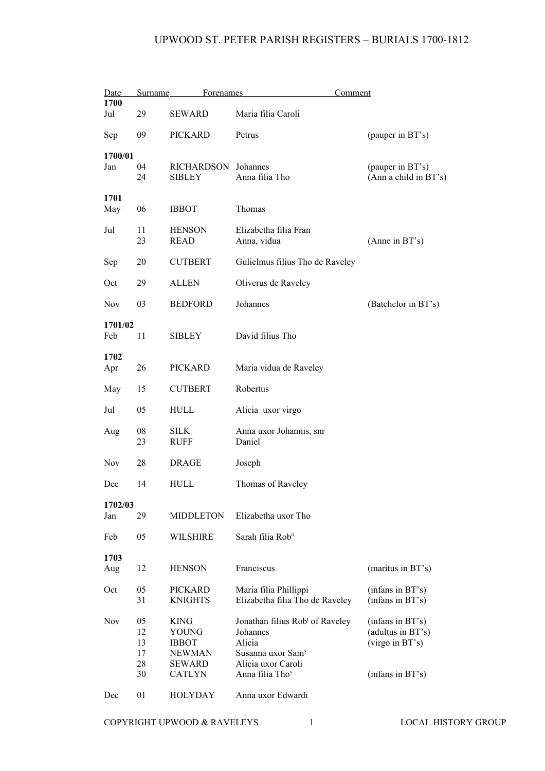| Date           | Surname                          | <b>Forenames</b>                                                                 |                                                                                                                                                         | Comment                                                                      |
|----------------|----------------------------------|----------------------------------------------------------------------------------|---------------------------------------------------------------------------------------------------------------------------------------------------------|------------------------------------------------------------------------------|
| 1700<br>Jul    | 29                               | <b>SEWARD</b>                                                                    | Maria filia Caroli                                                                                                                                      |                                                                              |
| Sep            | 09                               | PICKARD                                                                          | Petrus                                                                                                                                                  | (pauper in BT's)                                                             |
| 1700/01<br>Jan | 04<br>24                         | <b>RICHARDSON</b><br><b>SIBLEY</b>                                               | Johannes<br>Anna filia Tho                                                                                                                              | (pauper in BT's)<br>(Ann a child in BT's)                                    |
| 1701<br>May    | 06                               | <b>IBBOT</b>                                                                     | Thomas                                                                                                                                                  |                                                                              |
| Jul            | 11<br>23                         | <b>HENSON</b><br><b>READ</b>                                                     | Elizabetha filia Fran<br>Anna, vidua                                                                                                                    | (Anne in BT's)                                                               |
| Sep            | 20                               | <b>CUTBERT</b>                                                                   | Gulielmus filius Tho de Raveley                                                                                                                         |                                                                              |
| Oct            | 29                               | <b>ALLEN</b>                                                                     | Oliverus de Raveley                                                                                                                                     |                                                                              |
| <b>Nov</b>     | 03                               | <b>BEDFORD</b>                                                                   | Johannes                                                                                                                                                | (Batchelor in BT's)                                                          |
| 1701/02<br>Feb | 11                               | <b>SIBLEY</b>                                                                    | David filius Tho                                                                                                                                        |                                                                              |
| 1702<br>Apr    | 26                               | <b>PICKARD</b>                                                                   | Maria vidua de Raveley                                                                                                                                  |                                                                              |
| May            | 15                               | <b>CUTBERT</b>                                                                   | Robertus                                                                                                                                                |                                                                              |
| Jul            | 05                               | HULL                                                                             | Alicia uxor virgo                                                                                                                                       |                                                                              |
| Aug            | 08<br>23                         | <b>SILK</b><br><b>RUFF</b>                                                       | Anna uxor Johannis, snr<br>Daniel                                                                                                                       |                                                                              |
| <b>Nov</b>     | 28                               | <b>DRAGE</b>                                                                     | Joseph                                                                                                                                                  |                                                                              |
| Dec            | 14                               | HULL                                                                             | Thomas of Raveley                                                                                                                                       |                                                                              |
| 1702/03<br>Jan | 29                               | <b>MIDDLETON</b>                                                                 | Elizabetha uxor Tho                                                                                                                                     |                                                                              |
| Feb            | 05                               | <b>WILSHIRE</b>                                                                  | Sarah filia Rob <sup>ti</sup>                                                                                                                           |                                                                              |
| 1703<br>Aug    | 12                               | <b>HENSON</b>                                                                    | Franciscus                                                                                                                                              | (maritus in BT's)                                                            |
| Oct            | 05<br>31                         | PICKARD<br><b>KNIGHTS</b>                                                        | Maria filia Phillippi<br>Elizabetha filia Tho de Raveley                                                                                                | (infans in BT's)<br>(infans in BT's)                                         |
| <b>Nov</b>     | 05<br>12<br>13<br>17<br>28<br>30 | KING<br>YOUNG<br><b>IBBOT</b><br><b>NEWMAN</b><br><b>SEWARD</b><br><b>CATLYN</b> | Jonathan filius Rob <sup>t</sup> of Raveley<br>Johannes<br>Alicia<br>Susanna uxor Sam <sup>s</sup><br>Alicia uxor Caroli<br>Anna filia Tho <sup>s</sup> | (infans in BT's)<br>(adultus in BT's)<br>(virgo in BT's)<br>(infans in BT's) |
| Dec            | 01                               | <b>HOLYDAY</b>                                                                   | Anna uxor Edwardi                                                                                                                                       |                                                                              |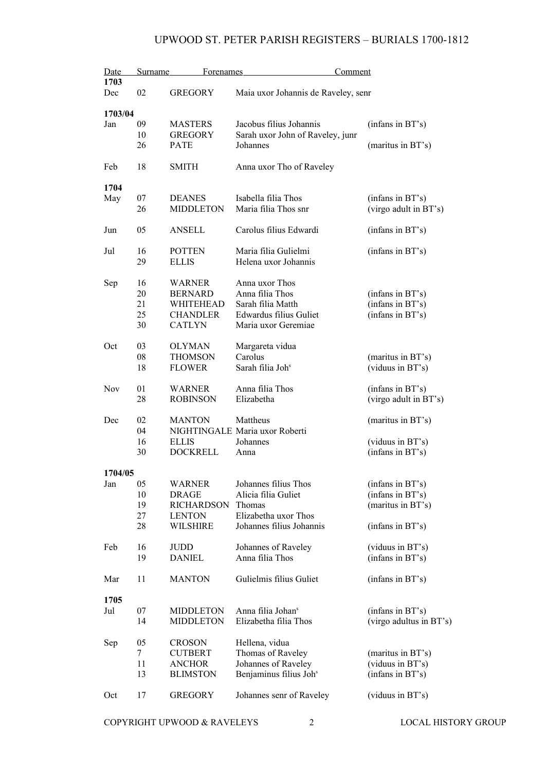| Date       | Surname | Forenames         | Comment                             |                         |
|------------|---------|-------------------|-------------------------------------|-------------------------|
| 1703       |         |                   |                                     |                         |
| Dec        | 02      | <b>GREGORY</b>    | Maia uxor Johannis de Raveley, senr |                         |
|            |         |                   |                                     |                         |
| 1703/04    |         |                   |                                     |                         |
| Jan        | 09      | <b>MASTERS</b>    | Jacobus filius Johannis             | (infans in BT's)        |
|            | 10      | <b>GREGORY</b>    | Sarah uxor John of Raveley, junr    |                         |
|            | 26      | <b>PATE</b>       | Johannes                            | (maritus in BT's)       |
| Feb        | 18      | <b>SMITH</b>      | Anna uxor Tho of Raveley            |                         |
|            |         |                   |                                     |                         |
| 1704       |         |                   |                                     |                         |
| May        | 07      | <b>DEANES</b>     | Isabella filia Thos                 | (infans in BT's)        |
|            | 26      | <b>MIDDLETON</b>  | Maria filia Thos snr                | (virgo adult in BT's)   |
|            |         |                   |                                     |                         |
| Jun        | 05      | <b>ANSELL</b>     | Carolus filius Edwardi              | (infans in BT's)        |
|            |         |                   |                                     |                         |
| Jul        | 16      | <b>POTTEN</b>     | Maria filia Gulielmi                | (infans in BT's)        |
|            | 29      | <b>ELLIS</b>      | Helena uxor Johannis                |                         |
| Sep        | 16      | WARNER            | Anna uxor Thos                      |                         |
|            | 20      | <b>BERNARD</b>    | Anna filia Thos                     | (infans in BT's)        |
|            | 21      | WHITEHEAD         | Sarah filia Matth                   |                         |
|            |         |                   |                                     | (infans in BT's)        |
|            | 25      | <b>CHANDLER</b>   | Edwardus filius Guliet              | (infans in BT's)        |
|            | 30      | <b>CATLYN</b>     | Maria uxor Geremiae                 |                         |
| Oct        | 03      | <b>OLYMAN</b>     | Margareta vidua                     |                         |
|            | 08      | THOMSON           | Carolus                             | (maritus in BT's)       |
|            | 18      | <b>FLOWER</b>     | Sarah filia Joh <sup>s</sup>        | (viduus in BT's)        |
|            |         |                   |                                     |                         |
| <b>Nov</b> | 01      | <b>WARNER</b>     | Anna filia Thos                     | (infans in BT's)        |
|            | 28      | <b>ROBINSON</b>   | Elizabetha                          | (virgo adult in BT's)   |
|            |         |                   |                                     |                         |
| Dec        | 02      | <b>MANTON</b>     | Mattheus                            | (maritus in BT's)       |
|            | 04      |                   | NIGHTINGALE Maria uxor Roberti      |                         |
|            | 16      | <b>ELLIS</b>      | Johannes                            | (viduus in BT's)        |
|            | 30      | <b>DOCKRELL</b>   | Anna                                | (infans in BT's)        |
|            |         |                   |                                     |                         |
| 1704/05    |         |                   |                                     |                         |
| Jan        | 05      | WARNER            | Johannes filius Thos                | (infans in BT's)        |
|            | 10      | <b>DRAGE</b>      | Alicia filia Guliet                 | (infans in BT's)        |
|            | 19      | <b>RICHARDSON</b> | Thomas                              | (maritus in BT's)       |
|            | 27      | <b>LENTON</b>     | Elizabetha uxor Thos                |                         |
|            | 28      | WILSHIRE          | Johannes filius Johannis            | (infans in BT's)        |
|            |         |                   |                                     |                         |
| Feb        | 16      | JUDD              | Johannes of Raveley                 | (viduus in BT's)        |
|            | 19      | <b>DANIEL</b>     | Anna filia Thos                     | (infans in BT's)        |
| Mar        | 11      | <b>MANTON</b>     | Gulielmis filius Guliet             | (infans in BT's)        |
|            |         |                   |                                     |                         |
| 1705       |         |                   |                                     |                         |
| Jul        | 07      | <b>MIDDLETON</b>  | Anna filia Johan <sup>s</sup>       | (infans in BT's)        |
|            | 14      | <b>MIDDLETON</b>  | Elizabetha filia Thos               | (virgo adultus in BT's) |
|            |         |                   |                                     |                         |
| Sep        | 05      | <b>CROSON</b>     | Hellena, vidua                      |                         |
|            | 7       | <b>CUTBERT</b>    | Thomas of Raveley                   | (maritus in BT's)       |
|            | 11      | ANCHOR            | Johannes of Raveley                 | (viduus in BT's)        |
|            | 13      | <b>BLIMSTON</b>   | Benjaminus filius Joh <sup>s</sup>  | (infans in BT's)        |
| Oct        | 17      | <b>GREGORY</b>    | Johannes senr of Raveley            | (viduus in BT's)        |
|            |         |                   |                                     |                         |
|            |         |                   |                                     |                         |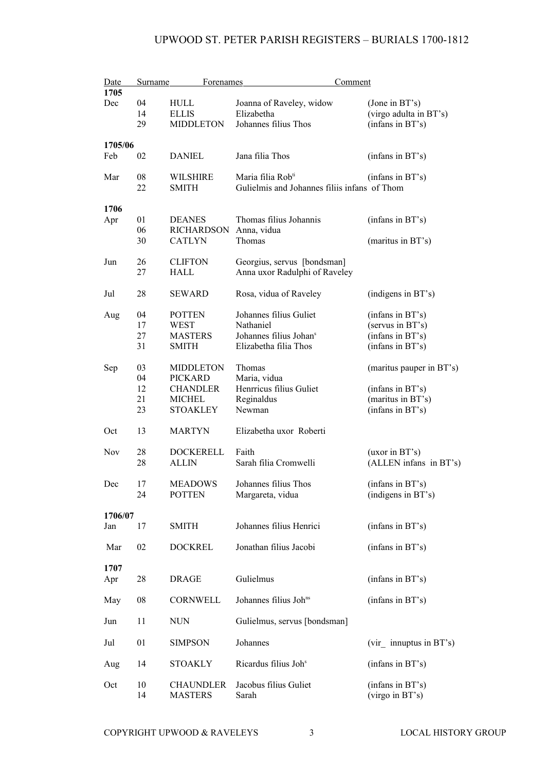| Date<br><b>Surname</b> |          | <b>Forenames</b>                 | Comment                                      |                                       |  |
|------------------------|----------|----------------------------------|----------------------------------------------|---------------------------------------|--|
| 1705                   |          |                                  |                                              |                                       |  |
| Dec                    | 04       | HULL                             | Joanna of Raveley, widow                     | (Jone in BT's)                        |  |
|                        | 14<br>29 | <b>ELLIS</b><br><b>MIDDLETON</b> | Elizabetha<br>Johannes filius Thos           | (virgo adulta in BT's)                |  |
|                        |          |                                  |                                              | (infans in BT's)                      |  |
| 1705/06                |          |                                  |                                              |                                       |  |
| Feb                    | 02       | <b>DANIEL</b>                    | Jana filia Thos                              | (infans in BT's)                      |  |
| Mar                    | 08       | <b>WILSHIRE</b>                  | Maria filia Rob <sup>ti</sup>                | (infans in BT's)                      |  |
|                        | 22       | <b>SMITH</b>                     | Gulielmis and Johannes filiis infans of Thom |                                       |  |
| 1706                   |          |                                  |                                              |                                       |  |
| Apr                    | 01       | <b>DEANES</b>                    | Thomas filius Johannis                       | (infans in BT's)                      |  |
|                        | 06       | <b>RICHARDSON</b>                | Anna, vidua                                  |                                       |  |
|                        | 30       | <b>CATLYN</b>                    | Thomas                                       | (maritus in BT's)                     |  |
| Jun                    | 26       | <b>CLIFTON</b>                   | Georgius, servus [bondsman]                  |                                       |  |
|                        | 27       | HALL                             | Anna uxor Radulphi of Raveley                |                                       |  |
| Jul                    | 28       | <b>SEWARD</b>                    | Rosa, vidua of Raveley                       | (indigens in BT's)                    |  |
|                        |          |                                  |                                              |                                       |  |
| Aug                    | 04       | <b>POTTEN</b><br>WEST            | Johannes filius Guliet<br>Nathaniel          | (infans in BT's)                      |  |
|                        | 17<br>27 | <b>MASTERS</b>                   | Johannes filius Johans                       | (servus in BT's)<br>(infans in BT's)  |  |
|                        | 31       | <b>SMITH</b>                     | Elizabetha filia Thos                        | (infans in BT's)                      |  |
|                        |          |                                  |                                              |                                       |  |
| Sep                    | 03       | <b>MIDDLETON</b>                 | Thomas                                       | (maritus pauper in BT's)              |  |
|                        | 04<br>12 | <b>PICKARD</b>                   | Maria, vidua<br>Henrricus filius Guliet      |                                       |  |
|                        | 21       | <b>CHANDLER</b><br><b>MICHEL</b> | Reginaldus                                   | (infans in BT's)<br>(maritus in BT's) |  |
|                        | 23       | <b>STOAKLEY</b>                  | Newman                                       | (infans in BT's)                      |  |
|                        |          |                                  |                                              |                                       |  |
| Oct                    | 13       | <b>MARTYN</b>                    | Elizabetha uxor Roberti                      |                                       |  |
| Nov                    | 28       | <b>DOCKERELL</b>                 | Faith                                        | (uxor in BT's)                        |  |
|                        | 28       | ALLIN                            | Sarah filia Cromwelli                        | (ALLEN infans in BT's)                |  |
| Dec                    | 17       | MEADOWS                          | Johannes filius Thos                         | (infans in BT's)                      |  |
|                        | 24       | <b>POTTEN</b>                    | Margareta, vidua                             | (indigens in BT's)                    |  |
|                        |          |                                  |                                              |                                       |  |
| 1706/07<br>Jan         | 17       | <b>SMITH</b>                     | Johannes filius Henrici                      | (infans in BT's)                      |  |
|                        |          |                                  |                                              |                                       |  |
| Mar                    | 02       | <b>DOCKREL</b>                   | Jonathan filius Jacobi                       | (infans in BT's)                      |  |
| 1707                   |          |                                  |                                              |                                       |  |
| Apr                    | 28       | <b>DRAGE</b>                     | Gulielmus                                    | (infans in BT's)                      |  |
| May                    | 08       | CORNWELL                         | Johannes filius Joh <sup>ns</sup>            | (infans in BT's)                      |  |
| Jun                    | 11       | <b>NUN</b>                       | Gulielmus, servus [bondsman]                 |                                       |  |
| Jul                    | 01       | <b>SIMPSON</b>                   | Johannes                                     | $(vir$ innuptus in BT's)              |  |
| Aug                    | 14       | <b>STOAKLY</b>                   | Ricardus filius Joh <sup>s</sup>             | (infans in BT's)                      |  |
| Oct                    | 10       | <b>CHAUNDLER</b>                 | Jacobus filius Guliet                        | (infans in BT's)                      |  |
|                        | 14       | <b>MASTERS</b>                   | Sarah                                        | (virgo in BT's)                       |  |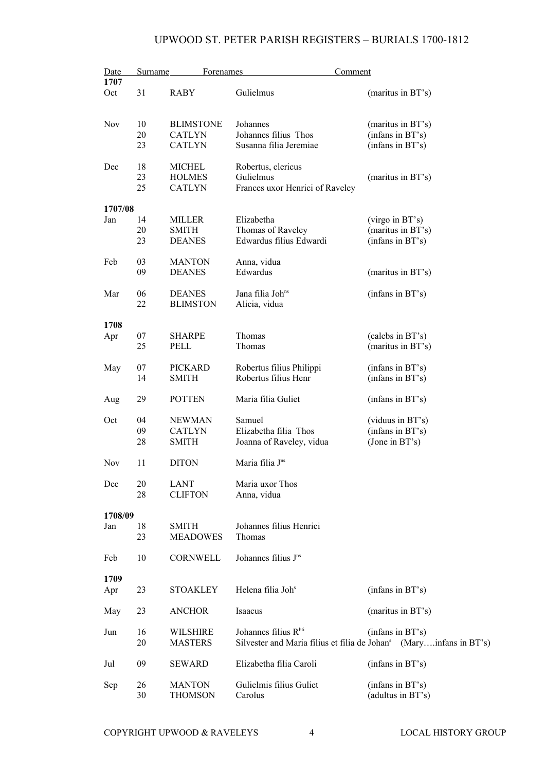| <b>Surname</b><br><b>Forenames</b><br>Comment<br>Date                                                  |  |  |
|--------------------------------------------------------------------------------------------------------|--|--|
| 1707                                                                                                   |  |  |
| Gulielmus<br>31<br><b>RABY</b><br>(maritus in BT's)<br>Oct                                             |  |  |
| 10<br><b>Nov</b><br><b>BLIMSTONE</b><br>Johannes<br>(maritus in BT's)                                  |  |  |
| 20<br><b>CATLYN</b><br>Johannes filius Thos                                                            |  |  |
| (infans in BT's)                                                                                       |  |  |
| Susanna filia Jeremiae<br>23<br><b>CATLYN</b><br>(infans in BT's)                                      |  |  |
| 18<br><b>MICHEL</b><br>Robertus, clericus<br>Dec                                                       |  |  |
| 23<br><b>HOLMES</b><br>Gulielmus<br>(maritus in BT's)                                                  |  |  |
| 25<br>Frances uxor Henrici of Raveley<br><b>CATLYN</b>                                                 |  |  |
|                                                                                                        |  |  |
| 1707/08                                                                                                |  |  |
| 14<br>Elizabetha<br>(virgo in BT's)<br>Jan<br>MILLER                                                   |  |  |
| 20<br>Thomas of Raveley<br>(maritus in BT's)<br><b>SMITH</b>                                           |  |  |
| 23<br>Edwardus filius Edwardi<br>(infans in BT's)<br><b>DEANES</b>                                     |  |  |
| Feb<br>03<br><b>MANTON</b><br>Anna, vidua                                                              |  |  |
| 09<br>Edwardus<br><b>DEANES</b><br>(maritus in BT's)                                                   |  |  |
|                                                                                                        |  |  |
| Jana filia Joh <sup>ns</sup><br>06<br><b>DEANES</b><br>(infans in BT's)<br>Mar                         |  |  |
| 22<br>Alicia, vidua<br><b>BLIMSTON</b>                                                                 |  |  |
|                                                                                                        |  |  |
| 1708                                                                                                   |  |  |
| 07<br><b>SHARPE</b><br>Thomas<br>(calebs in BT's)<br>Apr                                               |  |  |
| 25<br>Thomas<br>(maritus in BT's)<br>PELL                                                              |  |  |
| 07<br><b>PICKARD</b><br>Robertus filius Philippi<br>(infans in BT's)<br>May                            |  |  |
| Robertus filius Henr<br>(infans in BT's)<br>14<br><b>SMITH</b>                                         |  |  |
|                                                                                                        |  |  |
| 29<br><b>POTTEN</b><br>Maria filia Guliet<br>(infans in BT's)<br>Aug                                   |  |  |
|                                                                                                        |  |  |
| Samuel<br>04<br><b>NEWMAN</b><br>(viduus in BT's)<br>Oct                                               |  |  |
| 09<br><b>CATLYN</b><br>Elizabetha filia Thos<br>(infans in BT's)                                       |  |  |
| 28<br><b>SMITH</b><br>Joanna of Raveley, vidua<br>(Jone in BT's)                                       |  |  |
| Maria filia J <sup>ns</sup><br><b>Nov</b><br>11<br><b>DITON</b>                                        |  |  |
|                                                                                                        |  |  |
| 20<br>LANT<br>Maria uxor Thos<br>Dec<br>28                                                             |  |  |
| <b>CLIFTON</b><br>Anna, vidua                                                                          |  |  |
| 1708/09                                                                                                |  |  |
| 18<br>Johannes filius Henrici<br><b>SMITH</b><br>Jan                                                   |  |  |
| 23<br><b>MEADOWES</b><br>Thomas                                                                        |  |  |
|                                                                                                        |  |  |
| Johannes filius J <sup>ns</sup><br>10<br>CORNWELL<br>Feb                                               |  |  |
| 1709                                                                                                   |  |  |
| Helena filia Joh <sup>s</sup><br><b>STOAKLEY</b>                                                       |  |  |
| (infans in BT's)<br>23<br>Apr                                                                          |  |  |
| 23<br><b>ANCHOR</b><br>Isaacus<br>(maritus in BT's)<br>May                                             |  |  |
|                                                                                                        |  |  |
| Johannes filius R <sup>bti</sup><br>16<br><b>WILSHIRE</b><br>(infans in BT's)<br>Jun                   |  |  |
| 20<br>Silvester and Maria filius et filia de Johan <sup>s</sup> (Maryinfans in BT's)<br><b>MASTERS</b> |  |  |
|                                                                                                        |  |  |
| Elizabetha filia Caroli<br>Jul<br>09<br><b>SEWARD</b><br>(infans in BT's)                              |  |  |
| Gulielmis filius Guliet<br>26<br><b>MANTON</b><br>(infans in BT's)<br>Sep                              |  |  |
| 30<br>(adultus in BT's)<br><b>THOMSON</b><br>Carolus                                                   |  |  |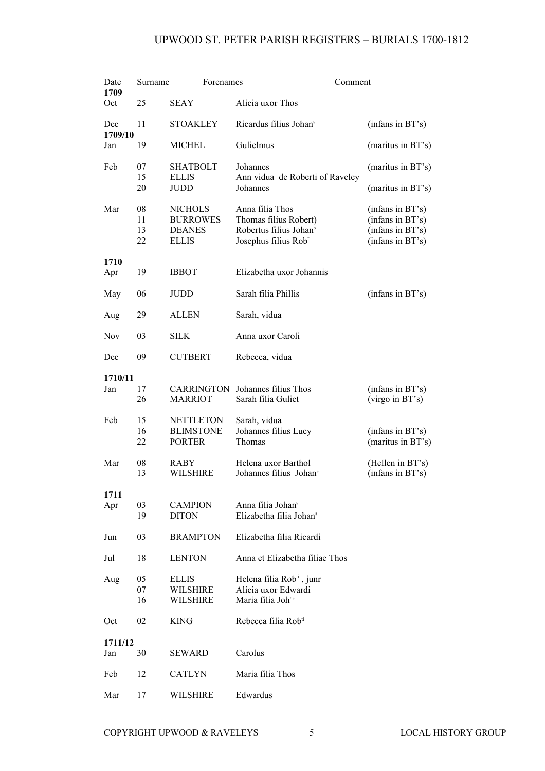| Date<br><b>Surname</b><br><b>Forenames</b> |          |                                | <u>Comment</u>                                            |                                      |
|--------------------------------------------|----------|--------------------------------|-----------------------------------------------------------|--------------------------------------|
| 1709                                       |          |                                |                                                           |                                      |
| Oct                                        | 25       | <b>SEAY</b>                    | Alicia uxor Thos                                          |                                      |
| Dec<br>1709/10                             | 11       | <b>STOAKLEY</b>                | Ricardus filius Johan <sup>s</sup>                        | (infans in BT's)                     |
| Jan                                        | 19       | <b>MICHEL</b>                  | Gulielmus                                                 | (maritus in BT's)                    |
| Feb                                        | 07       | <b>SHATBOLT</b>                | Johannes                                                  | (maritus in BT's)                    |
|                                            | 15       | <b>ELLIS</b>                   | Ann vidua de Roberti of Raveley                           |                                      |
|                                            | 20       | <b>JUDD</b>                    | Johannes                                                  | (maritus in BT's)                    |
| Mar                                        | 08       | <b>NICHOLS</b>                 | Anna filia Thos                                           | (infans in BT's)                     |
|                                            | 11       | <b>BURROWES</b>                | Thomas filius Robert)                                     | (infans in BT's)                     |
|                                            | 13       | <b>DEANES</b>                  | Robertus filius Johan <sup>s</sup>                        | (infans in BT's)                     |
|                                            | 22       | <b>ELLIS</b>                   | Josephus filius Rob <sup>ti</sup>                         | (infans in BT's)                     |
| 1710                                       |          |                                |                                                           |                                      |
| Apr                                        | 19       | <b>IBBOT</b>                   | Elizabetha uxor Johannis                                  |                                      |
|                                            |          |                                |                                                           |                                      |
| May                                        | 06       | <b>JUDD</b>                    | Sarah filia Phillis                                       | (infans in BT's)                     |
| Aug                                        | 29       | ALLEN                          | Sarah, vidua                                              |                                      |
| <b>Nov</b>                                 | 03       | <b>SILK</b>                    | Anna uxor Caroli                                          |                                      |
| Dec                                        | 09       | <b>CUTBERT</b>                 | Rebecca, vidua                                            |                                      |
| 1710/11                                    |          |                                |                                                           |                                      |
| Jan                                        | 17       | <b>CARRINGTON</b>              | Johannes filius Thos                                      | (infans in BT's)                     |
|                                            | 26       | <b>MARRIOT</b>                 | Sarah filia Guliet                                        | (virgo in BT's)                      |
| Feb                                        | 15       | <b>NETTLETON</b>               | Sarah, vidua                                              |                                      |
|                                            | 16       | <b>BLIMSTONE</b>               | Johannes filius Lucy                                      | (infans in BT's)                     |
|                                            | 22       | <b>PORTER</b>                  | Thomas                                                    | (maritus in BT's)                    |
|                                            |          |                                |                                                           |                                      |
| Mar                                        | 08<br>13 | <b>RABY</b><br><b>WILSHIRE</b> | Helena uxor Barthol<br>Johannes filius Johan <sup>s</sup> | (Hellen in BT's)<br>(infans in BT's) |
|                                            |          |                                |                                                           |                                      |
| 1711                                       |          |                                |                                                           |                                      |
| Apr                                        | 03       | <b>CAMPION</b>                 | Anna filia Johan <sup>s</sup>                             |                                      |
|                                            | 19       | <b>DITON</b>                   | Elizabetha filia Johan <sup>s</sup>                       |                                      |
| Jun                                        | 03       | <b>BRAMPTON</b>                | Elizabetha filia Ricardi                                  |                                      |
| Jul                                        | 18       | <b>LENTON</b>                  | Anna et Elizabetha filiae Thos                            |                                      |
| Aug                                        | 05       | <b>ELLIS</b>                   | Helena filia Rob <sup>ti</sup> , junr                     |                                      |
|                                            | 07       | <b>WILSHIRE</b>                | Alicia uxor Edwardi                                       |                                      |
|                                            | 16       | <b>WILSHIRE</b>                | Maria filia Joh <sup>ns</sup>                             |                                      |
| Oct                                        | 02       | <b>KING</b>                    | Rebecca filia Rob <sup>ti</sup>                           |                                      |
| 1711/12                                    |          |                                |                                                           |                                      |
| Jan                                        | 30       | SEWARD                         | Carolus                                                   |                                      |
|                                            |          |                                |                                                           |                                      |
| Feb                                        | 12       | <b>CATLYN</b>                  | Maria filia Thos                                          |                                      |
| Mar                                        | 17       | WILSHIRE                       | Edwardus                                                  |                                      |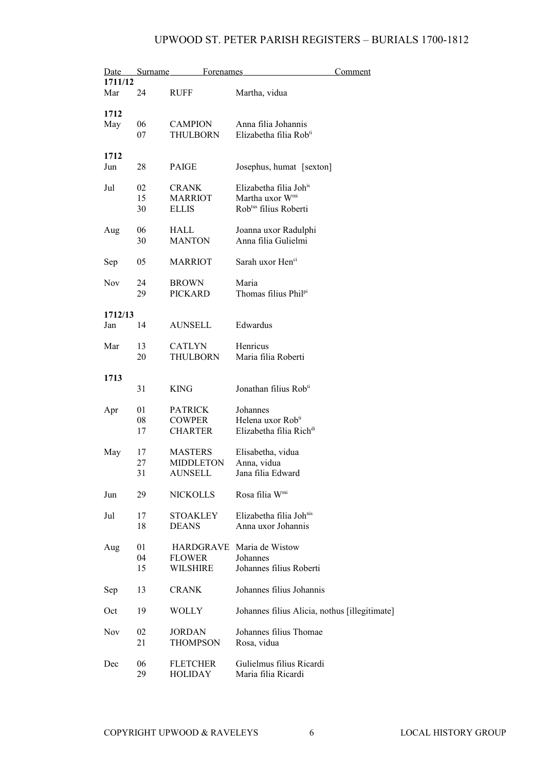|            | Date Surname | Forenames        |                                               | Comment |
|------------|--------------|------------------|-----------------------------------------------|---------|
| 1711/12    |              |                  |                                               |         |
| Mar        | 24           | <b>RUFF</b>      | Martha, vidua                                 |         |
|            |              |                  |                                               |         |
| 1712       |              |                  |                                               |         |
| May        | 06           | <b>CAMPION</b>   | Anna filia Johannis                           |         |
|            |              |                  | Elizabetha filia Rob <sup>ti</sup>            |         |
|            | 07           | THULBORN         |                                               |         |
|            |              |                  |                                               |         |
| 1712       |              |                  |                                               |         |
| Jun        | 28           | PAIGE            | Josephus, humat [sexton]                      |         |
|            |              |                  |                                               |         |
| Jul        | 02           | <b>CRANK</b>     | Elizabetha filia Joh <sup>is</sup>            |         |
|            | 15           | <b>MARRIOT</b>   | Martha uxor W <sup>mi</sup>                   |         |
|            | 30           | <b>ELLIS</b>     | Rob <sup>tus</sup> filius Roberti             |         |
|            |              |                  |                                               |         |
| Aug        | 06           | HALL             | Joanna uxor Radulphi                          |         |
|            | 30           | <b>MANTON</b>    | Anna filia Gulielmi                           |         |
|            |              |                  |                                               |         |
| Sep        | 05           | <b>MARRIOT</b>   | Sarah uxor Hen <sup>ci</sup>                  |         |
|            |              |                  |                                               |         |
|            |              |                  | Maria                                         |         |
| Nov        | 24           | <b>BROWN</b>     |                                               |         |
|            | 29           | <b>PICKARD</b>   | Thomas filius Phil <sup>pi</sup>              |         |
|            |              |                  |                                               |         |
| 1712/13    |              |                  |                                               |         |
| Jan        | 14           | AUNSELL          | Edwardus                                      |         |
|            |              |                  |                                               |         |
| Mar        | 13           | <b>CATLYN</b>    | Henricus                                      |         |
|            | 20           | <b>THULBORN</b>  | Maria filia Roberti                           |         |
|            |              |                  |                                               |         |
| 1713       |              |                  |                                               |         |
|            | 31           | <b>KING</b>      | Jonathan filius Rob <sup>ti</sup>             |         |
|            |              |                  |                                               |         |
| Apr        | 01           | <b>PATRICK</b>   | Johannes                                      |         |
|            | 08           | <b>COWPER</b>    | Helena uxor Rob <sup>ti</sup>                 |         |
|            |              |                  | Elizabetha filia Rich <sup>di</sup>           |         |
|            | 17           | <b>CHARTER</b>   |                                               |         |
|            |              |                  |                                               |         |
| May        | 17           | <b>MASTERS</b>   | Elisabetha, vidua                             |         |
|            | 27           | <b>MIDDLETON</b> | Anna, vidua                                   |         |
|            | 31           | AUNSELL          | Jana filia Edward                             |         |
|            |              |                  |                                               |         |
| Jun        | 29           | <b>NICKOLLS</b>  | Rosa filia Wmi                                |         |
|            |              |                  |                                               |         |
| Jul        | 17           | <b>STOAKLEY</b>  | Elizabetha filia Johnis                       |         |
|            | 18           | <b>DEANS</b>     | Anna uxor Johannis                            |         |
|            |              |                  |                                               |         |
| Aug        | 01           |                  | HARDGRAVE Maria de Wistow                     |         |
|            | 04           | <b>FLOWER</b>    | Johannes                                      |         |
|            | 15           | WILSHIRE         | Johannes filius Roberti                       |         |
|            |              |                  |                                               |         |
|            | 13           | <b>CRANK</b>     | Johannes filius Johannis                      |         |
| Sep        |              |                  |                                               |         |
|            |              |                  |                                               |         |
| Oct        | 19           | <b>WOLLY</b>     | Johannes filius Alicia, nothus [illegitimate] |         |
|            |              |                  |                                               |         |
| <b>Nov</b> | 02           | <b>JORDAN</b>    | Johannes filius Thomae                        |         |
|            | 21           | <b>THOMPSON</b>  | Rosa, vidua                                   |         |
|            |              |                  |                                               |         |
| Dec        | 06           | <b>FLETCHER</b>  | Gulielmus filius Ricardi                      |         |
|            | 29           | <b>HOLIDAY</b>   | Maria filia Ricardi                           |         |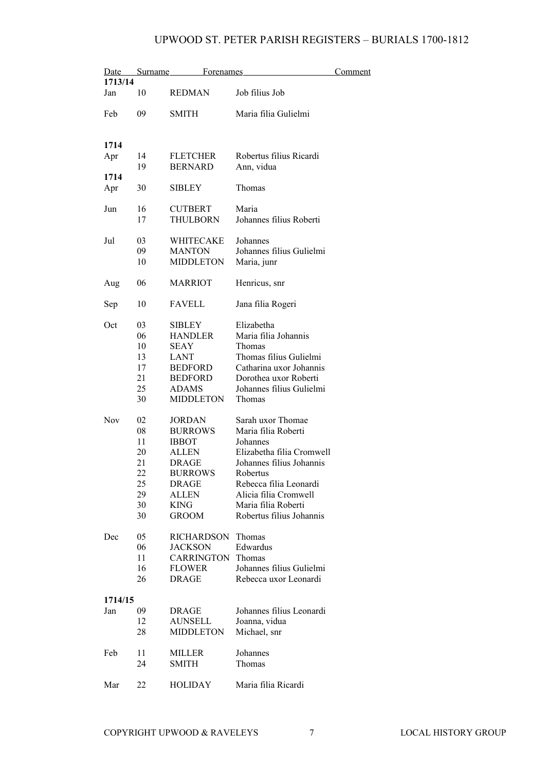|                | Date Surname | Forenames         |                           | Comment |
|----------------|--------------|-------------------|---------------------------|---------|
| 1713/14        |              |                   |                           |         |
| Jan            | 10           | <b>REDMAN</b>     | Job filius Job            |         |
| Feb            | 09           | <b>SMITH</b>      | Maria filia Gulielmi      |         |
|                |              |                   |                           |         |
| 1714           |              |                   |                           |         |
| Apr            | 14           | <b>FLETCHER</b>   | Robertus filius Ricardi   |         |
|                | 19           | <b>BERNARD</b>    | Ann, vidua                |         |
| 1714           |              |                   |                           |         |
| Apr            | 30           | <b>SIBLEY</b>     | Thomas                    |         |
| Jun            | 16           | <b>CUTBERT</b>    | Maria                     |         |
|                | 17           | THULBORN          | Johannes filius Roberti   |         |
| Jul            | 03           | WHITECAKE         | Johannes                  |         |
|                | 09           | <b>MANTON</b>     | Johannes filius Gulielmi  |         |
|                | 10           | <b>MIDDLETON</b>  | Maria, junr               |         |
| Aug            | 06           | <b>MARRIOT</b>    | Henricus, snr             |         |
| Sep            | 10           | <b>FAVELL</b>     | Jana filia Rogeri         |         |
| Oct            | 03           | <b>SIBLEY</b>     | Elizabetha                |         |
|                | 06           | <b>HANDLER</b>    | Maria filia Johannis      |         |
|                | 10           | SEAY              | Thomas                    |         |
|                | 13           | LANT              | Thomas filius Gulielmi    |         |
|                | 17           | <b>BEDFORD</b>    | Catharina uxor Johannis   |         |
|                | 21           | <b>BEDFORD</b>    | Dorothea uxor Roberti     |         |
|                | 25           | <b>ADAMS</b>      | Johannes filius Gulielmi  |         |
|                | 30           | <b>MIDDLETON</b>  | Thomas                    |         |
| <b>Nov</b>     | 02           | <b>JORDAN</b>     | Sarah uxor Thomae         |         |
|                | 08           | <b>BURROWS</b>    | Maria filia Roberti       |         |
|                | 11           | <b>IBBOT</b>      | Johannes                  |         |
|                | 20           | ALLEN             | Elizabetha filia Cromwell |         |
|                | 21           | DRAGE             | Johannes filius Johannis  |         |
|                | 22           | <b>BURROWS</b>    | Robertus                  |         |
|                | 25           | DRAGE             | Rebecca filia Leonardi    |         |
|                | 29           | ALLEN             | Alicia filia Cromwell     |         |
|                | 30           | <b>KING</b>       | Maria filia Roberti       |         |
|                | 30           | <b>GROOM</b>      | Robertus filius Johannis  |         |
| Dec            | 05           | RICHARDSON Thomas |                           |         |
|                | 06           | <b>JACKSON</b>    | Edwardus                  |         |
|                | 11           | <b>CARRINGTON</b> | Thomas                    |         |
|                | 16           | <b>FLOWER</b>     | Johannes filius Gulielmi  |         |
|                | 26           | DRAGE             | Rebecca uxor Leonardi     |         |
|                |              |                   |                           |         |
| 1714/15<br>Jan | 09           | <b>DRAGE</b>      | Johannes filius Leonardi  |         |
|                | 12           | <b>AUNSELL</b>    | Joanna, vidua             |         |
|                | 28           | <b>MIDDLETON</b>  | Michael, snr              |         |
|                |              |                   |                           |         |
| Feb            | 11           | MILLER            | Johannes                  |         |
|                | 24           | <b>SMITH</b>      | Thomas                    |         |
| Mar            | 22           | HOLIDAY           | Maria filia Ricardi       |         |
|                |              |                   |                           |         |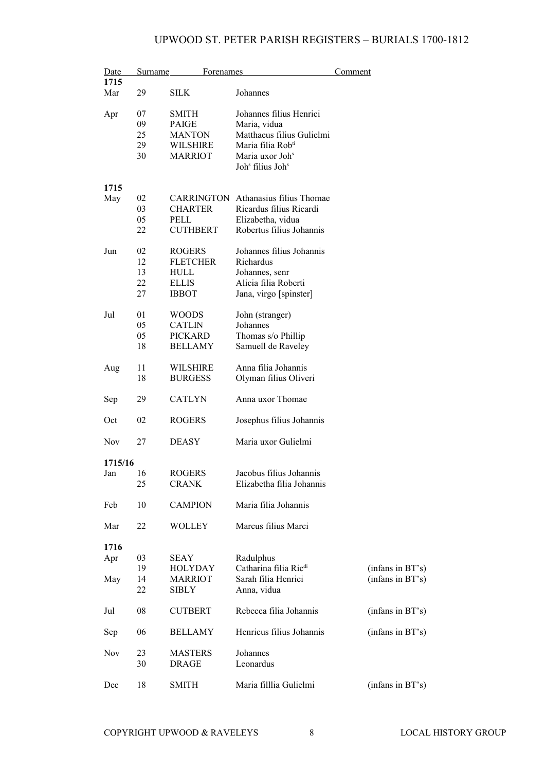| Date |            | Surname | <b>Forenames</b> |                                            | Comment          |  |
|------|------------|---------|------------------|--------------------------------------------|------------------|--|
|      | 1715       |         |                  |                                            |                  |  |
|      | Mar        | 29      | <b>SILK</b>      | Johannes                                   |                  |  |
|      | Apr        | 07      | SMITH            | Johannes filius Henrici                    |                  |  |
|      |            | 09      | PAIGE            | Maria, vidua                               |                  |  |
|      |            |         |                  |                                            |                  |  |
|      |            | 25      | <b>MANTON</b>    | Matthaeus filius Gulielmi                  |                  |  |
|      |            | 29      | <b>WILSHIRE</b>  | Maria filia Rob <sup>ti</sup>              |                  |  |
|      |            | 30      | <b>MARRIOT</b>   | Maria uxor Joh <sup>s</sup>                |                  |  |
|      |            |         |                  | Joh <sup>s</sup> filius Joh <sup>s</sup>   |                  |  |
|      | 1715       |         |                  |                                            |                  |  |
|      | May        | 02      |                  | <b>CARRINGTON</b> Athanasius filius Thomae |                  |  |
|      |            | 03      | <b>CHARTER</b>   | Ricardus filius Ricardi                    |                  |  |
|      |            | 05      | PELL             | Elizabetha, vidua                          |                  |  |
|      |            | 22      | <b>CUTHBERT</b>  | Robertus filius Johannis                   |                  |  |
|      | Jun        | 02      | <b>ROGERS</b>    | Johannes filius Johannis                   |                  |  |
|      |            | 12      | <b>FLETCHER</b>  | Richardus                                  |                  |  |
|      |            | 13      | HULL             | Johannes, senr                             |                  |  |
|      |            | 22      | <b>ELLIS</b>     | Alicia filia Roberti                       |                  |  |
|      |            |         |                  |                                            |                  |  |
|      |            | 27      | <b>IBBOT</b>     | Jana, virgo [spinster]                     |                  |  |
|      | Jul        | 01      | <b>WOODS</b>     | John (stranger)                            |                  |  |
|      |            | 05      | <b>CATLIN</b>    | Johannes                                   |                  |  |
|      |            | 05      | <b>PICKARD</b>   | Thomas s/o Phillip                         |                  |  |
|      |            | 18      | <b>BELLAMY</b>   | Samuell de Raveley                         |                  |  |
|      |            |         |                  |                                            |                  |  |
|      | Aug        | 11      | WILSHIRE         | Anna filia Johannis                        |                  |  |
|      |            | 18      | <b>BURGESS</b>   | Olyman filius Oliveri                      |                  |  |
|      |            |         |                  |                                            |                  |  |
|      | Sep        | 29      | <b>CATLYN</b>    | Anna uxor Thomae                           |                  |  |
|      | Oct        | 02      | <b>ROGERS</b>    | Josephus filius Johannis                   |                  |  |
|      | <b>Nov</b> | 27      | <b>DEASY</b>     | Maria uxor Gulielmi                        |                  |  |
|      |            |         |                  |                                            |                  |  |
|      | 1715/16    |         |                  |                                            |                  |  |
|      | Jan        | 16      | <b>ROGERS</b>    | Jacobus filius Johannis                    |                  |  |
|      |            | 25      | <b>CRANK</b>     | Elizabetha filia Johannis                  |                  |  |
|      | Feb        | 10      | <b>CAMPION</b>   | Maria filia Johannis                       |                  |  |
|      | Mar        | 22      | <b>WOLLEY</b>    | Marcus filius Marci                        |                  |  |
|      |            |         |                  |                                            |                  |  |
|      | 1716       |         |                  |                                            |                  |  |
|      | Apr        | 03      | <b>SEAY</b>      | Radulphus                                  |                  |  |
|      |            | 19      | HOLYDAY          | Catharina filia Ric <sup>di</sup>          | (infans in BT's) |  |
|      | May        | 14      | <b>MARRIOT</b>   | Sarah filia Henrici                        | (infans in BT's) |  |
|      |            | 22      | SIBLY            | Anna, vidua                                |                  |  |
|      |            |         |                  |                                            |                  |  |
|      | Jul        | 08      | <b>CUTBERT</b>   | Rebecca filia Johannis                     | (infans in BT's) |  |
|      |            |         |                  |                                            |                  |  |
|      | Sep        | 06      | <b>BELLAMY</b>   | Henricus filius Johannis                   | (infans in BT's) |  |
|      | Nov        | 23      | <b>MASTERS</b>   | Johannes                                   |                  |  |
|      |            | 30      | DRAGE            | Leonardus                                  |                  |  |
|      |            |         |                  |                                            |                  |  |
|      | Dec        | 18      | SMITH            | Maria filllia Gulielmi                     | (infans in BT's) |  |
|      |            |         |                  |                                            |                  |  |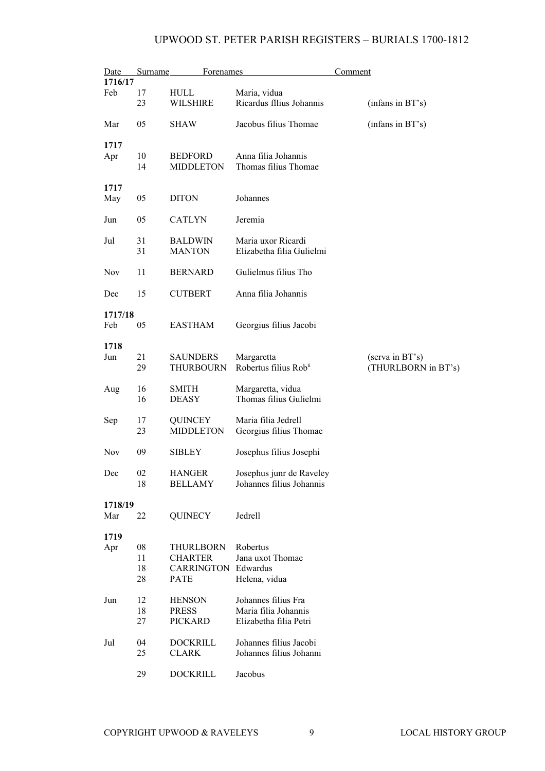| Date           | Surname  | <b>Forenames</b>                |                                                 | Comment |                     |
|----------------|----------|---------------------------------|-------------------------------------------------|---------|---------------------|
| 1716/17        |          |                                 |                                                 |         |                     |
| Feb            | 17<br>23 | HULL<br><b>WILSHIRE</b>         | Maria, vidua<br>Ricardus fllius Johannis        |         | (infans in BT's)    |
| Mar            | 05       | SHAW                            | Jacobus filius Thomae                           |         | (infans in BT's)    |
| 1717           |          |                                 |                                                 |         |                     |
| Apr            | 10       | <b>BEDFORD</b>                  | Anna filia Johannis                             |         |                     |
|                | 14       | <b>MIDDLETON</b>                | Thomas filius Thomae                            |         |                     |
| 1717           |          |                                 |                                                 |         |                     |
| May            | 05       | <b>DITON</b>                    | Johannes                                        |         |                     |
| Jun            | 05       | <b>CATLYN</b>                   | Jeremia                                         |         |                     |
| Jul            | 31<br>31 | <b>BALDWIN</b><br><b>MANTON</b> | Maria uxor Ricardi<br>Elizabetha filia Gulielmi |         |                     |
| <b>Nov</b>     | 11       | <b>BERNARD</b>                  | Gulielmus filius Tho                            |         |                     |
| Dec            | 15       | <b>CUTBERT</b>                  | Anna filia Johannis                             |         |                     |
| 1717/18        |          |                                 |                                                 |         |                     |
| Feb            | 05       | <b>EASTHAM</b>                  | Georgius filius Jacobi                          |         |                     |
| 1718           |          |                                 |                                                 |         |                     |
| Jun            | 21       | <b>SAUNDERS</b>                 | Margaretta                                      |         | (serva in BT's)     |
|                | 29       | THURBOURN                       | Robertus filius Rob <sup>ti</sup>               |         | (THURLBORN in BT's) |
|                |          |                                 |                                                 |         |                     |
| Aug            | 16       | SMITH                           | Margaretta, vidua                               |         |                     |
|                | 16       | <b>DEASY</b>                    | Thomas filius Gulielmi                          |         |                     |
| Sep            | 17       | <b>QUINCEY</b>                  | Maria filia Jedrell                             |         |                     |
|                | 23       | <b>MIDDLETON</b>                | Georgius filius Thomae                          |         |                     |
|                |          |                                 |                                                 |         |                     |
| <b>Nov</b>     | 09       | <b>SIBLEY</b>                   | Josephus filius Josephi                         |         |                     |
| Dec            | 02       | HANGER                          | Josephus junr de Raveley                        |         |                     |
|                | 18       | <b>BELLAMY</b>                  | Johannes filius Johannis                        |         |                     |
|                |          |                                 |                                                 |         |                     |
| 1718/19<br>Mar | 22       | <b>QUINECY</b>                  | Jedrell                                         |         |                     |
|                |          |                                 |                                                 |         |                     |
| 1719           |          |                                 |                                                 |         |                     |
| Apr            | 08       | <b>THURLBORN</b>                | Robertus                                        |         |                     |
|                | 11       | <b>CHARTER</b>                  | Jana uxot Thomae                                |         |                     |
|                | 18       | <b>CARRINGTON Edwardus</b>      |                                                 |         |                     |
|                | 28       | PATE                            | Helena, vidua                                   |         |                     |
| Jun            | 12       | <b>HENSON</b>                   | Johannes filius Fra                             |         |                     |
|                | 18       | <b>PRESS</b>                    | Maria filia Johannis                            |         |                     |
|                | 27       | <b>PICKARD</b>                  | Elizabetha filia Petri                          |         |                     |
|                |          |                                 |                                                 |         |                     |
| Jul            | 04       | <b>DOCKRILL</b>                 | Johannes filius Jacobi                          |         |                     |
|                | 25       | <b>CLARK</b>                    | Johannes filius Johanni                         |         |                     |
|                | 29       | <b>DOCKRILL</b>                 | Jacobus                                         |         |                     |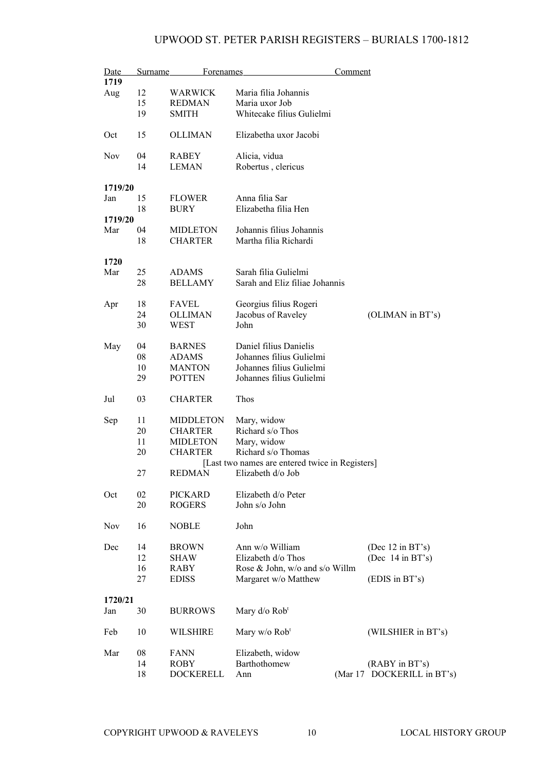| Date       | Surname | Forenames        |                                                 | Comment |                            |
|------------|---------|------------------|-------------------------------------------------|---------|----------------------------|
| 1719       |         |                  |                                                 |         |                            |
| Aug        | 12      | WARWICK          | Maria filia Johannis                            |         |                            |
|            | 15      | <b>REDMAN</b>    | Maria uxor Job                                  |         |                            |
|            | 19      | <b>SMITH</b>     | Whitecake filius Gulielmi                       |         |                            |
|            |         |                  |                                                 |         |                            |
| Oct        | 15      | <b>OLLIMAN</b>   | Elizabetha uxor Jacobi                          |         |                            |
|            |         |                  |                                                 |         |                            |
| <b>Nov</b> | 04      | <b>RABEY</b>     | Alicia, vidua                                   |         |                            |
|            | 14      | <b>LEMAN</b>     | Robertus, clericus                              |         |                            |
| 1719/20    |         |                  |                                                 |         |                            |
|            |         |                  |                                                 |         |                            |
| Jan        | 15      | <b>FLOWER</b>    | Anna filia Sar                                  |         |                            |
|            | 18      | <b>BURY</b>      | Elizabetha filia Hen                            |         |                            |
| 1719/20    |         |                  |                                                 |         |                            |
| Mar        | 04      | <b>MIDLETON</b>  | Johannis filius Johannis                        |         |                            |
|            | 18      | <b>CHARTER</b>   | Martha filia Richardi                           |         |                            |
|            |         |                  |                                                 |         |                            |
| 1720       |         |                  |                                                 |         |                            |
| Mar        | 25      | <b>ADAMS</b>     | Sarah filia Gulielmi                            |         |                            |
|            | 28      | <b>BELLAMY</b>   | Sarah and Eliz filiae Johannis                  |         |                            |
|            | 18      | <b>FAVEL</b>     | Georgius filius Rogeri                          |         |                            |
| Apr        |         |                  |                                                 |         |                            |
|            | 24      | <b>OLLIMAN</b>   | Jacobus of Raveley                              |         | (OLIMAN in BT's)           |
|            | 30      | WEST             | John                                            |         |                            |
| May        | 04      | <b>BARNES</b>    | Daniel filius Danielis                          |         |                            |
|            | 08      | <b>ADAMS</b>     | Johannes filius Gulielmi                        |         |                            |
|            |         |                  | Johannes filius Gulielmi                        |         |                            |
|            | 10      | <b>MANTON</b>    |                                                 |         |                            |
|            | 29      | <b>POTTEN</b>    | Johannes filius Gulielmi                        |         |                            |
| Jul        | 03      | <b>CHARTER</b>   | Thos                                            |         |                            |
|            |         |                  |                                                 |         |                            |
| Sep        | 11      | <b>MIDDLETON</b> | Mary, widow                                     |         |                            |
|            | 20      | <b>CHARTER</b>   | Richard s/o Thos                                |         |                            |
|            | 11      | <b>MIDLETON</b>  | Mary, widow                                     |         |                            |
|            | 20      | <b>CHARTER</b>   | Richard s/o Thomas                              |         |                            |
|            |         |                  | [Last two names are entered twice in Registers] |         |                            |
|            | 27      | <b>REDMAN</b>    | Elizabeth d/o Job                               |         |                            |
| Oct        | 02      | <b>PICKARD</b>   | Elizabeth d/o Peter                             |         |                            |
|            | 20      | <b>ROGERS</b>    | John s/o John                                   |         |                            |
|            |         |                  |                                                 |         |                            |
| Nov        | 16      | <b>NOBLE</b>     | John                                            |         |                            |
| Dec        | 14      | <b>BROWN</b>     | Ann w/o William                                 |         | (Dec $12$ in BT's)         |
|            | 12      |                  | Elizabeth d/o Thos                              |         |                            |
|            |         | <b>SHAW</b>      |                                                 |         | (Dec $14$ in BT's)         |
|            | 16      | <b>RABY</b>      | Rose & John, w/o and s/o Willm                  |         |                            |
|            | 27      | <b>EDISS</b>     | Margaret w/o Matthew                            |         | (EDIS in BT's)             |
| 1720/21    |         |                  |                                                 |         |                            |
| Jan        | 30      | <b>BURROWS</b>   | Mary d/o Rob <sup>t</sup>                       |         |                            |
|            |         |                  |                                                 |         |                            |
| Feb        | 10      | <b>WILSHIRE</b>  | Mary $w/o$ Rob <sup>t</sup>                     |         | (WILSHIER in BT's)         |
| Mar        | 08      | <b>FANN</b>      | Elizabeth, widow                                |         |                            |
|            | 14      | ROBY             | Barthothomew                                    |         | (RABY in BT's)             |
|            | 18      | <b>DOCKERELL</b> | Ann                                             |         | (Mar 17 DOCKERILL in BT's) |
|            |         |                  |                                                 |         |                            |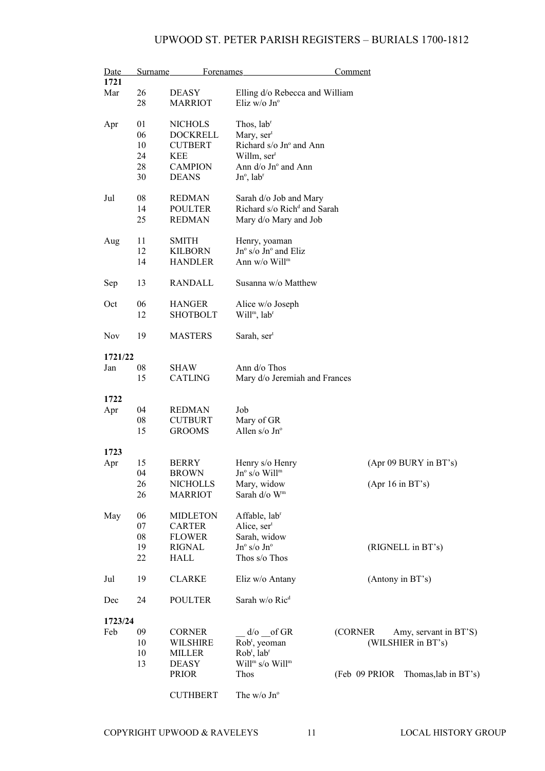| 1721<br>26<br>Mar<br><b>DEASY</b><br>Elling d/o Rebecca and William<br>28<br>Eliz w/o Jn°<br><b>MARRIOT</b><br>01<br>Thos, lab <sup>r</sup><br>Apr<br><b>NICHOLS</b><br>06<br><b>DOCKRELL</b><br>Mary, ser <sup>t</sup><br>10<br>Richard s/o Jn° and Ann<br><b>CUTBERT</b><br>24<br>Willm, ser <sup>t</sup><br>KEE<br>28<br><b>CAMPION</b><br>Ann $d$ /o Jn $\degree$ and Ann<br>30<br><b>DEANS</b><br>$Jn^{\circ}$ , lab <sup>r</sup><br>08<br>Sarah d/o Job and Mary<br>Jul<br><b>REDMAN</b><br>Richard s/o Rich <sup>d</sup> and Sarah<br>14<br><b>POULTER</b><br>25<br><b>REDMAN</b><br>Mary d/o Mary and Job<br>11<br>SMITH<br>Henry, yoaman<br>Aug<br>Jn° s/o Jn° and Eliz<br>12<br><b>KILBORN</b><br>Ann w/o Will <sup>m</sup><br>14<br><b>HANDLER</b><br>13<br><b>RANDALL</b><br>Susanna w/o Matthew<br>Sep<br>06<br><b>HANGER</b><br>Oct<br>Alice w/o Joseph<br>Will <sup>m</sup> , lab <sup>r</sup><br>12<br><b>SHOTBOLT</b><br>19<br>Sarah, ser <sup>t</sup><br>Nov<br><b>MASTERS</b><br>1721/22<br>Ann d/o Thos<br>Jan<br>08<br>SHAW<br>15<br><b>CATLING</b><br>Mary d/o Jeremiah and Frances<br>1722<br>04<br><b>REDMAN</b><br>Job<br>Apr<br>08<br>Mary of GR<br><b>CUTBURT</b><br>Allen s/o Jn°<br>15<br><b>GROOMS</b><br>1723<br>15<br>Henry s/o Henry<br>(Apr 09 BURY in BT's)<br>Apr<br><b>BERRY</b><br>04<br>$Jn^{\circ}$ s/o Will <sup>m</sup><br>BROWN<br>26<br>$(Apr 16$ in BT's)<br><b>NICHOLLS</b><br>Mary, widow<br>26<br>Sarah d/o Wm<br><b>MARRIOT</b><br>May<br>06<br><b>MIDLETON</b><br>Affable, lab <sup>r</sup><br>07<br><b>CARTER</b><br>Alice, ser <sup>t</sup><br>08<br><b>FLOWER</b><br>Sarah, widow<br>19<br>Jnº s/o Jnº<br>(RIGNELL in BT's)<br><b>RIGNAL</b><br>22<br>Thos s/o Thos<br>HALL<br>19<br><b>CLARKE</b><br>(Antony in BT's)<br>Jul<br>Eliz w/o Antany<br>Sarah w/o Ric <sup>d</sup><br><b>POULTER</b><br>24<br>Dec<br>1723/24<br>Feb<br>09<br>$d$ /o of GR<br>(CORNER<br><b>CORNER</b><br>Amy, servant in BT'S)<br>(WILSHIER in BT's)<br>10<br>WILSHIRE<br>Rob <sup>t</sup> , yeoman<br>10<br>$Robt$ , lab <sup>r</sup><br><b>MILLER</b><br>13<br>Will <sup>m</sup> s/o Will <sup>m</sup><br><b>DEASY</b><br><b>PRIOR</b><br>Thos<br>(Feb 09 PRIOR Thomas, lab in BT's) | Date | Surname | Forenames       |             | Comment |
|-------------------------------------------------------------------------------------------------------------------------------------------------------------------------------------------------------------------------------------------------------------------------------------------------------------------------------------------------------------------------------------------------------------------------------------------------------------------------------------------------------------------------------------------------------------------------------------------------------------------------------------------------------------------------------------------------------------------------------------------------------------------------------------------------------------------------------------------------------------------------------------------------------------------------------------------------------------------------------------------------------------------------------------------------------------------------------------------------------------------------------------------------------------------------------------------------------------------------------------------------------------------------------------------------------------------------------------------------------------------------------------------------------------------------------------------------------------------------------------------------------------------------------------------------------------------------------------------------------------------------------------------------------------------------------------------------------------------------------------------------------------------------------------------------------------------------------------------------------------------------------------------------------------------------------------------------------------------------------------------------------------------------------------------------------------------------------------------------------------------------------------------------------------------------------------------------------------------------|------|---------|-----------------|-------------|---------|
|                                                                                                                                                                                                                                                                                                                                                                                                                                                                                                                                                                                                                                                                                                                                                                                                                                                                                                                                                                                                                                                                                                                                                                                                                                                                                                                                                                                                                                                                                                                                                                                                                                                                                                                                                                                                                                                                                                                                                                                                                                                                                                                                                                                                                         |      |         |                 |             |         |
|                                                                                                                                                                                                                                                                                                                                                                                                                                                                                                                                                                                                                                                                                                                                                                                                                                                                                                                                                                                                                                                                                                                                                                                                                                                                                                                                                                                                                                                                                                                                                                                                                                                                                                                                                                                                                                                                                                                                                                                                                                                                                                                                                                                                                         |      |         |                 |             |         |
|                                                                                                                                                                                                                                                                                                                                                                                                                                                                                                                                                                                                                                                                                                                                                                                                                                                                                                                                                                                                                                                                                                                                                                                                                                                                                                                                                                                                                                                                                                                                                                                                                                                                                                                                                                                                                                                                                                                                                                                                                                                                                                                                                                                                                         |      |         |                 |             |         |
|                                                                                                                                                                                                                                                                                                                                                                                                                                                                                                                                                                                                                                                                                                                                                                                                                                                                                                                                                                                                                                                                                                                                                                                                                                                                                                                                                                                                                                                                                                                                                                                                                                                                                                                                                                                                                                                                                                                                                                                                                                                                                                                                                                                                                         |      |         |                 |             |         |
|                                                                                                                                                                                                                                                                                                                                                                                                                                                                                                                                                                                                                                                                                                                                                                                                                                                                                                                                                                                                                                                                                                                                                                                                                                                                                                                                                                                                                                                                                                                                                                                                                                                                                                                                                                                                                                                                                                                                                                                                                                                                                                                                                                                                                         |      |         |                 |             |         |
|                                                                                                                                                                                                                                                                                                                                                                                                                                                                                                                                                                                                                                                                                                                                                                                                                                                                                                                                                                                                                                                                                                                                                                                                                                                                                                                                                                                                                                                                                                                                                                                                                                                                                                                                                                                                                                                                                                                                                                                                                                                                                                                                                                                                                         |      |         |                 |             |         |
|                                                                                                                                                                                                                                                                                                                                                                                                                                                                                                                                                                                                                                                                                                                                                                                                                                                                                                                                                                                                                                                                                                                                                                                                                                                                                                                                                                                                                                                                                                                                                                                                                                                                                                                                                                                                                                                                                                                                                                                                                                                                                                                                                                                                                         |      |         |                 |             |         |
|                                                                                                                                                                                                                                                                                                                                                                                                                                                                                                                                                                                                                                                                                                                                                                                                                                                                                                                                                                                                                                                                                                                                                                                                                                                                                                                                                                                                                                                                                                                                                                                                                                                                                                                                                                                                                                                                                                                                                                                                                                                                                                                                                                                                                         |      |         |                 |             |         |
|                                                                                                                                                                                                                                                                                                                                                                                                                                                                                                                                                                                                                                                                                                                                                                                                                                                                                                                                                                                                                                                                                                                                                                                                                                                                                                                                                                                                                                                                                                                                                                                                                                                                                                                                                                                                                                                                                                                                                                                                                                                                                                                                                                                                                         |      |         |                 |             |         |
|                                                                                                                                                                                                                                                                                                                                                                                                                                                                                                                                                                                                                                                                                                                                                                                                                                                                                                                                                                                                                                                                                                                                                                                                                                                                                                                                                                                                                                                                                                                                                                                                                                                                                                                                                                                                                                                                                                                                                                                                                                                                                                                                                                                                                         |      |         |                 |             |         |
|                                                                                                                                                                                                                                                                                                                                                                                                                                                                                                                                                                                                                                                                                                                                                                                                                                                                                                                                                                                                                                                                                                                                                                                                                                                                                                                                                                                                                                                                                                                                                                                                                                                                                                                                                                                                                                                                                                                                                                                                                                                                                                                                                                                                                         |      |         |                 |             |         |
|                                                                                                                                                                                                                                                                                                                                                                                                                                                                                                                                                                                                                                                                                                                                                                                                                                                                                                                                                                                                                                                                                                                                                                                                                                                                                                                                                                                                                                                                                                                                                                                                                                                                                                                                                                                                                                                                                                                                                                                                                                                                                                                                                                                                                         |      |         |                 |             |         |
|                                                                                                                                                                                                                                                                                                                                                                                                                                                                                                                                                                                                                                                                                                                                                                                                                                                                                                                                                                                                                                                                                                                                                                                                                                                                                                                                                                                                                                                                                                                                                                                                                                                                                                                                                                                                                                                                                                                                                                                                                                                                                                                                                                                                                         |      |         |                 |             |         |
|                                                                                                                                                                                                                                                                                                                                                                                                                                                                                                                                                                                                                                                                                                                                                                                                                                                                                                                                                                                                                                                                                                                                                                                                                                                                                                                                                                                                                                                                                                                                                                                                                                                                                                                                                                                                                                                                                                                                                                                                                                                                                                                                                                                                                         |      |         |                 |             |         |
|                                                                                                                                                                                                                                                                                                                                                                                                                                                                                                                                                                                                                                                                                                                                                                                                                                                                                                                                                                                                                                                                                                                                                                                                                                                                                                                                                                                                                                                                                                                                                                                                                                                                                                                                                                                                                                                                                                                                                                                                                                                                                                                                                                                                                         |      |         |                 |             |         |
|                                                                                                                                                                                                                                                                                                                                                                                                                                                                                                                                                                                                                                                                                                                                                                                                                                                                                                                                                                                                                                                                                                                                                                                                                                                                                                                                                                                                                                                                                                                                                                                                                                                                                                                                                                                                                                                                                                                                                                                                                                                                                                                                                                                                                         |      |         |                 |             |         |
|                                                                                                                                                                                                                                                                                                                                                                                                                                                                                                                                                                                                                                                                                                                                                                                                                                                                                                                                                                                                                                                                                                                                                                                                                                                                                                                                                                                                                                                                                                                                                                                                                                                                                                                                                                                                                                                                                                                                                                                                                                                                                                                                                                                                                         |      |         |                 |             |         |
|                                                                                                                                                                                                                                                                                                                                                                                                                                                                                                                                                                                                                                                                                                                                                                                                                                                                                                                                                                                                                                                                                                                                                                                                                                                                                                                                                                                                                                                                                                                                                                                                                                                                                                                                                                                                                                                                                                                                                                                                                                                                                                                                                                                                                         |      |         |                 |             |         |
|                                                                                                                                                                                                                                                                                                                                                                                                                                                                                                                                                                                                                                                                                                                                                                                                                                                                                                                                                                                                                                                                                                                                                                                                                                                                                                                                                                                                                                                                                                                                                                                                                                                                                                                                                                                                                                                                                                                                                                                                                                                                                                                                                                                                                         |      |         |                 |             |         |
|                                                                                                                                                                                                                                                                                                                                                                                                                                                                                                                                                                                                                                                                                                                                                                                                                                                                                                                                                                                                                                                                                                                                                                                                                                                                                                                                                                                                                                                                                                                                                                                                                                                                                                                                                                                                                                                                                                                                                                                                                                                                                                                                                                                                                         |      |         |                 |             |         |
|                                                                                                                                                                                                                                                                                                                                                                                                                                                                                                                                                                                                                                                                                                                                                                                                                                                                                                                                                                                                                                                                                                                                                                                                                                                                                                                                                                                                                                                                                                                                                                                                                                                                                                                                                                                                                                                                                                                                                                                                                                                                                                                                                                                                                         |      |         |                 |             |         |
|                                                                                                                                                                                                                                                                                                                                                                                                                                                                                                                                                                                                                                                                                                                                                                                                                                                                                                                                                                                                                                                                                                                                                                                                                                                                                                                                                                                                                                                                                                                                                                                                                                                                                                                                                                                                                                                                                                                                                                                                                                                                                                                                                                                                                         |      |         |                 |             |         |
|                                                                                                                                                                                                                                                                                                                                                                                                                                                                                                                                                                                                                                                                                                                                                                                                                                                                                                                                                                                                                                                                                                                                                                                                                                                                                                                                                                                                                                                                                                                                                                                                                                                                                                                                                                                                                                                                                                                                                                                                                                                                                                                                                                                                                         |      |         |                 |             |         |
|                                                                                                                                                                                                                                                                                                                                                                                                                                                                                                                                                                                                                                                                                                                                                                                                                                                                                                                                                                                                                                                                                                                                                                                                                                                                                                                                                                                                                                                                                                                                                                                                                                                                                                                                                                                                                                                                                                                                                                                                                                                                                                                                                                                                                         |      |         |                 |             |         |
|                                                                                                                                                                                                                                                                                                                                                                                                                                                                                                                                                                                                                                                                                                                                                                                                                                                                                                                                                                                                                                                                                                                                                                                                                                                                                                                                                                                                                                                                                                                                                                                                                                                                                                                                                                                                                                                                                                                                                                                                                                                                                                                                                                                                                         |      |         |                 |             |         |
|                                                                                                                                                                                                                                                                                                                                                                                                                                                                                                                                                                                                                                                                                                                                                                                                                                                                                                                                                                                                                                                                                                                                                                                                                                                                                                                                                                                                                                                                                                                                                                                                                                                                                                                                                                                                                                                                                                                                                                                                                                                                                                                                                                                                                         |      |         |                 |             |         |
|                                                                                                                                                                                                                                                                                                                                                                                                                                                                                                                                                                                                                                                                                                                                                                                                                                                                                                                                                                                                                                                                                                                                                                                                                                                                                                                                                                                                                                                                                                                                                                                                                                                                                                                                                                                                                                                                                                                                                                                                                                                                                                                                                                                                                         |      |         |                 |             |         |
|                                                                                                                                                                                                                                                                                                                                                                                                                                                                                                                                                                                                                                                                                                                                                                                                                                                                                                                                                                                                                                                                                                                                                                                                                                                                                                                                                                                                                                                                                                                                                                                                                                                                                                                                                                                                                                                                                                                                                                                                                                                                                                                                                                                                                         |      |         |                 |             |         |
|                                                                                                                                                                                                                                                                                                                                                                                                                                                                                                                                                                                                                                                                                                                                                                                                                                                                                                                                                                                                                                                                                                                                                                                                                                                                                                                                                                                                                                                                                                                                                                                                                                                                                                                                                                                                                                                                                                                                                                                                                                                                                                                                                                                                                         |      |         |                 |             |         |
|                                                                                                                                                                                                                                                                                                                                                                                                                                                                                                                                                                                                                                                                                                                                                                                                                                                                                                                                                                                                                                                                                                                                                                                                                                                                                                                                                                                                                                                                                                                                                                                                                                                                                                                                                                                                                                                                                                                                                                                                                                                                                                                                                                                                                         |      |         |                 |             |         |
|                                                                                                                                                                                                                                                                                                                                                                                                                                                                                                                                                                                                                                                                                                                                                                                                                                                                                                                                                                                                                                                                                                                                                                                                                                                                                                                                                                                                                                                                                                                                                                                                                                                                                                                                                                                                                                                                                                                                                                                                                                                                                                                                                                                                                         |      |         |                 |             |         |
|                                                                                                                                                                                                                                                                                                                                                                                                                                                                                                                                                                                                                                                                                                                                                                                                                                                                                                                                                                                                                                                                                                                                                                                                                                                                                                                                                                                                                                                                                                                                                                                                                                                                                                                                                                                                                                                                                                                                                                                                                                                                                                                                                                                                                         |      |         |                 |             |         |
|                                                                                                                                                                                                                                                                                                                                                                                                                                                                                                                                                                                                                                                                                                                                                                                                                                                                                                                                                                                                                                                                                                                                                                                                                                                                                                                                                                                                                                                                                                                                                                                                                                                                                                                                                                                                                                                                                                                                                                                                                                                                                                                                                                                                                         |      |         |                 |             |         |
|                                                                                                                                                                                                                                                                                                                                                                                                                                                                                                                                                                                                                                                                                                                                                                                                                                                                                                                                                                                                                                                                                                                                                                                                                                                                                                                                                                                                                                                                                                                                                                                                                                                                                                                                                                                                                                                                                                                                                                                                                                                                                                                                                                                                                         |      |         |                 |             |         |
|                                                                                                                                                                                                                                                                                                                                                                                                                                                                                                                                                                                                                                                                                                                                                                                                                                                                                                                                                                                                                                                                                                                                                                                                                                                                                                                                                                                                                                                                                                                                                                                                                                                                                                                                                                                                                                                                                                                                                                                                                                                                                                                                                                                                                         |      |         |                 |             |         |
|                                                                                                                                                                                                                                                                                                                                                                                                                                                                                                                                                                                                                                                                                                                                                                                                                                                                                                                                                                                                                                                                                                                                                                                                                                                                                                                                                                                                                                                                                                                                                                                                                                                                                                                                                                                                                                                                                                                                                                                                                                                                                                                                                                                                                         |      |         |                 |             |         |
|                                                                                                                                                                                                                                                                                                                                                                                                                                                                                                                                                                                                                                                                                                                                                                                                                                                                                                                                                                                                                                                                                                                                                                                                                                                                                                                                                                                                                                                                                                                                                                                                                                                                                                                                                                                                                                                                                                                                                                                                                                                                                                                                                                                                                         |      |         |                 |             |         |
|                                                                                                                                                                                                                                                                                                                                                                                                                                                                                                                                                                                                                                                                                                                                                                                                                                                                                                                                                                                                                                                                                                                                                                                                                                                                                                                                                                                                                                                                                                                                                                                                                                                                                                                                                                                                                                                                                                                                                                                                                                                                                                                                                                                                                         |      |         |                 |             |         |
|                                                                                                                                                                                                                                                                                                                                                                                                                                                                                                                                                                                                                                                                                                                                                                                                                                                                                                                                                                                                                                                                                                                                                                                                                                                                                                                                                                                                                                                                                                                                                                                                                                                                                                                                                                                                                                                                                                                                                                                                                                                                                                                                                                                                                         |      |         |                 |             |         |
|                                                                                                                                                                                                                                                                                                                                                                                                                                                                                                                                                                                                                                                                                                                                                                                                                                                                                                                                                                                                                                                                                                                                                                                                                                                                                                                                                                                                                                                                                                                                                                                                                                                                                                                                                                                                                                                                                                                                                                                                                                                                                                                                                                                                                         |      |         |                 |             |         |
|                                                                                                                                                                                                                                                                                                                                                                                                                                                                                                                                                                                                                                                                                                                                                                                                                                                                                                                                                                                                                                                                                                                                                                                                                                                                                                                                                                                                                                                                                                                                                                                                                                                                                                                                                                                                                                                                                                                                                                                                                                                                                                                                                                                                                         |      |         |                 |             |         |
|                                                                                                                                                                                                                                                                                                                                                                                                                                                                                                                                                                                                                                                                                                                                                                                                                                                                                                                                                                                                                                                                                                                                                                                                                                                                                                                                                                                                                                                                                                                                                                                                                                                                                                                                                                                                                                                                                                                                                                                                                                                                                                                                                                                                                         |      |         |                 |             |         |
|                                                                                                                                                                                                                                                                                                                                                                                                                                                                                                                                                                                                                                                                                                                                                                                                                                                                                                                                                                                                                                                                                                                                                                                                                                                                                                                                                                                                                                                                                                                                                                                                                                                                                                                                                                                                                                                                                                                                                                                                                                                                                                                                                                                                                         |      |         |                 |             |         |
|                                                                                                                                                                                                                                                                                                                                                                                                                                                                                                                                                                                                                                                                                                                                                                                                                                                                                                                                                                                                                                                                                                                                                                                                                                                                                                                                                                                                                                                                                                                                                                                                                                                                                                                                                                                                                                                                                                                                                                                                                                                                                                                                                                                                                         |      |         |                 |             |         |
|                                                                                                                                                                                                                                                                                                                                                                                                                                                                                                                                                                                                                                                                                                                                                                                                                                                                                                                                                                                                                                                                                                                                                                                                                                                                                                                                                                                                                                                                                                                                                                                                                                                                                                                                                                                                                                                                                                                                                                                                                                                                                                                                                                                                                         |      |         |                 |             |         |
|                                                                                                                                                                                                                                                                                                                                                                                                                                                                                                                                                                                                                                                                                                                                                                                                                                                                                                                                                                                                                                                                                                                                                                                                                                                                                                                                                                                                                                                                                                                                                                                                                                                                                                                                                                                                                                                                                                                                                                                                                                                                                                                                                                                                                         |      |         |                 |             |         |
|                                                                                                                                                                                                                                                                                                                                                                                                                                                                                                                                                                                                                                                                                                                                                                                                                                                                                                                                                                                                                                                                                                                                                                                                                                                                                                                                                                                                                                                                                                                                                                                                                                                                                                                                                                                                                                                                                                                                                                                                                                                                                                                                                                                                                         |      |         |                 |             |         |
|                                                                                                                                                                                                                                                                                                                                                                                                                                                                                                                                                                                                                                                                                                                                                                                                                                                                                                                                                                                                                                                                                                                                                                                                                                                                                                                                                                                                                                                                                                                                                                                                                                                                                                                                                                                                                                                                                                                                                                                                                                                                                                                                                                                                                         |      |         |                 |             |         |
|                                                                                                                                                                                                                                                                                                                                                                                                                                                                                                                                                                                                                                                                                                                                                                                                                                                                                                                                                                                                                                                                                                                                                                                                                                                                                                                                                                                                                                                                                                                                                                                                                                                                                                                                                                                                                                                                                                                                                                                                                                                                                                                                                                                                                         |      |         |                 |             |         |
|                                                                                                                                                                                                                                                                                                                                                                                                                                                                                                                                                                                                                                                                                                                                                                                                                                                                                                                                                                                                                                                                                                                                                                                                                                                                                                                                                                                                                                                                                                                                                                                                                                                                                                                                                                                                                                                                                                                                                                                                                                                                                                                                                                                                                         |      |         |                 |             |         |
|                                                                                                                                                                                                                                                                                                                                                                                                                                                                                                                                                                                                                                                                                                                                                                                                                                                                                                                                                                                                                                                                                                                                                                                                                                                                                                                                                                                                                                                                                                                                                                                                                                                                                                                                                                                                                                                                                                                                                                                                                                                                                                                                                                                                                         |      |         |                 |             |         |
|                                                                                                                                                                                                                                                                                                                                                                                                                                                                                                                                                                                                                                                                                                                                                                                                                                                                                                                                                                                                                                                                                                                                                                                                                                                                                                                                                                                                                                                                                                                                                                                                                                                                                                                                                                                                                                                                                                                                                                                                                                                                                                                                                                                                                         |      |         |                 |             |         |
|                                                                                                                                                                                                                                                                                                                                                                                                                                                                                                                                                                                                                                                                                                                                                                                                                                                                                                                                                                                                                                                                                                                                                                                                                                                                                                                                                                                                                                                                                                                                                                                                                                                                                                                                                                                                                                                                                                                                                                                                                                                                                                                                                                                                                         |      |         |                 |             |         |
|                                                                                                                                                                                                                                                                                                                                                                                                                                                                                                                                                                                                                                                                                                                                                                                                                                                                                                                                                                                                                                                                                                                                                                                                                                                                                                                                                                                                                                                                                                                                                                                                                                                                                                                                                                                                                                                                                                                                                                                                                                                                                                                                                                                                                         |      |         |                 |             |         |
|                                                                                                                                                                                                                                                                                                                                                                                                                                                                                                                                                                                                                                                                                                                                                                                                                                                                                                                                                                                                                                                                                                                                                                                                                                                                                                                                                                                                                                                                                                                                                                                                                                                                                                                                                                                                                                                                                                                                                                                                                                                                                                                                                                                                                         |      |         |                 |             |         |
|                                                                                                                                                                                                                                                                                                                                                                                                                                                                                                                                                                                                                                                                                                                                                                                                                                                                                                                                                                                                                                                                                                                                                                                                                                                                                                                                                                                                                                                                                                                                                                                                                                                                                                                                                                                                                                                                                                                                                                                                                                                                                                                                                                                                                         |      |         |                 |             |         |
|                                                                                                                                                                                                                                                                                                                                                                                                                                                                                                                                                                                                                                                                                                                                                                                                                                                                                                                                                                                                                                                                                                                                                                                                                                                                                                                                                                                                                                                                                                                                                                                                                                                                                                                                                                                                                                                                                                                                                                                                                                                                                                                                                                                                                         |      |         |                 |             |         |
|                                                                                                                                                                                                                                                                                                                                                                                                                                                                                                                                                                                                                                                                                                                                                                                                                                                                                                                                                                                                                                                                                                                                                                                                                                                                                                                                                                                                                                                                                                                                                                                                                                                                                                                                                                                                                                                                                                                                                                                                                                                                                                                                                                                                                         |      |         |                 |             |         |
|                                                                                                                                                                                                                                                                                                                                                                                                                                                                                                                                                                                                                                                                                                                                                                                                                                                                                                                                                                                                                                                                                                                                                                                                                                                                                                                                                                                                                                                                                                                                                                                                                                                                                                                                                                                                                                                                                                                                                                                                                                                                                                                                                                                                                         |      |         |                 |             |         |
|                                                                                                                                                                                                                                                                                                                                                                                                                                                                                                                                                                                                                                                                                                                                                                                                                                                                                                                                                                                                                                                                                                                                                                                                                                                                                                                                                                                                                                                                                                                                                                                                                                                                                                                                                                                                                                                                                                                                                                                                                                                                                                                                                                                                                         |      |         |                 |             |         |
|                                                                                                                                                                                                                                                                                                                                                                                                                                                                                                                                                                                                                                                                                                                                                                                                                                                                                                                                                                                                                                                                                                                                                                                                                                                                                                                                                                                                                                                                                                                                                                                                                                                                                                                                                                                                                                                                                                                                                                                                                                                                                                                                                                                                                         |      |         |                 |             |         |
|                                                                                                                                                                                                                                                                                                                                                                                                                                                                                                                                                                                                                                                                                                                                                                                                                                                                                                                                                                                                                                                                                                                                                                                                                                                                                                                                                                                                                                                                                                                                                                                                                                                                                                                                                                                                                                                                                                                                                                                                                                                                                                                                                                                                                         |      |         | <b>CUTHBERT</b> | The w/o Jn° |         |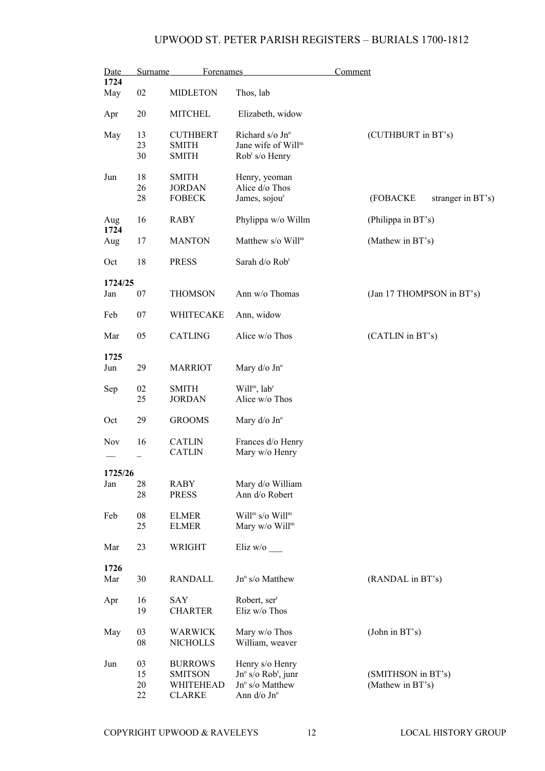| Date<br>1724   | Surname                  | <b>Forenames</b>                                               |                                                                                               | Comment                                |
|----------------|--------------------------|----------------------------------------------------------------|-----------------------------------------------------------------------------------------------|----------------------------------------|
| May            | 02                       | <b>MIDLETON</b>                                                | Thos, lab                                                                                     |                                        |
| Apr            | 20                       | <b>MITCHEL</b>                                                 | Elizabeth, widow                                                                              |                                        |
| May            | 13<br>23<br>30           | <b>CUTHBERT</b><br><b>SMITH</b><br><b>SMITH</b>                | Richard s/o Jn°<br>Jane wife of Will <sup>m</sup><br>$Robt s/o$ Henry                         | (CUTHBURT in BT's)                     |
| Jun            | 18<br>26<br>28           | <b>SMITH</b><br><b>JORDAN</b><br><b>FOBECK</b>                 | Henry, yeoman<br>Alice d/o Thos<br>James, sojou <sup>r</sup>                                  | (FOBACKE<br>stranger in BT's)          |
| Aug<br>1724    | 16                       | <b>RABY</b>                                                    | Phylippa w/o Willm                                                                            | (Philippa in BT's)                     |
| Aug            | 17                       | <b>MANTON</b>                                                  | Matthew s/o Will <sup>m</sup>                                                                 | (Mathew in BT's)                       |
| Oct            | 18                       | <b>PRESS</b>                                                   | Sarah d/o Rob <sup>t</sup>                                                                    |                                        |
| 1724/25<br>Jan | 07                       | <b>THOMSON</b>                                                 | Ann w/o Thomas                                                                                | (Jan 17 THOMPSON in BT's)              |
| Feb            | 07                       | WHITECAKE                                                      | Ann, widow                                                                                    |                                        |
| Mar            | 05                       | <b>CATLING</b>                                                 | Alice w/o Thos                                                                                | (CATLIN in BT's)                       |
| 1725<br>Jun    | 29                       | <b>MARRIOT</b>                                                 | Mary $d$ /o Jn $\degree$                                                                      |                                        |
| Sep            | 02<br>25                 | <b>SMITH</b><br><b>JORDAN</b>                                  | Will <sup>m</sup> , lab <sup>r</sup><br>Alice w/o Thos                                        |                                        |
| Oct            | 29                       | <b>GROOMS</b>                                                  | Mary $d$ /o Jn $\degree$                                                                      |                                        |
| Nov            | 16                       | <b>CATLIN</b><br><b>CATLIN</b>                                 | Frances d/o Henry<br>Mary w/o Henry                                                           |                                        |
| 1725/26        |                          |                                                                |                                                                                               |                                        |
| Jan            | 28<br>28                 | RABY<br><b>PRESS</b>                                           | Mary d/o William<br>Ann d/o Robert                                                            |                                        |
| Feb            | ${\bf 08}$<br>25         | <b>ELMER</b><br><b>ELMER</b>                                   | Will <sup>m</sup> s/o Will <sup>m</sup><br>Mary w/o Will <sup>m</sup>                         |                                        |
| Mar            | 23                       | WRIGHT                                                         | Eliz w/o                                                                                      |                                        |
| 1726<br>Mar    | 30                       | <b>RANDALL</b>                                                 | Jnº s/o Matthew                                                                               | (RANDAL in BT's)                       |
| Apr            | 16<br>19                 | <b>SAY</b><br><b>CHARTER</b>                                   | Robert, ser <sup>t</sup><br>Eliz w/o Thos                                                     |                                        |
| May            | 03<br>${\bf 08}$         | <b>WARWICK</b><br><b>NICHOLLS</b>                              | Mary w/o Thos<br>William, weaver                                                              | (John in BT's)                         |
| Jun            | 03<br>15<br>$20\,$<br>22 | <b>BURROWS</b><br><b>SMITSON</b><br>WHITEHEAD<br><b>CLARKE</b> | Henry s/o Henry<br>$Jn^{\circ}$ s/o Rob <sup>t</sup> , junr<br>Jnº s/o Matthew<br>Ann d/o Jn° | (SMITHSON in BT's)<br>(Mathew in BT's) |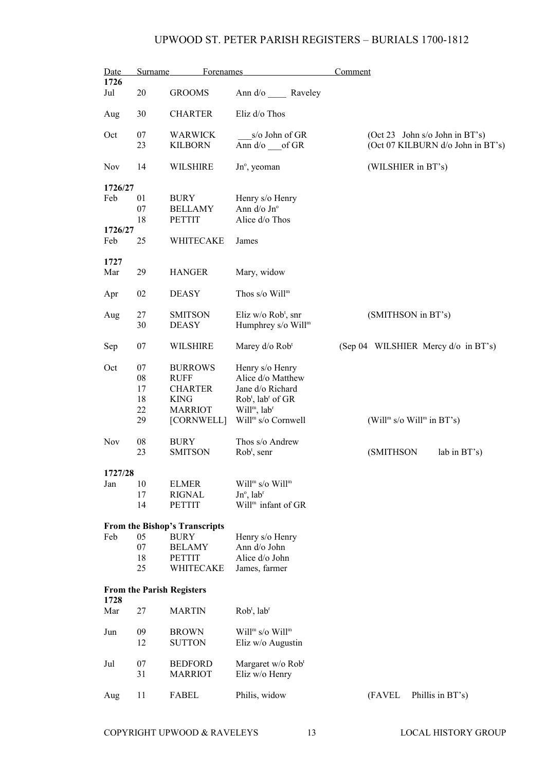| Date        | Surname  | Forenames                        |                                                         | Comment                                                             |
|-------------|----------|----------------------------------|---------------------------------------------------------|---------------------------------------------------------------------|
| 1726<br>Jul | 20       | <b>GROOMS</b>                    | Ann d/o Raveley                                         |                                                                     |
| Aug         | 30       | <b>CHARTER</b>                   | Eliz d/o Thos                                           |                                                                     |
| Oct         | 07<br>23 | <b>WARWICK</b><br><b>KILBORN</b> | s/o John of GR<br>Ann $d$ / $o$ of GR                   | (Oct 23 John s/o John in BT's)<br>(Oct 07 KILBURN d/o John in BT's) |
| Nov         | 14       | <b>WILSHIRE</b>                  | Jn°, yeoman                                             | (WILSHIER in BT's)                                                  |
| 1726/27     |          |                                  |                                                         |                                                                     |
| Feb         | 01       | <b>BURY</b>                      | Henry s/o Henry                                         |                                                                     |
|             | 07       | <b>BELLAMY</b>                   | Ann d/o Jn°                                             |                                                                     |
|             | 18       | <b>PETTIT</b>                    | Alice d/o Thos                                          |                                                                     |
| 1726/27     |          |                                  |                                                         |                                                                     |
| Feb         | 25       | WHITECAKE                        | James                                                   |                                                                     |
| 1727        |          |                                  |                                                         |                                                                     |
| Mar         | 29       | <b>HANGER</b>                    | Mary, widow                                             |                                                                     |
| Apr         | 02       | <b>DEASY</b>                     | Thos $s$ /o Will <sup>m</sup>                           |                                                                     |
|             |          |                                  |                                                         |                                                                     |
| Aug         | 27<br>30 | <b>SMITSON</b><br><b>DEASY</b>   | Eliz w/o $Robt$ , snr<br>Humphrey s/o Will <sup>m</sup> | (SMITHSON in BT's)                                                  |
|             |          |                                  |                                                         |                                                                     |
| Sep         | 07       | <b>WILSHIRE</b>                  | Marey d/o Rob <sup>t</sup>                              | (Sep 04 WILSHIER Mercy d/o in BT's)                                 |
| Oct         | 07       | <b>BURROWS</b>                   | Henry s/o Henry                                         |                                                                     |
|             | 08       | <b>RUFF</b>                      | Alice d/o Matthew                                       |                                                                     |
|             | 17       | <b>CHARTER</b>                   | Jane d/o Richard                                        |                                                                     |
|             | 18       | <b>KING</b>                      | Rob <sup>t</sup> , lab <sup>r</sup> of GR               |                                                                     |
|             | 22       | <b>MARRIOT</b>                   | Will <sup>m</sup> , lab <sup>r</sup>                    |                                                                     |
|             | 29       | [CORNWELL]                       | Will <sup>m</sup> s/o Cornwell                          | (Will <sup>m</sup> s/o Will <sup>m</sup> in BT's)                   |
|             |          |                                  |                                                         |                                                                     |
| Nov         | 08       | <b>BURY</b>                      | Thos s/o Andrew                                         |                                                                     |
|             | 23       | <b>SMITSON</b>                   | $Robt$ , senr                                           | (SMITHSON<br>lab in BT's)                                           |
| 1727/28     |          |                                  |                                                         |                                                                     |
| Jan         | 10       | <b>ELMER</b>                     | Will <sup>m</sup> s/o Will <sup>m</sup>                 |                                                                     |
|             | 17       | <b>RIGNAL</b>                    | $Jn^{\circ}$ , lab <sup>r</sup>                         |                                                                     |
|             | 14       | <b>PETTIT</b>                    | Will <sup>m</sup> infant of GR                          |                                                                     |
|             |          |                                  |                                                         |                                                                     |
|             |          | From the Bishop's Transcripts    |                                                         |                                                                     |
| Feb         | 05       | <b>BURY</b>                      | Henry s/o Henry                                         |                                                                     |
|             | 07       | <b>BELAMY</b>                    | Ann d/o John                                            |                                                                     |
|             | 18       | <b>PETTIT</b>                    | Alice d/o John                                          |                                                                     |
|             | 25       | WHITECAKE                        | James, farmer                                           |                                                                     |
|             |          |                                  |                                                         |                                                                     |
| 1728        |          | <b>From the Parish Registers</b> |                                                         |                                                                     |
| Mar         | 27       | <b>MARTIN</b>                    | Rob <sup>t</sup> , lab <sup>r</sup>                     |                                                                     |
| Jun         | 09       | <b>BROWN</b>                     | Will <sup>m</sup> s/o Will <sup>m</sup>                 |                                                                     |
|             | 12       | <b>SUTTON</b>                    | Eliz w/o Augustin                                       |                                                                     |
|             |          |                                  |                                                         |                                                                     |
| Jul         | 07       | <b>BEDFORD</b>                   | Margaret w/o Rob <sup>t</sup>                           |                                                                     |
|             | 31       | <b>MARRIOT</b>                   | Eliz w/o Henry                                          |                                                                     |
|             |          |                                  |                                                         |                                                                     |
| Aug         | 11       | FABEL                            | Philis, widow                                           | (FAVEL<br>Phillis in BT's)                                          |
|             |          |                                  |                                                         |                                                                     |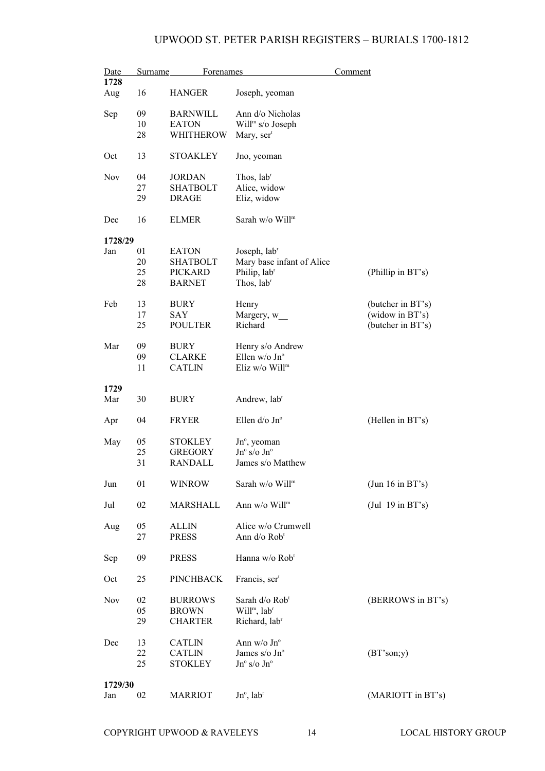| Date    | <b>Surname</b> | <b>Forenames</b> |                                      | Comment             |
|---------|----------------|------------------|--------------------------------------|---------------------|
| 1728    |                |                  |                                      |                     |
| Aug     | 16             | <b>HANGER</b>    | Joseph, yeoman                       |                     |
| Sep     | 09             | <b>BARNWILL</b>  | Ann d/o Nicholas                     |                     |
|         | 10             | <b>EATON</b>     | Will <sup>m</sup> s/o Joseph         |                     |
|         | 28             | WHITHEROW        | Mary, ser <sup>t</sup>               |                     |
| Oct     | 13             | <b>STOAKLEY</b>  | Jno, yeoman                          |                     |
|         |                |                  |                                      |                     |
| Nov     | 04             | <b>JORDAN</b>    | Thos, lab <sup>r</sup>               |                     |
|         | 27             | <b>SHATBOLT</b>  | Alice, widow                         |                     |
|         | 29             | <b>DRAGE</b>     | Eliz, widow                          |                     |
| Dec     | 16             | <b>ELMER</b>     | Sarah w/o Will <sup>m</sup>          |                     |
| 1728/29 |                |                  |                                      |                     |
| Jan     | 01             | <b>EATON</b>     | Joseph, lab <sup>r</sup>             |                     |
|         | 20             | SHATBOLT         | Mary base infant of Alice            |                     |
|         | 25             | <b>PICKARD</b>   | Philip, labr                         | (Phillip in BT's)   |
|         | 28             | <b>BARNET</b>    | Thos, lab <sup>r</sup>               |                     |
|         |                |                  |                                      |                     |
| Feb     | 13             | BURY             | Henry                                | (butcher in BT's)   |
|         | 17             | <b>SAY</b>       | Margery, w_                          | (widow in BT's)     |
|         | 25             | <b>POULTER</b>   | Richard                              | (butcher in BT's)   |
|         |                |                  |                                      |                     |
| Mar     | 09             | <b>BURY</b>      | Henry s/o Andrew                     |                     |
|         | 09             | <b>CLARKE</b>    | Ellen w/o Jn°                        |                     |
|         | 11             | <b>CATLIN</b>    | Eliz w/o Will <sup>m</sup>           |                     |
|         |                |                  |                                      |                     |
| 1729    |                |                  |                                      |                     |
| Mar     | 30             | <b>BURY</b>      | Andrew, lab <sup>r</sup>             |                     |
|         |                |                  |                                      |                     |
| Apr     | 04             | <b>FRYER</b>     | Ellen d/o Jn°                        | (Hellen in BT's)    |
|         |                |                  |                                      |                     |
| May     | 05             | <b>STOKLEY</b>   | $Jn^{\circ}$ , yeoman                |                     |
|         | 25             | <b>GREGORY</b>   | $Jn^{\circ}$ s/o $Jn^{\circ}$        |                     |
|         | 31             | <b>RANDALL</b>   | James s/o Matthew                    |                     |
|         |                |                  |                                      |                     |
| Jun     | 01             | <b>WINROW</b>    | Sarah w/o Will <sup>m</sup>          | (Jun 16 in BT's)    |
| Jul     | 02             | MARSHALL         | Ann w/o Will <sup>m</sup>            | $($ Jul 19 in BT's) |
|         |                |                  |                                      |                     |
| Aug     | 05             | <b>ALLIN</b>     | Alice w/o Crumwell                   |                     |
|         | 27             | <b>PRESS</b>     | Ann d/o Rob <sup>t</sup>             |                     |
|         |                |                  |                                      |                     |
| Sep     | 09             | <b>PRESS</b>     | Hanna w/o Rob <sup>t</sup>           |                     |
|         |                |                  |                                      |                     |
| Oct     | 25             | <b>PINCHBACK</b> | Francis, ser <sup>t</sup>            |                     |
|         |                |                  |                                      |                     |
| Nov     | 02             | <b>BURROWS</b>   | Sarah d/o Rob <sup>t</sup>           | (BERROWS in BT's)   |
|         | 05             | <b>BROWN</b>     | Will <sup>m</sup> , lab <sup>r</sup> |                     |
|         | 29             | <b>CHARTER</b>   | Richard, lab <sup>r</sup>            |                     |
|         |                |                  |                                      |                     |
| Dec     | 13             | <b>CATLIN</b>    | Ann w/o Jn°                          |                     |
|         | 22             | <b>CATLIN</b>    | James s/o Jn°                        | (BT'son; y)         |
|         | 25             | <b>STOKLEY</b>   | $Jn^{\circ}$ s/o $Jn^{\circ}$        |                     |
|         |                |                  |                                      |                     |
| 1729/30 |                |                  |                                      |                     |
| Jan     | 02             | <b>MARRIOT</b>   | $Jn^{\circ}$ , lab <sup>r</sup>      | (MARIOTT in BT's)   |
|         |                |                  |                                      |                     |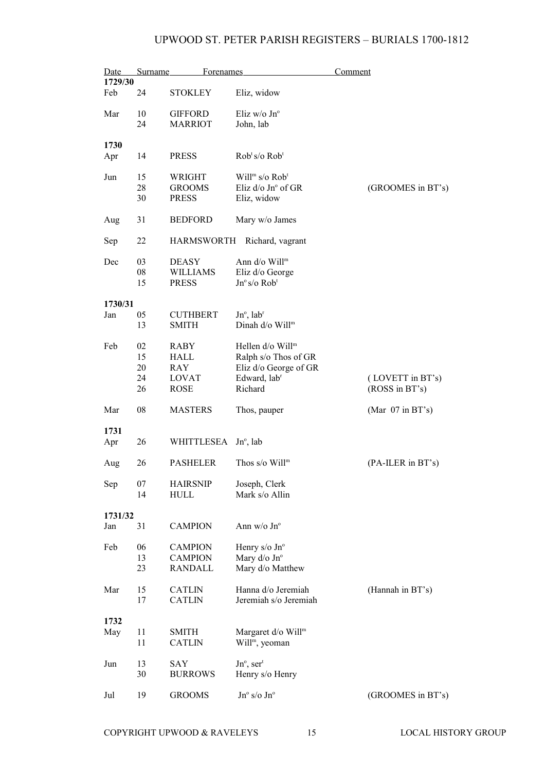| Date           | <b>Surname</b> | <b>Forenames</b>                 |                                        | Comment                            |
|----------------|----------------|----------------------------------|----------------------------------------|------------------------------------|
| 1729/30        |                |                                  |                                        |                                    |
| Feb            | 24             | <b>STOKLEY</b>                   | Eliz, widow                            |                                    |
| Mar            | 10             | <b>GIFFORD</b>                   | Eliz $w/o$ Jn <sup>o</sup>             |                                    |
|                | 24             | <b>MARRIOT</b>                   | John, lab                              |                                    |
| 1730           |                |                                  |                                        |                                    |
| Apr            | 14             | <b>PRESS</b>                     | Rob <sup>t</sup> s/o Rob <sup>t</sup>  |                                    |
|                |                |                                  |                                        |                                    |
| Jun            | 15             | <b>WRIGHT</b>                    | Will <sup>m</sup> s/o Rob <sup>t</sup> |                                    |
|                | 28             | <b>GROOMS</b>                    | Eliz d/o Jn° of GR                     | (GROOMES in BT's)                  |
|                | 30             | <b>PRESS</b>                     | Eliz, widow                            |                                    |
| Aug            | 31             | <b>BEDFORD</b>                   | Mary w/o James                         |                                    |
| Sep            | 22             | <b>HARMSWORTH</b>                | Richard, vagrant                       |                                    |
| Dec            | 03             | <b>DEASY</b>                     | Ann $d$ /o Will <sup>m</sup>           |                                    |
|                | 08             | <b>WILLIAMS</b>                  | Eliz d/o George                        |                                    |
|                | 15             | <b>PRESS</b>                     | $Jn^{\circ} s/\sigma$ Rob <sup>t</sup> |                                    |
|                |                |                                  |                                        |                                    |
| 1730/31<br>Jan | 05             | <b>CUTHBERT</b>                  | $Jn^{\circ}$ , lab <sup>r</sup>        |                                    |
|                | 13             | <b>SMITH</b>                     | Dinah d/o Will <sup>m</sup>            |                                    |
|                |                |                                  |                                        |                                    |
| Feb            | 02             | <b>RABY</b>                      | Hellen d/o Will <sup>m</sup>           |                                    |
|                | 15             | HALL                             | Ralph s/o Thos of GR                   |                                    |
|                | 20<br>24       | RAY                              | Eliz d/o George of GR                  |                                    |
|                | 26             | <b>LOVAT</b><br><b>ROSE</b>      | Edward, lab <sup>r</sup><br>Richard    | (LOVETT in BT's)<br>(ROSS in BT's) |
|                |                |                                  |                                        |                                    |
| Mar            | 08             | <b>MASTERS</b>                   | Thos, pauper                           | (Mar $07$ in BT's)                 |
| 1731           |                |                                  |                                        |                                    |
| Apr            | 26             | WHITTLESEA                       | $Jn^{\circ}$ , lab                     |                                    |
|                |                |                                  |                                        |                                    |
| Aug            | 26             | <b>PASHELER</b>                  | Thos $s$ /o Will <sup>m</sup>          | (PA-ILER in BT's)                  |
| Sep            | 07             | <b>HAIRSNIP</b>                  | Joseph, Clerk                          |                                    |
|                | 14             | <b>HULL</b>                      | Mark s/o Allin                         |                                    |
|                |                |                                  |                                        |                                    |
| 1731/32<br>Jan | 31             | <b>CAMPION</b>                   | Ann $w/o$ Jn <sup>o</sup>              |                                    |
|                |                |                                  |                                        |                                    |
| Feb            | 06<br>13       | <b>CAMPION</b>                   | Henry $s$ /o Jn <sup>o</sup>           |                                    |
|                | 23             | <b>CAMPION</b><br><b>RANDALL</b> | Mary d/o Jn°<br>Mary d/o Matthew       |                                    |
|                |                |                                  |                                        |                                    |
| Mar            | 15             | <b>CATLIN</b>                    | Hanna d/o Jeremiah                     | (Hannah in BT's)                   |
|                | 17             | <b>CATLIN</b>                    | Jeremiah s/o Jeremiah                  |                                    |
| 1732           |                |                                  |                                        |                                    |
| May            | 11             | <b>SMITH</b>                     | Margaret d/o Will <sup>m</sup>         |                                    |
|                | 11             | <b>CATLIN</b>                    | Will <sup>m</sup> , yeoman             |                                    |
|                |                |                                  |                                        |                                    |
| Jun            | 13             | SAY                              | $Jn^{\circ}$ , ser <sup>t</sup>        |                                    |
|                | 30             | <b>BURROWS</b>                   | Henry s/o Henry                        |                                    |
| Jul            | 19             | <b>GROOMS</b>                    | $Jn^{\circ}$ s/o $Jn^{\circ}$          | (GROOMES in BT's)                  |
|                |                |                                  |                                        |                                    |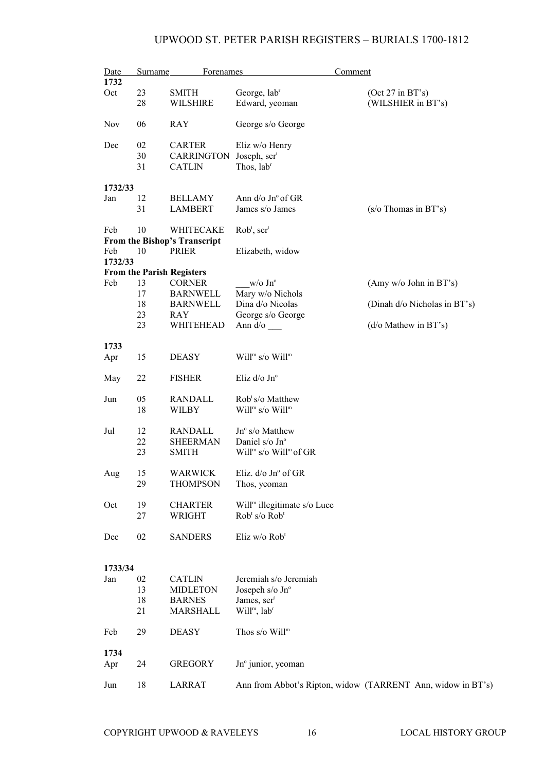| Date    | Surname | <b>Forenames</b>                 |                                               | Comment                                                     |
|---------|---------|----------------------------------|-----------------------------------------------|-------------------------------------------------------------|
| 1732    |         |                                  |                                               |                                                             |
| Oct     | 23      | <b>SMITH</b>                     | George, lab <sup>r</sup>                      | (Oct 27 in BT's)                                            |
|         | 28      | <b>WILSHIRE</b>                  | Edward, yeoman                                | (WILSHIER in BT's)                                          |
| Nov     | 06      | <b>RAY</b>                       | George s/o George                             |                                                             |
| Dec     | 02      | <b>CARTER</b>                    | Eliz w/o Henry                                |                                                             |
|         | 30      | <b>CARRINGTON</b>                | Joseph, $sert$                                |                                                             |
|         | 31      | <b>CATLIN</b>                    | Thos, lab <sup>r</sup>                        |                                                             |
|         |         |                                  |                                               |                                                             |
| 1732/33 |         |                                  |                                               |                                                             |
| Jan     | 12      | <b>BELLAMY</b>                   | Ann d/o Jn° of GR                             |                                                             |
|         | 31      | <b>LAMBERT</b>                   | James s/o James                               | $(s/\sigma)$ Thomas in BT's)                                |
|         |         |                                  |                                               |                                                             |
| Feb     | 10      | WHITECAKE                        | $Robt$ , ser <sup>t</sup>                     |                                                             |
|         |         | From the Bishop's Transcript     |                                               |                                                             |
| Feb     | 10      | PRIER                            | Elizabeth, widow                              |                                                             |
| 1732/33 |         |                                  |                                               |                                                             |
|         |         | <b>From the Parish Registers</b> |                                               |                                                             |
| Feb     | 13      | <b>CORNER</b>                    | $w/o$ Jn <sup>o</sup>                         | (Amy w/o John in BT's)                                      |
|         | 17      | <b>BARNWELL</b>                  | Mary w/o Nichols                              |                                                             |
|         | 18      | <b>BARNWELL</b>                  | Dina d/o Nicolas                              | (Dinah d/o Nicholas in BT's)                                |
|         | 23      | RAY                              | George s/o George                             |                                                             |
|         | 23      | WHITEHEAD                        | Ann $d$ / $\circ$                             | $(d/\text{o}$ Mathew in BT's)                               |
|         |         |                                  |                                               |                                                             |
| 1733    |         |                                  |                                               |                                                             |
| Apr     | 15      | <b>DEASY</b>                     | Will <sup>m</sup> s/o Will <sup>m</sup>       |                                                             |
|         |         |                                  |                                               |                                                             |
| May     | 22      | <b>FISHER</b>                    | Eliz d/o Jnº                                  |                                                             |
|         |         |                                  |                                               |                                                             |
| Jun     | 05      | <b>RANDALL</b>                   | Rob <sup>t</sup> s/o Matthew                  |                                                             |
|         | 18      | WILBY                            | Will <sup>m</sup> s/o Will <sup>m</sup>       |                                                             |
|         |         |                                  |                                               |                                                             |
| Jul     | 12      | <b>RANDALL</b>                   | Jn° s/o Matthew                               |                                                             |
|         | 22      | <b>SHEERMAN</b>                  | Daniel s/o Jn°                                |                                                             |
|         | 23      | <b>SMITH</b>                     | Will <sup>m</sup> s/o Will <sup>m</sup> of GR |                                                             |
|         |         |                                  |                                               |                                                             |
| Aug     | 15      | WARWICK                          | Eliz. $d$ /o Jn $\degree$ of GR               |                                                             |
|         | 29      | <b>THOMPSON</b>                  | Thos, yeoman                                  |                                                             |
|         |         |                                  |                                               |                                                             |
| Oct     | 19      | <b>CHARTER</b>                   | Will <sup>m</sup> illegitimate s/o Luce       |                                                             |
|         | 27      | <b>WRIGHT</b>                    | Rob <sup>t</sup> s/o Rob <sup>t</sup>         |                                                             |
|         |         |                                  |                                               |                                                             |
| Dec     | 02      | <b>SANDERS</b>                   | Eliz w/o Rob <sup>t</sup>                     |                                                             |
|         |         |                                  |                                               |                                                             |
|         |         |                                  |                                               |                                                             |
| 1733/34 |         |                                  |                                               |                                                             |
| Jan     | 02      | <b>CATLIN</b>                    | Jeremiah s/o Jeremiah                         |                                                             |
|         | 13      | <b>MIDLETON</b>                  | Josepeh s/o Jn°                               |                                                             |
|         | 18      | <b>BARNES</b>                    | James, ser <sup>t</sup>                       |                                                             |
|         | 21      | <b>MARSHALL</b>                  | Will <sup>m</sup> , lab <sup>r</sup>          |                                                             |
|         |         |                                  |                                               |                                                             |
| Feb     | 29      | <b>DEASY</b>                     | Thos s/o Will <sup>m</sup>                    |                                                             |
|         |         |                                  |                                               |                                                             |
| 1734    |         |                                  |                                               |                                                             |
| Apr     | 24      | <b>GREGORY</b>                   | Jnº junior, yeoman                            |                                                             |
|         |         |                                  |                                               |                                                             |
| Jun     | 18      | <b>LARRAT</b>                    |                                               | Ann from Abbot's Ripton, widow (TARRENT Ann, widow in BT's) |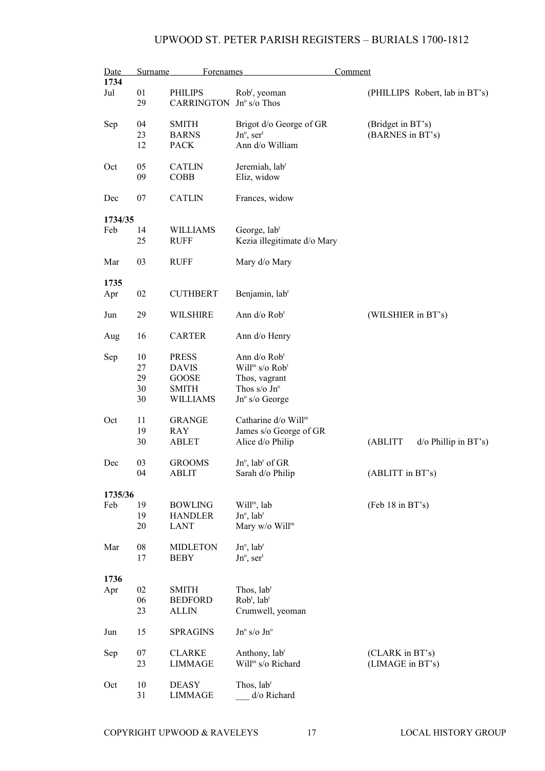| <b>Date</b> | <b>Surname</b> | Forenames         |                                                            | Comment                            |
|-------------|----------------|-------------------|------------------------------------------------------------|------------------------------------|
| 1734        |                |                   |                                                            |                                    |
| Jul         | 01             | <b>PHILIPS</b>    | Rob <sup>t</sup> , yeoman                                  | (PHILLIPS Robert, lab in BT's)     |
|             | 29             | <b>CARRINGTON</b> | $Jn^{\circ}$ s/o Thos                                      |                                    |
|             |                |                   |                                                            |                                    |
| Sep         | 04             | <b>SMITH</b>      | Brigot d/o George of GR                                    | (Bridget in BT's)                  |
|             | 23             | <b>BARNS</b>      | $Jn^{\circ}$ , ser <sup>t</sup>                            | (BARNES in BT's)                   |
|             | 12             | <b>PACK</b>       | Ann d/o William                                            |                                    |
|             |                |                   |                                                            |                                    |
| Oct         | 05             | <b>CATLIN</b>     | Jeremiah, lab <sup>r</sup>                                 |                                    |
|             | 09             | <b>COBB</b>       | Eliz, widow                                                |                                    |
|             |                |                   |                                                            |                                    |
| Dec         | 07             | <b>CATLIN</b>     | Frances, widow                                             |                                    |
|             |                |                   |                                                            |                                    |
| 1734/35     |                |                   |                                                            |                                    |
| Feb         | 14             | <b>WILLIAMS</b>   | George, lab <sup>r</sup>                                   |                                    |
|             | 25             | <b>RUFF</b>       | Kezia illegitimate d/o Mary                                |                                    |
| Mar         | 03             | <b>RUFF</b>       | Mary d/o Mary                                              |                                    |
|             |                |                   |                                                            |                                    |
| 1735        |                |                   |                                                            |                                    |
| Apr         | 02             | <b>CUTHBERT</b>   | Benjamin, lab <sup>r</sup>                                 |                                    |
|             |                |                   |                                                            |                                    |
| Jun         | 29             | <b>WILSHIRE</b>   | Ann d/o Rob <sup>t</sup>                                   | (WILSHIER in BT's)                 |
|             |                |                   |                                                            |                                    |
| Aug         | 16             | <b>CARTER</b>     | Ann d/o Henry                                              |                                    |
|             |                |                   |                                                            |                                    |
| Sep         | 10             | <b>PRESS</b>      | Ann d/o Rob <sup>t</sup>                                   |                                    |
|             | 27             | <b>DAVIS</b>      | Will <sup>m</sup> s/o Rob <sup>t</sup>                     |                                    |
|             | 29             | <b>GOOSE</b>      | Thos, vagrant                                              |                                    |
|             | 30             | <b>SMITH</b>      | Thos s/o $Jn^{\circ}$                                      |                                    |
|             | 30             | WILLIAMS          | Jnº s/o George                                             |                                    |
|             |                |                   |                                                            |                                    |
| Oct         | 11             | <b>GRANGE</b>     | Catharine d/o Will <sup>m</sup>                            |                                    |
|             | 19             | <b>RAY</b>        | James s/o George of GR                                     |                                    |
|             | 30             | <b>ABLET</b>      | Alice d/o Philip                                           | (ABLITT<br>$d$ /o Phillip in BT's) |
| Dec         | 03             | <b>GROOMS</b>     | $Jn^{\circ}$ , lab <sup>r</sup> of GR                      |                                    |
|             | 04             | ABLIT             | Sarah d/o Philip                                           | (ABLITT in BT's)                   |
|             |                |                   |                                                            |                                    |
| 1735/36     |                |                   |                                                            |                                    |
| Feb         | 19             | <b>BOWLING</b>    | Will <sup>m</sup> , lab                                    | (Feb 18 in BT's)                   |
|             | 19             | <b>HANDLER</b>    | $Jn^{\circ}$ , lab <sup>r</sup>                            |                                    |
|             | 20             | LANT              | Mary w/o Will <sup>m</sup>                                 |                                    |
|             |                |                   |                                                            |                                    |
| Mar         | 08             | <b>MIDLETON</b>   | $Jn^{\circ}$ , lab <sup>r</sup>                            |                                    |
|             | 17             | <b>BEBY</b>       | $Jn^{\circ}$ , ser <sup>t</sup>                            |                                    |
|             |                |                   |                                                            |                                    |
| 1736        |                |                   |                                                            |                                    |
| Apr         | 02             | <b>SMITH</b>      | Thos, lab <sup>r</sup>                                     |                                    |
|             | 06             | <b>BEDFORD</b>    | Rob <sup>t</sup> , lab <sup>r</sup>                        |                                    |
|             | 23             | <b>ALLIN</b>      | Crumwell, yeoman                                           |                                    |
|             |                |                   |                                                            |                                    |
| Jun         | 15             | <b>SPRAGINS</b>   | $Jn^{\circ}$ s/o $Jn^{\circ}$                              |                                    |
|             |                |                   |                                                            |                                    |
| Sep         | 07             | <b>CLARKE</b>     | Anthony, lab <sup>r</sup><br>Will <sup>m</sup> s/o Richard | (CLARK in BT's)                    |
|             | 23             | <b>LIMMAGE</b>    |                                                            | (LIMAGE in BT's)                   |
| Oct         | 10             | <b>DEASY</b>      | Thos, lab <sup>r</sup>                                     |                                    |
|             | 31             | <b>LIMMAGE</b>    | d/o Richard                                                |                                    |
|             |                |                   |                                                            |                                    |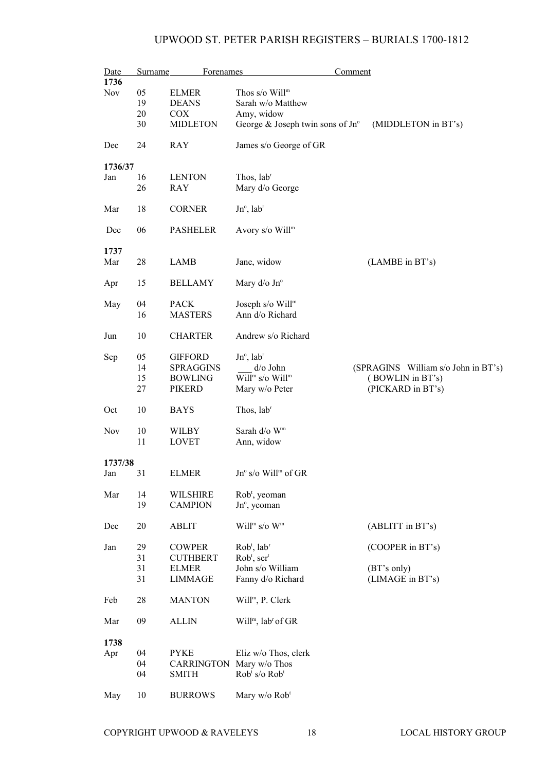| Date       | <b>Surname</b> | Forenames                |                                            | Comment                             |
|------------|----------------|--------------------------|--------------------------------------------|-------------------------------------|
| 1736       |                |                          |                                            |                                     |
| Nov        | 05             | <b>ELMER</b>             | Thos $s$ /o Will <sup>m</sup>              |                                     |
|            | 19             | <b>DEANS</b>             | Sarah w/o Matthew                          |                                     |
|            | 20             | <b>COX</b>               | Amy, widow                                 |                                     |
|            |                |                          |                                            |                                     |
|            | 30             | <b>MIDLETON</b>          | George & Joseph twin sons of $Jn^{\circ}$  | (MIDDLETON in BT's)                 |
| Dec        | 24             | <b>RAY</b>               | James s/o George of GR                     |                                     |
| 1736/37    |                |                          |                                            |                                     |
| Jan        | 16             | <b>LENTON</b>            | Thos, lab <sup>r</sup>                     |                                     |
|            | 26             | RAY                      | Mary d/o George                            |                                     |
| Mar        | 18             | <b>CORNER</b>            | $Jn^{\circ}$ , lab <sup>r</sup>            |                                     |
| Dec        | 06             | <b>PASHELER</b>          | Avory s/o Will <sup>m</sup>                |                                     |
| 1737       |                |                          |                                            |                                     |
| Mar        | 28             | LAMB                     | Jane, widow                                | (LAMBE in BT's)                     |
|            |                |                          |                                            |                                     |
| Apr        | 15             | <b>BELLAMY</b>           | Mary $d$ /o Jn $\degree$                   |                                     |
|            |                |                          |                                            |                                     |
| May        | 04             | <b>PACK</b>              | Joseph s/o Will <sup>m</sup>               |                                     |
|            | 16             | <b>MASTERS</b>           | Ann d/o Richard                            |                                     |
| Jun        | 10             | <b>CHARTER</b>           | Andrew s/o Richard                         |                                     |
|            |                |                          |                                            |                                     |
| Sep        | 05             | <b>GIFFORD</b>           | $Jn^{\circ}$ , lab <sup>r</sup>            |                                     |
|            | 14             | <b>SPRAGGINS</b>         | $d$ /o John                                | (SPRAGINS William s/o John in BT's) |
|            | 15             | <b>BOWLING</b>           | Will <sup>m</sup> s/o Will <sup>m</sup>    | (BOWLIN in BT's)                    |
|            |                |                          |                                            |                                     |
|            | 27             | <b>PIKERD</b>            | Mary w/o Peter                             | (PICKARD in BT's)                   |
| Oct        | 10             | BAYS                     | Thos, lab <sup>r</sup>                     |                                     |
|            |                |                          |                                            |                                     |
| <b>Nov</b> | 10             | WILBY                    | Sarah d/o W <sup>m</sup>                   |                                     |
|            | 11             | <b>LOVET</b>             | Ann, widow                                 |                                     |
|            |                |                          |                                            |                                     |
| 1737/38    |                |                          |                                            |                                     |
|            |                |                          |                                            |                                     |
| Jan        | 31             | <b>ELMER</b>             | $Jn^{\circ}$ s/o Will <sup>m</sup> of GR   |                                     |
|            |                |                          |                                            |                                     |
| Mar        | 14             | <b>WILSHIRE</b>          | Rob <sup>t</sup> , yeoman                  |                                     |
|            | 19             | <b>CAMPION</b>           | Jn°, yeoman                                |                                     |
|            |                |                          |                                            |                                     |
| Dec        | 20             | <b>ABLIT</b>             | Will <sup>m</sup> s/o $W^m$                | (ABLITT in BT's)                    |
|            |                |                          |                                            |                                     |
|            |                |                          |                                            |                                     |
| Jan        | 29             | <b>COWPER</b>            | Rob <sup>t</sup> , lab <sup>r</sup>        | (COOPER in BT's)                    |
|            | 31             | <b>CUTHBERT</b>          | $Robt$ , ser <sup>t</sup>                  |                                     |
|            | 31             | <b>ELMER</b>             | John s/o William                           | (BT's only)                         |
|            | 31             | <b>LIMMAGE</b>           | Fanny d/o Richard                          | (LIMAGE in BT's)                    |
|            |                |                          |                                            |                                     |
| Feb        | 28             | <b>MANTON</b>            | Will <sup>m</sup> , P. Clerk               |                                     |
|            |                |                          |                                            |                                     |
| Mar        | 09             | <b>ALLIN</b>             | Will <sup>m</sup> , lab <sup>r</sup> of GR |                                     |
|            |                |                          |                                            |                                     |
| 1738       |                |                          |                                            |                                     |
|            |                |                          |                                            |                                     |
| Apr        | 04             | <b>PYKE</b>              | Eliz w/o Thos, clerk                       |                                     |
|            | 04             | CARRINGTON Mary w/o Thos |                                            |                                     |
|            | 04             | <b>SMITH</b>             | Rob <sup>t</sup> s/o Rob <sup>t</sup>      |                                     |
|            |                |                          |                                            |                                     |
| May        | 10             | <b>BURROWS</b>           | Mary w/o Rob <sup>t</sup>                  |                                     |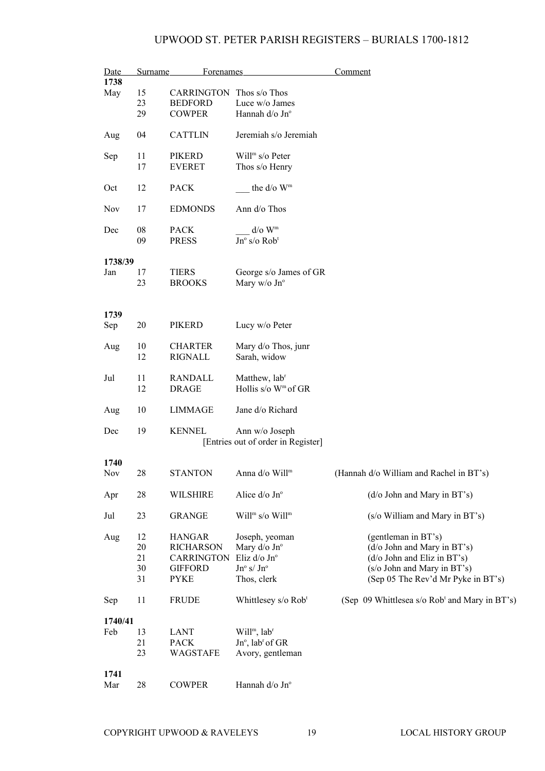| Date<br>1738 | Surname | <b>Forenames</b>                |                                         | Comment                                                   |
|--------------|---------|---------------------------------|-----------------------------------------|-----------------------------------------------------------|
|              |         |                                 |                                         |                                                           |
| May          | 15      | <b>CARRINGTON</b> Thos s/o Thos |                                         |                                                           |
|              | 23      | <b>BEDFORD</b>                  | Luce w/o James                          |                                                           |
|              | 29      | <b>COWPER</b>                   | Hannah d/o Jn°                          |                                                           |
| Aug          | 04      | <b>CATTLIN</b>                  | Jeremiah s/o Jeremiah                   |                                                           |
| Sep          | 11      | PIKERD                          | Will <sup>m</sup> $s$ /o Peter          |                                                           |
|              | 17      | <b>EVERET</b>                   | Thos s/o Henry                          |                                                           |
|              |         |                                 |                                         |                                                           |
| Oct          | 12      | <b>PACK</b>                     | the d/o W <sup>m</sup>                  |                                                           |
| Nov          | 17      | <b>EDMONDS</b>                  | Ann d/o Thos                            |                                                           |
| Dec          | 08      | <b>PACK</b>                     | $d$ /o $Wm$                             |                                                           |
|              | 09      | <b>PRESS</b>                    | $Jn^{\circ}$ s/o Rob <sup>t</sup>       |                                                           |
|              |         |                                 |                                         |                                                           |
| 1738/39      |         |                                 |                                         |                                                           |
| Jan          | 17      | <b>TIERS</b>                    | George s/o James of GR                  |                                                           |
|              | 23      | <b>BROOKS</b>                   | Mary w/o Jn°                            |                                                           |
|              |         |                                 |                                         |                                                           |
|              |         |                                 |                                         |                                                           |
| 1739         |         |                                 |                                         |                                                           |
| Sep          | 20      | <b>PIKERD</b>                   | Lucy w/o Peter                          |                                                           |
|              |         |                                 |                                         |                                                           |
| Aug          | 10      | <b>CHARTER</b>                  | Mary d/o Thos, junr                     |                                                           |
|              | 12      | <b>RIGNALL</b>                  | Sarah, widow                            |                                                           |
|              |         |                                 |                                         |                                                           |
| Jul          | 11      | <b>RANDALL</b>                  | Matthew, lab <sup>r</sup>               |                                                           |
|              | 12      | <b>DRAGE</b>                    | Hollis s/o $W^m$ of GR                  |                                                           |
|              |         |                                 |                                         |                                                           |
| Aug          | 10      | <b>LIMMAGE</b>                  | Jane d/o Richard                        |                                                           |
|              |         |                                 |                                         |                                                           |
| Dec          | 19      | <b>KENNEL</b>                   | Ann w/o Joseph                          |                                                           |
|              |         |                                 | [Entries out of order in Register]      |                                                           |
| 1740         |         |                                 |                                         |                                                           |
| Nov          | 28      | <b>STANTON</b>                  | Anna d/o Will <sup>m</sup>              | (Hannah d/o William and Rachel in BT's)                   |
|              |         |                                 |                                         |                                                           |
| Apr          | 28      | <b>WILSHIRE</b>                 | Alice d/o Jnº                           | (d/o John and Mary in BT's)                               |
|              |         |                                 |                                         |                                                           |
| Jul          | 23      | <b>GRANGE</b>                   | Will <sup>m</sup> s/o Will <sup>m</sup> | (s/o William and Mary in BT's)                            |
|              |         |                                 |                                         |                                                           |
| Aug          | 12      | <b>HANGAR</b>                   | Joseph, yeoman                          | (gentleman in BT's)                                       |
|              | 20      | <b>RICHARSON</b>                | Mary d/o Jn°                            | (d/o John and Mary in BT's)                               |
|              | 21      | <b>CARRINGTON</b>               | Eliz d/o Jnº                            | (d/o John and Eliz in BT's)                               |
|              | 30      | <b>GIFFORD</b>                  | $Jn^o$ s/ $Jn^o$                        | (s/o John and Mary in BT's)                               |
|              | 31      | <b>PYKE</b>                     | Thos, clerk                             | (Sep 05 The Rev'd Mr Pyke in BT's)                        |
|              |         |                                 |                                         |                                                           |
| Sep          | 11      | <b>FRUDE</b>                    | Whittlesey s/o Rob <sup>t</sup>         | (Sep 09 Whittlesea s/o Rob <sup>t</sup> and Mary in BT's) |
|              |         |                                 |                                         |                                                           |
| 1740/41      |         |                                 |                                         |                                                           |
| Feb          | 13      | <b>LANT</b>                     | Will <sup>m</sup> , lab <sup>r</sup>    |                                                           |
|              | 21      | <b>PACK</b>                     | $Jn^{\circ}$ , lab <sup>r</sup> of GR   |                                                           |
|              | 23      | WAGSTAFE                        | Avory, gentleman                        |                                                           |
|              |         |                                 |                                         |                                                           |
| 1741         |         |                                 |                                         |                                                           |
| Mar          | 28      | <b>COWPER</b>                   | Hannah d/o Jn°                          |                                                           |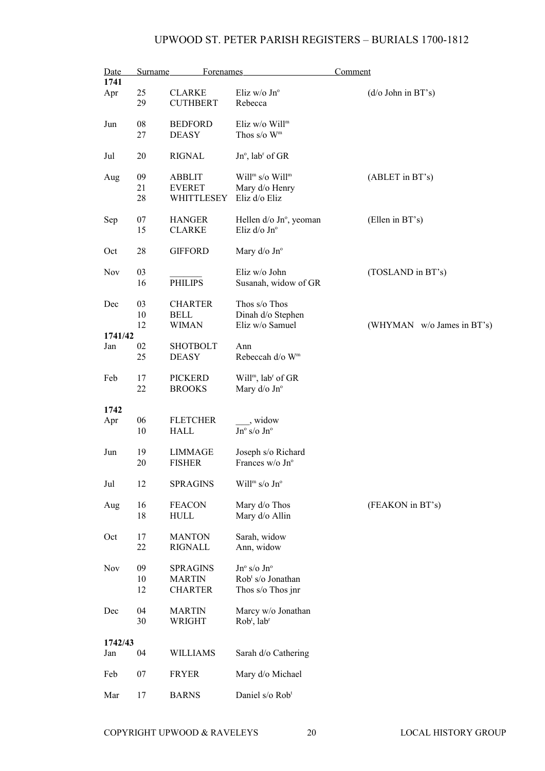| Date       | <b>Surname</b> | Forenames       |                                         | <b>Comment</b>             |
|------------|----------------|-----------------|-----------------------------------------|----------------------------|
| 1741       |                |                 |                                         |                            |
| Apr        | 25             | <b>CLARKE</b>   | Eliz w/o $Jn^{\circ}$                   | $(d/\sigma)$ John in BT's) |
|            | 29             | <b>CUTHBERT</b> | Rebecca                                 |                            |
| Jun        | 08             | <b>BEDFORD</b>  | Eliz $w/o$ Will <sup>m</sup>            |                            |
|            | 27             | <b>DEASY</b>    | Thos $s/o$ W <sup>m</sup>               |                            |
|            |                |                 |                                         |                            |
| Jul        | 20             | <b>RIGNAL</b>   | $Jn^{\circ}$ , lab <sup>r</sup> of GR   |                            |
|            |                |                 |                                         |                            |
| Aug        | 09             | <b>ABBLIT</b>   | Will <sup>m</sup> s/o Will <sup>m</sup> | (ABLET in BT's)            |
|            | 21             | <b>EVERET</b>   | Mary d/o Henry                          |                            |
|            | 28             | WHITTLESEY      | Eliz d/o Eliz                           |                            |
|            |                |                 |                                         |                            |
| Sep        | 07             | <b>HANGER</b>   | Hellen d/o Jn°, yeoman                  | (Ellen in BT's)            |
|            | 15             | <b>CLARKE</b>   | Eliz d/o Jnº                            |                            |
|            |                |                 |                                         |                            |
| Oct        | 28             | <b>GIFFORD</b>  | Mary $d$ /o Jn $\degree$                |                            |
|            |                |                 |                                         |                            |
| Nov        | 03             |                 | Eliz w/o John                           | (TOSLAND in BT's)          |
|            | 16             | <b>PHILIPS</b>  | Susanah, widow of GR                    |                            |
|            |                |                 |                                         |                            |
| Dec        | 03             | <b>CHARTER</b>  | Thos s/o Thos                           |                            |
|            | 10             | <b>BELL</b>     | Dinah d/o Stephen                       |                            |
|            | 12             | <b>WIMAN</b>    | Eliz w/o Samuel                         | (WHYMAN w/o James in BT's) |
| 1741/42    |                |                 |                                         |                            |
| Jan        | 02             | <b>SHOTBOLT</b> | Ann                                     |                            |
|            | 25             | <b>DEASY</b>    | Rebeccah d/o W <sup>m</sup>             |                            |
|            |                |                 |                                         |                            |
| Feb        | 17             | <b>PICKERD</b>  | $Willm$ , lab <sup>r</sup> of GR        |                            |
|            | 22             | <b>BROOKS</b>   | Mary d/o Jn°                            |                            |
|            |                |                 |                                         |                            |
| 1742       |                |                 |                                         |                            |
| Apr        | 06             | <b>FLETCHER</b> | _, widow                                |                            |
|            | 10             | HALL            | $Jn^{\circ}$ s/o $Jn^{\circ}$           |                            |
|            |                |                 |                                         |                            |
| Jun        | 19             | <b>LIMMAGE</b>  | Joseph s/o Richard                      |                            |
|            | 20             | <b>FISHER</b>   | Frances w/o Jn°                         |                            |
|            |                |                 |                                         |                            |
| Jul        | 12             | <b>SPRAGINS</b> | Will <sup>m</sup> s/o Jn°               |                            |
|            |                |                 |                                         |                            |
| Aug        | 16             | <b>FEACON</b>   | Mary d/o Thos                           | (FEAKON in BT's)           |
|            | 18             | HULL            | Mary d/o Allin                          |                            |
|            |                |                 |                                         |                            |
| Oct        | 17             | <b>MANTON</b>   | Sarah, widow                            |                            |
|            | 22             | <b>RIGNALL</b>  | Ann, widow                              |                            |
|            |                |                 |                                         |                            |
| <b>Nov</b> | 09             | <b>SPRAGINS</b> | $Jn^{\circ}$ s/o $Jn^{\circ}$           |                            |
|            | 10             | <b>MARTIN</b>   | Rob <sup>t</sup> s/o Jonathan           |                            |
|            | 12             | <b>CHARTER</b>  | Thos s/o Thos jnr                       |                            |
|            |                |                 |                                         |                            |
| Dec        | 04             | <b>MARTIN</b>   | Marcy w/o Jonathan                      |                            |
|            | 30             | WRIGHT          | $Robt$ , lab <sup>r</sup>               |                            |
|            |                |                 |                                         |                            |
| 1742/43    |                |                 |                                         |                            |
| Jan        | 04             | WILLIAMS        | Sarah d/o Cathering                     |                            |
|            |                |                 |                                         |                            |
| Feb        | 07             | <b>FRYER</b>    | Mary d/o Michael                        |                            |
|            |                |                 |                                         |                            |
| Mar        | 17             | <b>BARNS</b>    | Daniel s/o Rob <sup>t</sup>             |                            |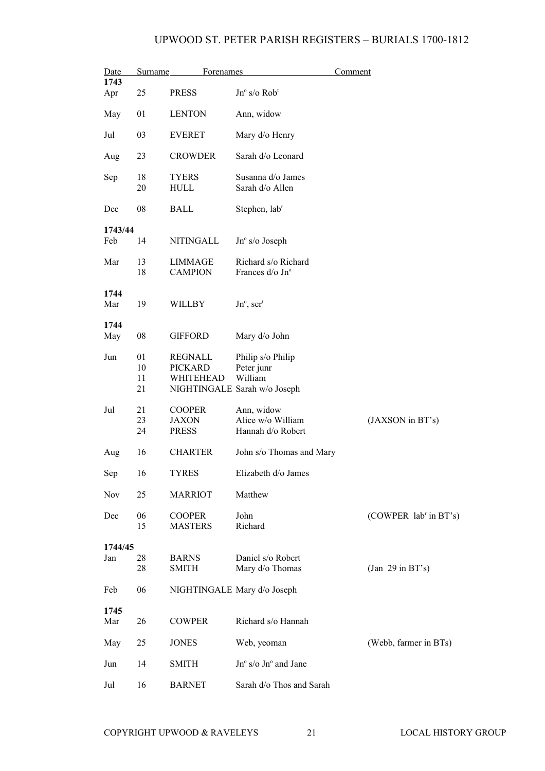| <u>Date</u> | Surname        | Forenames                                     |                                                      | Comment                           |
|-------------|----------------|-----------------------------------------------|------------------------------------------------------|-----------------------------------|
| 1743<br>Apr | 25             | <b>PRESS</b>                                  | $Jn^{\circ}$ s/o $Rob^{\circ}$                       |                                   |
| May         | 01             | <b>LENTON</b>                                 | Ann, widow                                           |                                   |
| Jul         | 03             | <b>EVERET</b>                                 | Mary d/o Henry                                       |                                   |
| Aug         | 23             | <b>CROWDER</b>                                | Sarah d/o Leonard                                    |                                   |
| Sep         | 18<br>20       | <b>TYERS</b><br><b>HULL</b>                   | Susanna d/o James<br>Sarah d/o Allen                 |                                   |
| Dec         | 08             | <b>BALL</b>                                   | Stephen, lab <sup>r</sup>                            |                                   |
| 1743/44     |                |                                               |                                                      |                                   |
| Feb         | 14             | NITINGALL                                     | $Jn^{\circ}$ s/o Joseph                              |                                   |
| Mar         | 13<br>18       | <b>LIMMAGE</b><br><b>CAMPION</b>              | Richard s/o Richard<br>Frances d/o Jn°               |                                   |
| 1744<br>Mar | 19             | <b>WILLBY</b>                                 | $Jn^{\circ}$ , ser <sup>t</sup>                      |                                   |
|             |                |                                               |                                                      |                                   |
| 1744<br>May | 08             | <b>GIFFORD</b>                                | Mary d/o John                                        |                                   |
| Jun         | 01<br>10<br>11 | REGNALL<br><b>PICKARD</b><br>WHITEHEAD        | Philip s/o Philip<br>Peter junr<br>William           |                                   |
|             | 21             |                                               | NIGHTINGALE Sarah w/o Joseph                         |                                   |
| Jul         | 21<br>23<br>24 | <b>COOPER</b><br><b>JAXON</b><br><b>PRESS</b> | Ann, widow<br>Alice w/o William<br>Hannah d/o Robert | (JAXSON in BT's)                  |
| Aug         | 16             | <b>CHARTER</b>                                | John s/o Thomas and Mary                             |                                   |
| Sep         | 16             | <b>TYRES</b>                                  | Elizabeth d/o James                                  |                                   |
| <b>Nov</b>  | 25             | <b>MARRIOT</b>                                | Matthew                                              |                                   |
| Dec         | 06<br>15       | <b>COOPER</b><br><b>MASTERS</b>               | John<br>Richard                                      | (COWPER lab <sup>r</sup> in BT's) |
| 1744/45     |                |                                               |                                                      |                                   |
| Jan         | 28<br>28       | <b>BARNS</b><br>SMITH                         | Daniel s/o Robert<br>Mary d/o Thomas                 | (Jan 29 in BT's)                  |
| Feb         | 06             |                                               | NIGHTINGALE Mary d/o Joseph                          |                                   |
| 1745<br>Mar | 26             | <b>COWPER</b>                                 | Richard s/o Hannah                                   |                                   |
| May         | 25             | <b>JONES</b>                                  | Web, yeoman                                          | (Webb, farmer in BTs)             |
| Jun         | 14             | SMITH                                         | $\rm Jn^o$ s/o $\rm Jn^o$ and $\rm Jane$             |                                   |
| Jul         | 16             | <b>BARNET</b>                                 | Sarah d/o Thos and Sarah                             |                                   |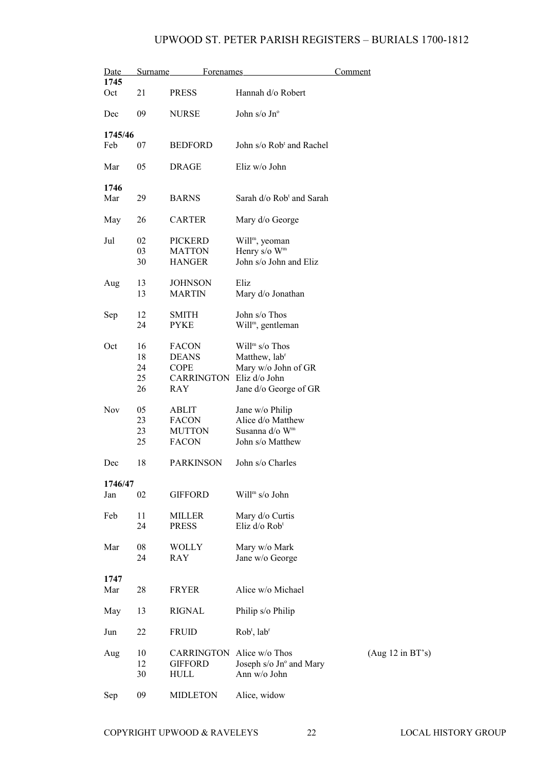| Date        | Surname    | Forenames        |                                      | Comment          |
|-------------|------------|------------------|--------------------------------------|------------------|
| 1745<br>Oct | 21         | <b>PRESS</b>     | Hannah d/o Robert                    |                  |
|             |            |                  |                                      |                  |
| Dec         | 09         | <b>NURSE</b>     | John s/o $Jn^{\circ}$                |                  |
| 1745/46     |            |                  |                                      |                  |
| Feb         | 07         | <b>BEDFORD</b>   | John s/o Rob <sup>t</sup> and Rachel |                  |
| Mar         | 05         | <b>DRAGE</b>     | Eliz w/o John                        |                  |
| 1746        |            |                  |                                      |                  |
| Mar         | 29         | <b>BARNS</b>     | Sarah d/o Rob <sup>t</sup> and Sarah |                  |
| May         | 26         | <b>CARTER</b>    | Mary d/o George                      |                  |
| Jul         | 02         | PICKERD          | Will <sup>m</sup> , yeoman           |                  |
|             | 03         | <b>MATTON</b>    | Henry s/o W <sup>m</sup>             |                  |
|             | 30         | <b>HANGER</b>    | John s/o John and Eliz               |                  |
| Aug         | 13         | <b>JOHNSON</b>   | Eliz                                 |                  |
|             | 13         | <b>MARTIN</b>    | Mary d/o Jonathan                    |                  |
| Sep         | 12         | <b>SMITH</b>     | John s/o Thos                        |                  |
|             | 24         | <b>PYKE</b>      | Will <sup>m</sup> , gentleman        |                  |
| Oct         | 16         | <b>FACON</b>     | $Willm s/o$ Thos                     |                  |
|             | 18         | <b>DEANS</b>     | Matthew, lab <sup>r</sup>            |                  |
|             | 24         | <b>COPE</b>      | Mary w/o John of GR                  |                  |
|             | 25         | CARRINGTON       | Eliz d/o John                        |                  |
|             | 26         | RAY              | Jane d/o George of GR                |                  |
| Nov         | 05         | ABLIT            | Jane w/o Philip                      |                  |
|             | 23         | <b>FACON</b>     | Alice d/o Matthew                    |                  |
|             | 23         | <b>MUTTON</b>    | Susanna d/o Wm                       |                  |
|             | 25         | <b>FACON</b>     | John s/o Matthew                     |                  |
| Dec         | 18         | <b>PARKINSON</b> | John s/o Charles                     |                  |
| 1746/47     |            |                  |                                      |                  |
| Jan         | 02         | <b>GIFFORD</b>   | Will <sup>m</sup> s/o John           |                  |
| Feb         | 11         | MILLER           | Mary d/o Curtis                      |                  |
|             | 24         | <b>PRESS</b>     | Eliz d/o Rob <sup>t</sup>            |                  |
| Mar         | ${\bf 08}$ | <b>WOLLY</b>     | Mary w/o Mark                        |                  |
|             | 24         | RAY              | Jane w/o George                      |                  |
| 1747        |            |                  |                                      |                  |
| Mar         | 28         | <b>FRYER</b>     | Alice w/o Michael                    |                  |
|             |            |                  |                                      |                  |
| May         | 13         | <b>RIGNAL</b>    | Philip s/o Philip                    |                  |
| Jun         | 22         | <b>FRUID</b>     | $Robt$ , lab <sup>r</sup>            |                  |
| Aug         | 10         | CARRINGTON       | Alice w/o Thos                       | (Aug 12 in BT's) |
|             | 12         | <b>GIFFORD</b>   | Joseph s/o Jn° and Mary              |                  |
|             | 30         | HULL             | Ann w/o John                         |                  |
| Sep         | 09         | <b>MIDLETON</b>  | Alice, widow                         |                  |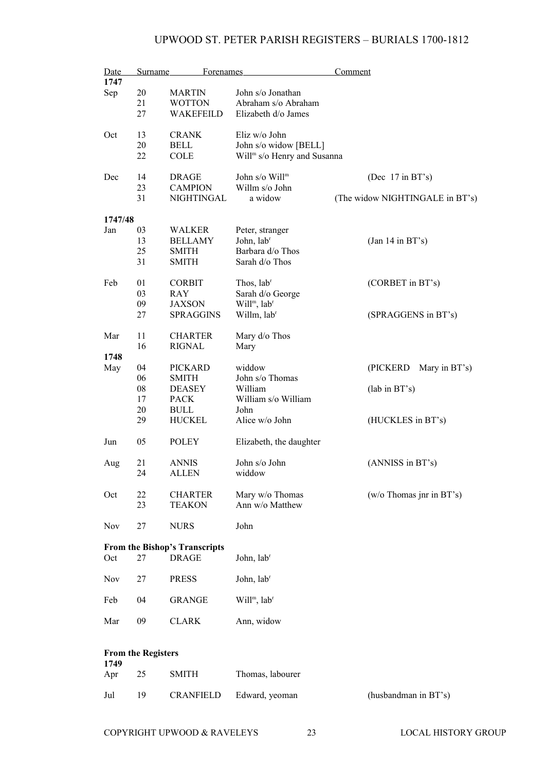| Date<br>1747 | Surname                   | Forenames                            |                                         | Comment                         |
|--------------|---------------------------|--------------------------------------|-----------------------------------------|---------------------------------|
|              | 20                        | <b>MARTIN</b>                        | John s/o Jonathan                       |                                 |
| Sep          | 21                        | <b>WOTTON</b>                        | Abraham s/o Abraham                     |                                 |
|              | 27                        | WAKEFEILD                            | Elizabeth d/o James                     |                                 |
|              |                           |                                      |                                         |                                 |
| Oct          | 13                        | <b>CRANK</b>                         | Eliz w/o John                           |                                 |
|              | 20                        | <b>BELL</b>                          | John s/o widow [BELL]                   |                                 |
|              | 22                        | <b>COLE</b>                          | Will <sup>m</sup> s/o Henry and Susanna |                                 |
| Dec          | 14                        | <b>DRAGE</b>                         | John s/o Will <sup>m</sup>              | (Dec $17$ in BT's)              |
|              | 23                        | <b>CAMPION</b>                       | Willm s/o John                          |                                 |
|              | 31                        | NIGHTINGAL                           | a widow                                 | (The widow NIGHTINGALE in BT's) |
| 1747/48      |                           |                                      |                                         |                                 |
| Jan          |                           |                                      |                                         |                                 |
|              | 03                        | WALKER                               | Peter, stranger                         |                                 |
|              | 13                        | <b>BELLAMY</b>                       | John, lab <sup>r</sup>                  | (Jan 14 in BT's)                |
|              | 25                        | <b>SMITH</b>                         | Barbara d/o Thos                        |                                 |
|              | 31                        | <b>SMITH</b>                         | Sarah d/o Thos                          |                                 |
| Feb          | 01                        | <b>CORBIT</b>                        | Thos, lab <sup>r</sup>                  | (CORBET in BT's)                |
|              | 03                        | RAY                                  | Sarah d/o George                        |                                 |
|              | 09                        | JAXSON                               | Will <sup>m</sup> , lab <sup>r</sup>    |                                 |
|              | 27                        | <b>SPRAGGINS</b>                     | Willm, lab <sup>r</sup>                 | (SPRAGGENS in BT's)             |
| Mar          | 11                        | <b>CHARTER</b>                       | Mary d/o Thos                           |                                 |
|              | 16                        | <b>RIGNAL</b>                        | Mary                                    |                                 |
| 1748         |                           |                                      |                                         |                                 |
| May          | 04                        | <b>PICKARD</b>                       | widdow                                  | (PICKERD<br>Mary in BT's)       |
|              | 06                        | <b>SMITH</b>                         | John s/o Thomas                         |                                 |
|              | 08                        | <b>DEASEY</b>                        | William                                 | $(lab \text{ in } BT's)$        |
|              | 17                        | <b>PACK</b>                          | William s/o William                     |                                 |
|              | 20                        | <b>BULL</b>                          | John                                    |                                 |
|              | 29                        | <b>HUCKEL</b>                        | Alice w/o John                          | (HUCKLES in BT's)               |
| Jun          | 05                        | <b>POLEY</b>                         | Elizabeth, the daughter                 |                                 |
| Aug          | 21                        | <b>ANNIS</b>                         | John s/o John                           | (ANNISS in BT's)                |
|              | 24                        | ALLEN                                | widdow                                  |                                 |
|              |                           |                                      |                                         |                                 |
| Oct          | 22                        | <b>CHARTER</b>                       | Mary w/o Thomas                         | $(w/o)$ Thomas jnr in BT's)     |
|              | 23                        | <b>TEAKON</b>                        | Ann w/o Matthew                         |                                 |
| Nov          | 27                        | <b>NURS</b>                          | John                                    |                                 |
|              |                           | <b>From the Bishop's Transcripts</b> |                                         |                                 |
| Oct          | 27                        | <b>DRAGE</b>                         | John, labr                              |                                 |
| Nov          | 27                        | <b>PRESS</b>                         | John, lab <sup>r</sup>                  |                                 |
| Feb          | 04                        | <b>GRANGE</b>                        | Will <sup>m</sup> , lab <sup>r</sup>    |                                 |
| Mar          | 09                        | $\rm CLARK$                          | Ann, widow                              |                                 |
|              |                           |                                      |                                         |                                 |
|              | <b>From the Registers</b> |                                      |                                         |                                 |
| 1749         |                           |                                      |                                         |                                 |
| Apr          | 25                        | <b>SMITH</b>                         | Thomas, labourer                        |                                 |

Jul 19 CRANFIELD Edward, yeoman (husbandman in BT's)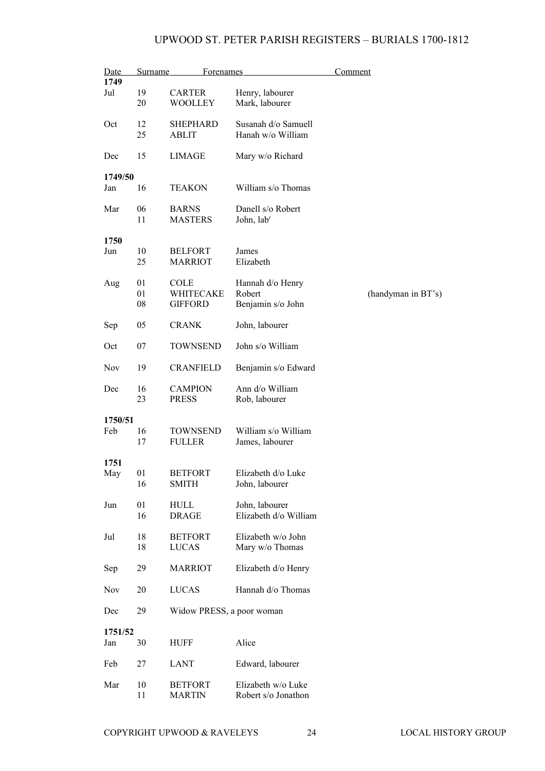| Date       | <b>Surname</b> | <b>Forenames</b>                |                                           | <u>Comment</u>     |
|------------|----------------|---------------------------------|-------------------------------------------|--------------------|
| 1749       |                |                                 |                                           |                    |
| Jul        | 19<br>20       | <b>CARTER</b><br><b>WOOLLEY</b> | Henry, labourer<br>Mark, labourer         |                    |
|            |                |                                 |                                           |                    |
| Oct        | 12             | <b>SHEPHARD</b>                 | Susanah d/o Samuell                       |                    |
|            | 25             | <b>ABLIT</b>                    | Hanah w/o William                         |                    |
| Dec        | 15             | <b>LIMAGE</b>                   | Mary w/o Richard                          |                    |
| 1749/50    |                |                                 |                                           |                    |
| Jan        | 16             | <b>TEAKON</b>                   | William s/o Thomas                        |                    |
| Mar        | 06             | <b>BARNS</b>                    | Danell s/o Robert                         |                    |
|            | 11             | <b>MASTERS</b>                  | John, labr                                |                    |
| 1750       |                |                                 |                                           |                    |
| Jun        | 10             | <b>BELFORT</b>                  | James                                     |                    |
|            | 25             | <b>MARRIOT</b>                  | Elizabeth                                 |                    |
|            |                |                                 |                                           |                    |
| Aug        | 01<br>01       | <b>COLE</b><br>WHITECAKE        | Hannah d/o Henry<br>Robert                | (handyman in BT's) |
|            | 08             | <b>GIFFORD</b>                  | Benjamin s/o John                         |                    |
|            |                |                                 |                                           |                    |
| Sep        | 05             | <b>CRANK</b>                    | John, labourer                            |                    |
| Oct        | 07             | <b>TOWNSEND</b>                 | John s/o William                          |                    |
| <b>Nov</b> | 19             | <b>CRANFIELD</b>                | Benjamin s/o Edward                       |                    |
| Dec        | 16             | <b>CAMPION</b>                  | Ann d/o William                           |                    |
|            | 23             | <b>PRESS</b>                    | Rob, labourer                             |                    |
| 1750/51    |                |                                 |                                           |                    |
| Feb        | 16             | <b>TOWNSEND</b>                 | William s/o William                       |                    |
|            | 17             | <b>FULLER</b>                   | James, labourer                           |                    |
|            |                |                                 |                                           |                    |
| 1751       | 01             |                                 | Elizabeth d/o Luke                        |                    |
| May        | 16             | <b>BETFORT</b><br><b>SMITH</b>  | John, labourer                            |                    |
|            |                |                                 |                                           |                    |
| Jun        | 01             | <b>HULL</b>                     | John, labourer                            |                    |
|            | 16             | <b>DRAGE</b>                    | Elizabeth d/o William                     |                    |
| Jul        | 18             | <b>BETFORT</b>                  | Elizabeth w/o John                        |                    |
|            | 18             | LUCAS                           | Mary w/o Thomas                           |                    |
|            |                |                                 |                                           |                    |
| Sep        | 29             | <b>MARRIOT</b>                  | Elizabeth d/o Henry                       |                    |
| Nov        | 20             | <b>LUCAS</b>                    | Hannah d/o Thomas                         |                    |
| Dec        | 29             | Widow PRESS, a poor woman       |                                           |                    |
| 1751/52    |                |                                 |                                           |                    |
| Jan        | 30             | <b>HUFF</b>                     | Alice                                     |                    |
| Feb        | 27             | LANT                            | Edward, labourer                          |                    |
|            |                |                                 |                                           |                    |
| Mar        | 10<br>11       | <b>BETFORT</b><br><b>MARTIN</b> | Elizabeth w/o Luke<br>Robert s/o Jonathon |                    |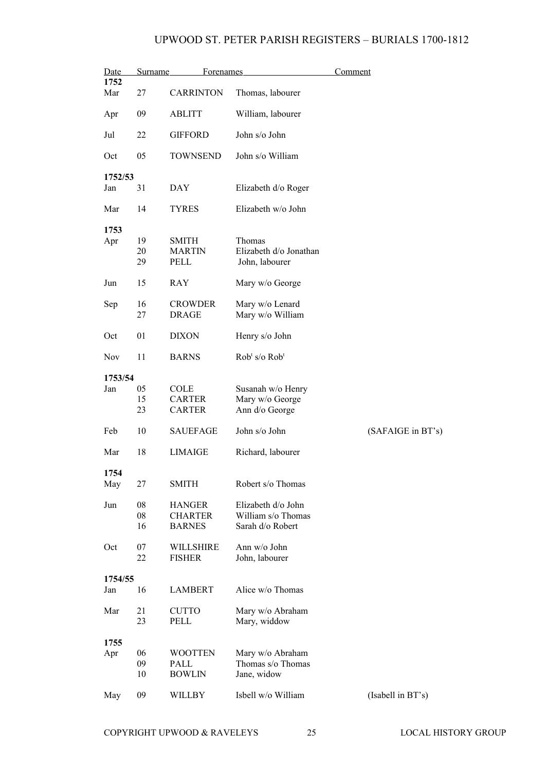| Date           | Surname    | Forenames        |                                       | Comment           |
|----------------|------------|------------------|---------------------------------------|-------------------|
| 1752<br>Mar    | 27         | <b>CARRINTON</b> | Thomas, labourer                      |                   |
| Apr            | 09         | <b>ABLITT</b>    | William, labourer                     |                   |
| Jul            | 22         | <b>GIFFORD</b>   | John s/o John                         |                   |
| Oct            | 05         | <b>TOWNSEND</b>  | John s/o William                      |                   |
| 1752/53        |            |                  |                                       |                   |
| Jan            | 31         | <b>DAY</b>       | Elizabeth d/o Roger                   |                   |
| Mar            | 14         | <b>TYRES</b>     | Elizabeth w/o John                    |                   |
| 1753           |            |                  |                                       |                   |
| Apr            | 19         | SMITH            | Thomas                                |                   |
|                | 20         | <b>MARTIN</b>    | Elizabeth d/o Jonathan                |                   |
|                | 29         | PELL             | John, labourer                        |                   |
| Jun            | 15         | RAY              | Mary w/o George                       |                   |
|                | 16         | <b>CROWDER</b>   | Mary w/o Lenard                       |                   |
| Sep            | 27         | <b>DRAGE</b>     | Mary w/o William                      |                   |
|                |            |                  |                                       |                   |
| Oct            | 01         | <b>DIXON</b>     | Henry s/o John                        |                   |
| <b>Nov</b>     | 11         | <b>BARNS</b>     | Rob <sup>t</sup> s/o Rob <sup>t</sup> |                   |
| 1753/54        |            |                  |                                       |                   |
| Jan            | 05         | COLE             | Susanah w/o Henry                     |                   |
|                | 15         | <b>CARTER</b>    | Mary w/o George                       |                   |
|                | 23         | <b>CARTER</b>    | Ann d/o George                        |                   |
|                |            |                  |                                       |                   |
| Feb            | 10         | <b>SAUEFAGE</b>  | John s/o John                         | (SAFAIGE in BT's) |
| Mar            | 18         | <b>LIMAIGE</b>   | Richard, labourer                     |                   |
| 1754           |            |                  |                                       |                   |
| May            | 27         | <b>SMITH</b>     | Robert s/o Thomas                     |                   |
| Jun            | 08         | <b>HANGER</b>    | Elizabeth d/o John                    |                   |
|                | ${\bf 08}$ | <b>CHARTER</b>   | William s/o Thomas                    |                   |
|                | 16         | <b>BARNES</b>    | Sarah d/o Robert                      |                   |
|                |            |                  |                                       |                   |
| Oct            | 07         | WILLSHIRE        | Ann w/o John                          |                   |
|                | 22         | <b>FISHER</b>    | John, labourer                        |                   |
|                |            |                  |                                       |                   |
| 1754/55<br>Jan | 16         | <b>LAMBERT</b>   | Alice w/o Thomas                      |                   |
|                |            |                  |                                       |                   |
| Mar            | 21         | <b>CUTTO</b>     | Mary w/o Abraham                      |                   |
|                | 23         | PELL             | Mary, widdow                          |                   |
|                |            |                  |                                       |                   |
| 1755           |            |                  |                                       |                   |
| Apr            | 06         | <b>WOOTTEN</b>   | Mary w/o Abraham                      |                   |
|                | 09         | PALL             | Thomas s/o Thomas                     |                   |
|                | 10         | <b>BOWLIN</b>    | Jane, widow                           |                   |
| May            | 09         | <b>WILLBY</b>    | Isbell w/o William                    | (Isabell in BT's) |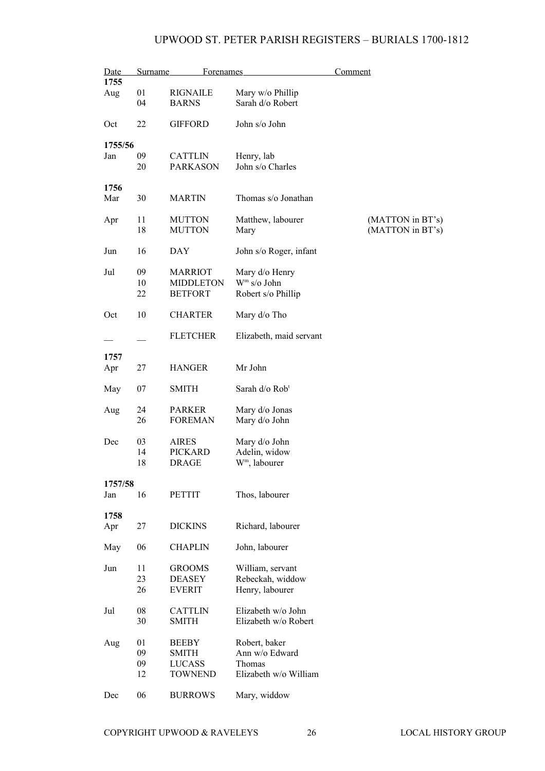| Date           | Surname              | <b>Forenames</b>                                                |                                                                    | <b>Comment</b>                       |
|----------------|----------------------|-----------------------------------------------------------------|--------------------------------------------------------------------|--------------------------------------|
| 1755<br>Aug    | 01<br>04             | <b>RIGNAILE</b><br><b>BARNS</b>                                 | Mary w/o Phillip<br>Sarah d/o Robert                               |                                      |
| Oct            | 22                   | <b>GIFFORD</b>                                                  | John s/o John                                                      |                                      |
| 1755/56<br>Jan | 09<br>20             | <b>CATTLIN</b><br><b>PARKASON</b>                               | Henry, lab<br>John s/o Charles                                     |                                      |
| 1756<br>Mar    | 30                   | <b>MARTIN</b>                                                   | Thomas s/o Jonathan                                                |                                      |
| Apr            | 11<br>18             | <b>MUTTON</b><br><b>MUTTON</b>                                  | Matthew, labourer<br>Mary                                          | (MATTON in BT's)<br>(MATTON in BT's) |
| Jun            | 16                   | <b>DAY</b>                                                      | John s/o Roger, infant                                             |                                      |
| Jul            | 09<br>10<br>22       | <b>MARRIOT</b><br><b>MIDDLETON</b><br><b>BETFORT</b>            | Mary d/o Henry<br>$Wm$ s/o John<br>Robert s/o Phillip              |                                      |
| Oct            | 10                   | <b>CHARTER</b>                                                  | Mary d/o Tho                                                       |                                      |
|                |                      | <b>FLETCHER</b>                                                 | Elizabeth, maid servant                                            |                                      |
| 1757<br>Apr    | 27                   | <b>HANGER</b>                                                   | Mr John                                                            |                                      |
| May            | 07                   | <b>SMITH</b>                                                    | Sarah d/o Rob <sup>t</sup>                                         |                                      |
| Aug            | 24<br>26             | <b>PARKER</b><br><b>FOREMAN</b>                                 | Mary d/o Jonas<br>Mary d/o John                                    |                                      |
| Dec            | 03<br>14<br>18       | <b>AIRES</b><br><b>PICKARD</b><br><b>DRAGE</b>                  | Mary d/o John<br>Adelin, widow<br>W <sup>m</sup> , labourer        |                                      |
| 1757/58<br>Jan | 16                   | <b>PETTIT</b>                                                   | Thos, labourer                                                     |                                      |
| 1758           |                      |                                                                 |                                                                    |                                      |
| Apr            | 27                   | <b>DICKINS</b>                                                  | Richard, labourer                                                  |                                      |
| May            | 06                   | <b>CHAPLIN</b>                                                  | John, labourer                                                     |                                      |
| Jun            | 11<br>23<br>26       | <b>GROOMS</b><br><b>DEASEY</b><br><b>EVERIT</b>                 | William, servant<br>Rebeckah, widdow<br>Henry, labourer            |                                      |
| Jul            | 08<br>30             | <b>CATTLIN</b><br><b>SMITH</b>                                  | Elizabeth w/o John<br>Elizabeth w/o Robert                         |                                      |
| Aug            | 01<br>09<br>09<br>12 | <b>BEEBY</b><br><b>SMITH</b><br><b>LUCASS</b><br><b>TOWNEND</b> | Robert, baker<br>Ann w/o Edward<br>Thomas<br>Elizabeth w/o William |                                      |
| Dec            | 06                   | <b>BURROWS</b>                                                  | Mary, widdow                                                       |                                      |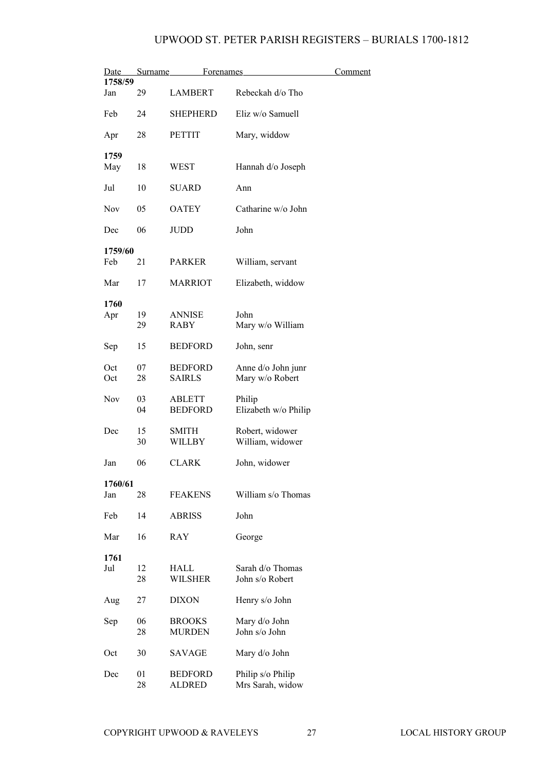| Date       | Surname  | <u>Forenames</u>         |                                       | <u>Comment</u> |
|------------|----------|--------------------------|---------------------------------------|----------------|
| 1758/59    |          |                          |                                       |                |
| Jan        | 29       | <b>LAMBERT</b>           | Rebeckah d/o Tho                      |                |
| Feb        | 24       | <b>SHEPHERD</b>          | Eliz w/o Samuell                      |                |
| Apr        | 28       | <b>PETTIT</b>            | Mary, widdow                          |                |
| 1759       |          |                          |                                       |                |
| May        | 18       | WEST                     | Hannah d/o Joseph                     |                |
| Jul        | 10       | <b>SUARD</b>             | Ann                                   |                |
| <b>Nov</b> | 05       | <b>OATEY</b>             | Catharine w/o John                    |                |
| Dec        | 06       | <b>JUDD</b>              | John                                  |                |
| 1759/60    |          |                          |                                       |                |
| Feb        | 21       | <b>PARKER</b>            | William, servant                      |                |
| Mar        | 17       | <b>MARRIOT</b>           | Elizabeth, widdow                     |                |
| 1760       |          |                          |                                       |                |
| Apr        | 19       | <b>ANNISE</b>            | John                                  |                |
|            | 29       | <b>RABY</b>              | Mary w/o William                      |                |
| Sep        | 15       | <b>BEDFORD</b>           | John, senr                            |                |
| Oct        | 07       | <b>BEDFORD</b>           | Anne d/o John junr                    |                |
| Oct        | 28       | <b>SAIRLS</b>            | Mary w/o Robert                       |                |
| Nov        | 03       | <b>ABLETT</b>            | Philip                                |                |
|            | 04       | <b>BEDFORD</b>           | Elizabeth w/o Philip                  |                |
|            |          |                          |                                       |                |
| Dec        | 15<br>30 | <b>SMITH</b><br>WILLBY   | Robert, widower<br>William, widower   |                |
|            |          |                          |                                       |                |
| Jan        | 06       | <b>CLARK</b>             | John, widower                         |                |
| 1760/61    |          |                          |                                       |                |
| Jan        | 28       | <b>FEAKENS</b>           | William s/o Thomas                    |                |
| Feb        | 14       | <b>ABRISS</b>            | John                                  |                |
| Mar        | 16       | RAY                      | George                                |                |
| 1761       |          |                          |                                       |                |
| Jul        | 12       | HALL                     | Sarah d/o Thomas                      |                |
|            | 28       | <b>WILSHER</b>           | John s/o Robert                       |                |
| Aug        | 27       | <b>DIXON</b>             | Henry s/o John                        |                |
| Sep        | 06       | <b>BROOKS</b>            | Mary d/o John                         |                |
|            | 28       | <b>MURDEN</b>            | John s/o John                         |                |
| Oct        | 30       | SAVAGE                   | Mary d/o John                         |                |
|            |          |                          |                                       |                |
| Dec        | 01<br>28 | <b>BEDFORD</b><br>ALDRED | Philip s/o Philip<br>Mrs Sarah, widow |                |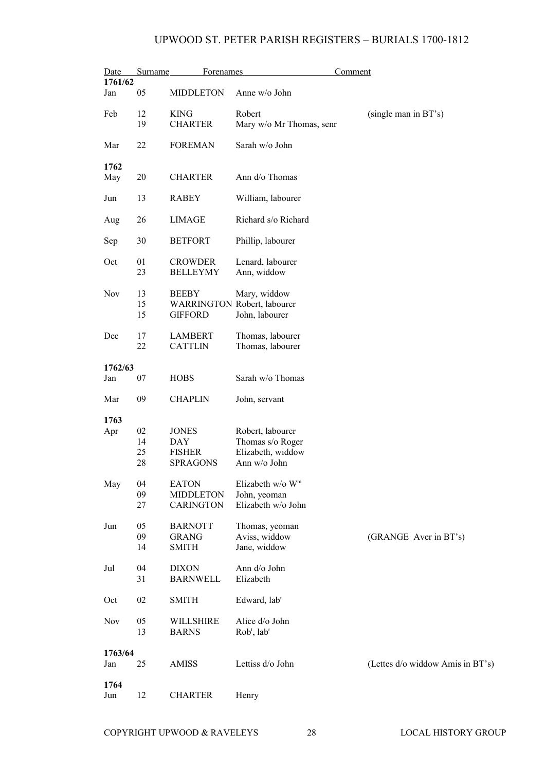| Date           | <b>Surname</b> | <b>Forenames</b>                  |                                                                      | Comment                          |
|----------------|----------------|-----------------------------------|----------------------------------------------------------------------|----------------------------------|
| 1761/62        |                |                                   |                                                                      |                                  |
| Jan            | 05             | <b>MIDDLETON</b>                  | Anne w/o John                                                        |                                  |
| Feb            | 12<br>19       | <b>KING</b><br><b>CHARTER</b>     | Robert<br>Mary w/o Mr Thomas, senr                                   | (single man in BT's)             |
| Mar            | 22             | <b>FOREMAN</b>                    | Sarah w/o John                                                       |                                  |
| 1762<br>May    | 20             | <b>CHARTER</b>                    | Ann d/o Thomas                                                       |                                  |
| Jun            | 13             | <b>RABEY</b>                      | William, labourer                                                    |                                  |
| Aug            | 26             | <b>LIMAGE</b>                     | Richard s/o Richard                                                  |                                  |
| Sep            | 30             | <b>BETFORT</b>                    | Phillip, labourer                                                    |                                  |
| Oct            | 01<br>23       | <b>CROWDER</b><br><b>BELLEYMY</b> | Lenard, labourer<br>Ann, widdow                                      |                                  |
| Nov            | 13<br>15<br>15 | <b>BEEBY</b><br><b>GIFFORD</b>    | Mary, widdow<br><b>WARRINGTON Robert, labourer</b><br>John, labourer |                                  |
| Dec            | 17<br>22       | <b>LAMBERT</b><br><b>CATTLIN</b>  | Thomas, labourer<br>Thomas, labourer                                 |                                  |
| 1762/63        |                |                                   |                                                                      |                                  |
| Jan            | 07             | <b>HOBS</b>                       | Sarah w/o Thomas                                                     |                                  |
| Mar            | 09             | <b>CHAPLIN</b>                    | John, servant                                                        |                                  |
| 1763           |                |                                   |                                                                      |                                  |
| Apr            | 02             | <b>JONES</b>                      | Robert, labourer                                                     |                                  |
|                | 14             | <b>DAY</b>                        | Thomas s/o Roger                                                     |                                  |
|                | 25             | <b>FISHER</b>                     | Elizabeth, widdow                                                    |                                  |
|                | 28             | <b>SPRAGONS</b>                   | Ann w/o John                                                         |                                  |
| May            | 04             | <b>EATON</b>                      | Elizabeth w/o W <sup>m</sup>                                         |                                  |
|                | 09             | <b>MIDDLETON</b>                  | John, yeoman                                                         |                                  |
|                | 27             | CARINGTON                         | Elizabeth w/o John                                                   |                                  |
| Jun            | 05             | <b>BARNOTT</b>                    | Thomas, yeoman                                                       |                                  |
|                | 09             | <b>GRANG</b>                      | Aviss, widdow                                                        | (GRANGE Aver in BT's)            |
|                | 14             | <b>SMITH</b>                      | Jane, widdow                                                         |                                  |
| Jul            | 04             | <b>DIXON</b>                      | Ann d/o John                                                         |                                  |
|                | 31             | <b>BARNWELL</b>                   | Elizabeth                                                            |                                  |
| Oct            | 02             | <b>SMITH</b>                      | Edward, lab <sup>r</sup>                                             |                                  |
| Nov            | 05<br>13       | WILLSHIRE<br><b>BARNS</b>         | Alice d/o John<br>$Robt$ , lab <sup>r</sup>                          |                                  |
|                |                |                                   |                                                                      |                                  |
| 1763/64<br>Jan | 25             | AMISS                             | Lettiss d/o John                                                     | (Lettes d/o widdow Amis in BT's) |
| 1764           |                |                                   |                                                                      |                                  |
| Jun            | 12             | <b>CHARTER</b>                    | Henry                                                                |                                  |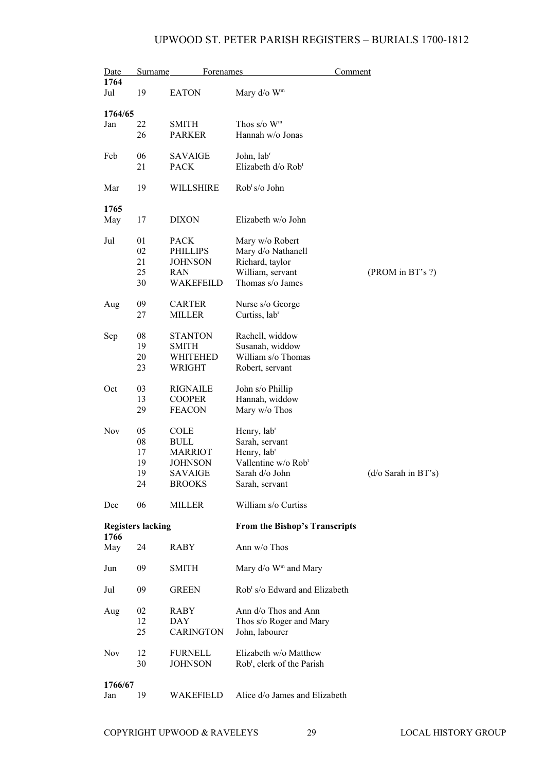| Date        | Surname                  | <b>Forenames</b>              |                                               | <b>Comment</b>      |
|-------------|--------------------------|-------------------------------|-----------------------------------------------|---------------------|
| 1764<br>Jul | 19                       | <b>EATON</b>                  | Mary $d$ /o W <sup>m</sup>                    |                     |
|             |                          |                               |                                               |                     |
| 1764/65     |                          |                               |                                               |                     |
| Jan         | 22<br>26                 | <b>SMITH</b><br><b>PARKER</b> | Thos $s/o$ W <sup>m</sup><br>Hannah w/o Jonas |                     |
| Feb         | 06                       | <b>SAVAIGE</b>                | John, lab <sup>r</sup>                        |                     |
|             | 21                       | <b>PACK</b>                   | Elizabeth d/o Rob <sup>t</sup>                |                     |
| Mar         | 19                       | WILLSHIRE                     | $Robts/o$ John                                |                     |
| 1765        |                          |                               |                                               |                     |
| May         | 17                       | <b>DIXON</b>                  | Elizabeth w/o John                            |                     |
| Jul         | 01                       | <b>PACK</b>                   | Mary w/o Robert                               |                     |
|             | 02                       | <b>PHILLIPS</b>               | Mary d/o Nathanell                            |                     |
|             | 21                       | <b>JOHNSON</b>                | Richard, taylor                               |                     |
|             | 25                       | RAN                           | William, servant                              | (PROM in BT's ?)    |
|             | 30                       | WAKEFEILD                     | Thomas s/o James                              |                     |
| Aug         | 09                       | <b>CARTER</b>                 | Nurse s/o George                              |                     |
|             | 27                       | <b>MILLER</b>                 | Curtiss, lab <sup>r</sup>                     |                     |
| Sep         | 08                       | <b>STANTON</b>                | Rachell, widdow                               |                     |
|             | 19                       | <b>SMITH</b>                  | Susanah, widdow                               |                     |
|             | 20                       | WHITEHED                      | William s/o Thomas                            |                     |
|             | 23                       | <b>WRIGHT</b>                 | Robert, servant                               |                     |
| Oct         | 03                       | <b>RIGNAILE</b>               | John s/o Phillip                              |                     |
|             | 13                       | <b>COOPER</b>                 | Hannah, widdow                                |                     |
|             | 29                       | <b>FEACON</b>                 | Mary w/o Thos                                 |                     |
| <b>Nov</b>  | 05                       | COLE                          | Henry, lab <sup>r</sup>                       |                     |
|             | 08                       | <b>BULL</b>                   | Sarah, servant                                |                     |
|             | 17                       | <b>MARRIOT</b>                | Henry, lab <sup>r</sup>                       |                     |
|             | 19                       | <b>JOHNSON</b>                | Vallentine w/o Rob <sup>t</sup>               |                     |
|             | 19                       | SAVAIGE                       | Sarah d/o John                                | (d/o Sarah in BT's) |
|             | 24                       | <b>BROOKS</b>                 | Sarah, servant                                |                     |
| Dec         | 06                       | MILLER                        | William s/o Curtiss                           |                     |
|             |                          |                               |                                               |                     |
| 1766        | <b>Registers lacking</b> |                               | <b>From the Bishop's Transcripts</b>          |                     |
| May         | 24                       | RABY                          | Ann w/o Thos                                  |                     |
| Jun         | 09                       | <b>SMITH</b>                  | Mary $d$ /o W <sup>m</sup> and Mary           |                     |
| Jul         | 09                       | <b>GREEN</b>                  | Rob <sup>t</sup> s/o Edward and Elizabeth     |                     |
| Aug         | 02                       | RABY                          | Ann d/o Thos and Ann                          |                     |
|             | 12                       | DAY                           | Thos s/o Roger and Mary                       |                     |
|             | 25                       | <b>CARINGTON</b>              | John, labourer                                |                     |
| <b>Nov</b>  | 12                       | <b>FURNELL</b>                | Elizabeth w/o Matthew                         |                     |
|             | 30                       | <b>JOHNSON</b>                |                                               |                     |
|             |                          |                               | Rob <sup>t</sup> , clerk of the Parish        |                     |
| 1766/67     |                          |                               |                                               |                     |
| Jan         | 19                       | WAKEFIELD                     | Alice d/o James and Elizabeth                 |                     |
|             |                          |                               |                                               |                     |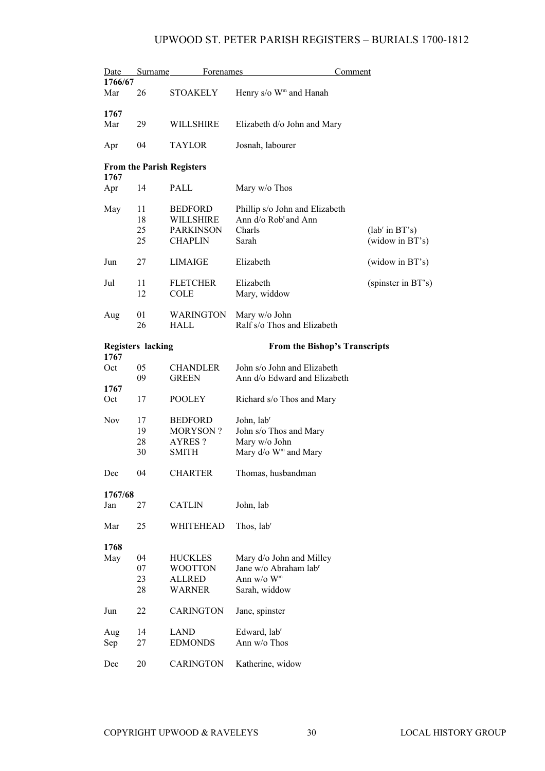| Date           | Surname                  | <b>Forenames</b>                                                   | Comment                                                                                                    |                                     |  |
|----------------|--------------------------|--------------------------------------------------------------------|------------------------------------------------------------------------------------------------------------|-------------------------------------|--|
| 1766/67<br>Mar | 26                       | <b>STOAKELY</b>                                                    | Henry s/o W <sup>m</sup> and Hanah                                                                         |                                     |  |
| 1767           |                          |                                                                    |                                                                                                            |                                     |  |
| Mar            | 29                       | <b>WILLSHIRE</b>                                                   | Elizabeth d/o John and Mary                                                                                |                                     |  |
| Apr            | 04                       | <b>TAYLOR</b>                                                      | Josnah, labourer                                                                                           |                                     |  |
| 1767           |                          | <b>From the Parish Registers</b>                                   |                                                                                                            |                                     |  |
| Apr            | 14                       | PALL                                                               | Mary w/o Thos                                                                                              |                                     |  |
| May            | 11<br>18<br>25<br>25     | <b>BEDFORD</b><br>WILLSHIRE<br><b>PARKINSON</b><br><b>CHAPLIN</b>  | Phillip s/o John and Elizabeth<br>Ann d/o Rob <sup>t</sup> and Ann<br>Charls<br>Sarah                      | $(labr$ in BT's)<br>(widow in BT's) |  |
| Jun            | 27                       | <b>LIMAIGE</b>                                                     | Elizabeth                                                                                                  | (widow in BT's)                     |  |
| Jul            | 11<br>12                 | <b>FLETCHER</b><br><b>COLE</b>                                     | Elizabeth<br>Mary, widdow                                                                                  | (spinster in BT's)                  |  |
| Aug            | 01<br>26                 | <b>WARINGTON</b><br><b>HALL</b>                                    | Mary w/o John<br>Ralf s/o Thos and Elizabeth                                                               |                                     |  |
| 1767           | <b>Registers lacking</b> |                                                                    | <b>From the Bishop's Transcripts</b>                                                                       |                                     |  |
| Oct            | 05<br>09                 | <b>CHANDLER</b><br><b>GREEN</b>                                    | John s/o John and Elizabeth<br>Ann d/o Edward and Elizabeth                                                |                                     |  |
| 1767<br>Oct    | 17                       | <b>POOLEY</b>                                                      | Richard s/o Thos and Mary                                                                                  |                                     |  |
| Nov            | 17<br>19<br>28<br>30     | <b>BEDFORD</b><br><b>MORYSON?</b><br>AYRES?<br><b>SMITH</b>        | John, lab <sup>r</sup><br>John s/o Thos and Mary<br>Mary w/o John<br>Mary d/o W <sup>m</sup> and Mary      |                                     |  |
| Dec            | 04                       | <b>CHARTER</b>                                                     | Thomas, husbandman                                                                                         |                                     |  |
| 1767/68<br>Jan | 27                       | <b>CATLIN</b>                                                      | John, lab                                                                                                  |                                     |  |
| Mar            | 25                       | WHITEHEAD                                                          | Thos, lab <sup>r</sup>                                                                                     |                                     |  |
| 1768<br>May    | 04<br>07<br>23<br>28     | <b>HUCKLES</b><br><b>WOOTTON</b><br><b>ALLRED</b><br><b>WARNER</b> | Mary d/o John and Milley<br>Jane w/o Abraham lab <sup>r</sup><br>Ann $w/o$ W <sup>m</sup><br>Sarah, widdow |                                     |  |
| Jun            | 22                       | <b>CARINGTON</b>                                                   | Jane, spinster                                                                                             |                                     |  |
| Aug<br>Sep     | 14<br>27                 | <b>LAND</b><br><b>EDMONDS</b>                                      | Edward, lab <sup>r</sup><br>Ann w/o Thos                                                                   |                                     |  |
| Dec            | 20                       | <b>CARINGTON</b>                                                   | Katherine, widow                                                                                           |                                     |  |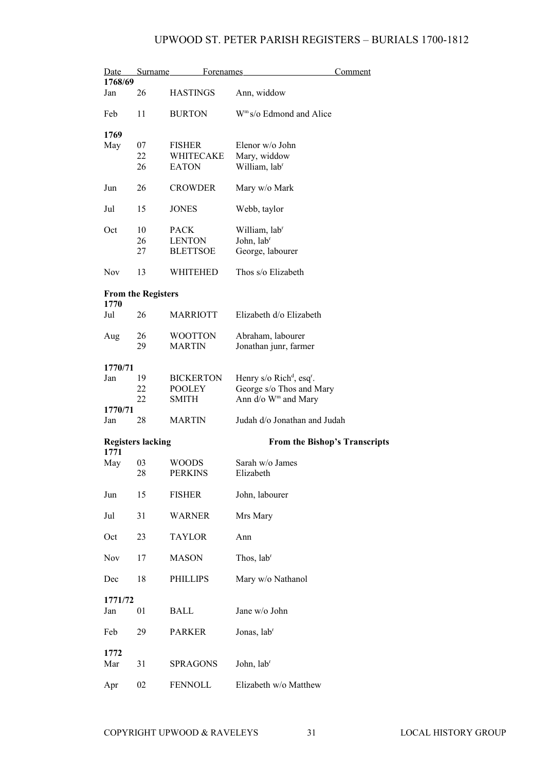| Date       | Surname                   | Forenames        | Comment                                             |
|------------|---------------------------|------------------|-----------------------------------------------------|
| 1768/69    |                           |                  |                                                     |
| Jan        | 26                        | <b>HASTINGS</b>  | Ann, widdow                                         |
| Feb        | 11                        | <b>BURTON</b>    | W <sup>m</sup> s/o Edmond and Alice                 |
| 1769       |                           |                  |                                                     |
| May        | 07                        | <b>FISHER</b>    | Elenor w/o John                                     |
|            | 22                        | WHITECAKE        | Mary, widdow                                        |
|            | 26                        | <b>EATON</b>     | William, labr                                       |
| Jun        | 26                        | <b>CROWDER</b>   | Mary w/o Mark                                       |
| Jul        | 15                        | <b>JONES</b>     | Webb, taylor                                        |
| Oct        | 10                        | <b>PACK</b>      | William, labr                                       |
|            | 26                        | <b>LENTON</b>    | John, lab <sup>r</sup>                              |
|            | 27                        | <b>BLETTSOE</b>  | George, labourer                                    |
| <b>Nov</b> | 13                        | WHITEHED         | Thos s/o Elizabeth                                  |
| 1770       | <b>From the Registers</b> |                  |                                                     |
| Jul        | 26                        | <b>MARRIOTT</b>  | Elizabeth d/o Elizabeth                             |
| Aug        | 26                        | <b>WOOTTON</b>   | Abraham, labourer                                   |
|            | 29                        | <b>MARTIN</b>    | Jonathan junr, farmer                               |
| 1770/71    |                           |                  |                                                     |
| Jan        | 19                        | <b>BICKERTON</b> | Henry $s$ /o Rich <sup>d</sup> , esq <sup>r</sup> . |
|            | 22                        | <b>POOLEY</b>    | George s/o Thos and Mary                            |
|            | 22                        | <b>SMITH</b>     | Ann d/o W <sup>m</sup> and Mary                     |
| 1770/71    |                           |                  |                                                     |
| Jan        | 28                        | <b>MARTIN</b>    | Judah d/o Jonathan and Judah                        |
| 1771       | <b>Registers lacking</b>  |                  | <b>From the Bishop's Transcripts</b>                |
| May        | 03                        | <b>WOODS</b>     | Sarah w/o James                                     |
|            | 28                        | <b>PERKINS</b>   | Elizabeth                                           |
| Jun        | 15                        | <b>FISHER</b>    | John, labourer                                      |
|            |                           |                  |                                                     |
| Jul        | 31                        | <b>WARNER</b>    | Mrs Mary                                            |
| Oct        | 23                        | <b>TAYLOR</b>    | Ann                                                 |
| Nov        | 17                        | <b>MASON</b>     | Thos, lab <sup>r</sup>                              |
| Dec        | 18                        | <b>PHILLIPS</b>  | Mary w/o Nathanol                                   |
| 1771/72    |                           |                  |                                                     |
| Jan        | 01                        | <b>BALL</b>      | Jane w/o John                                       |
|            |                           |                  |                                                     |
| Feb        | 29                        | <b>PARKER</b>    | Jonas, lab <sup>r</sup>                             |
| 1772       |                           |                  |                                                     |
| Mar        | 31                        | <b>SPRAGONS</b>  | John, lab <sup>r</sup>                              |
| Apr        | 02                        | <b>FENNOLL</b>   | Elizabeth w/o Matthew                               |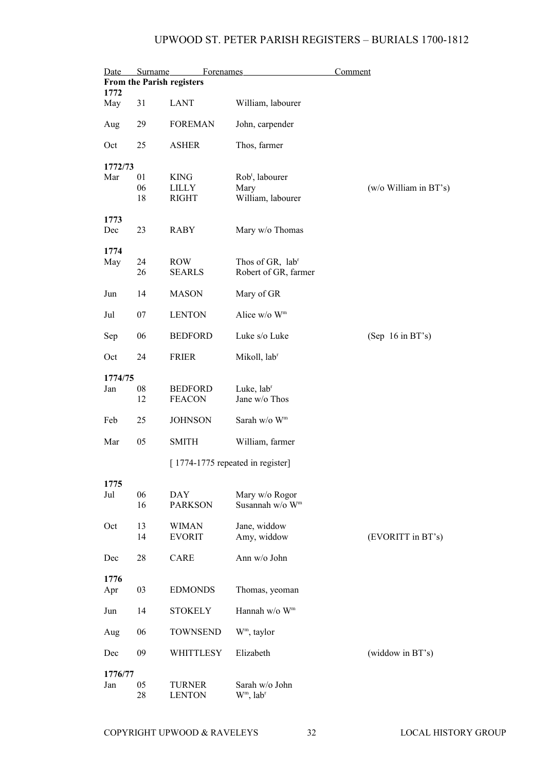| Date        | <b>Forenames</b><br>Comment<br>Surname<br><b>From the Parish registers</b> |                                  |                                           |                       |  |  |
|-------------|----------------------------------------------------------------------------|----------------------------------|-------------------------------------------|-----------------------|--|--|
| 1772<br>May | 31                                                                         | <b>LANT</b>                      | William, labourer                         |                       |  |  |
| Aug         | 29                                                                         | <b>FOREMAN</b>                   | John, carpender                           |                       |  |  |
| Oct         | 25                                                                         | <b>ASHER</b>                     | Thos, farmer                              |                       |  |  |
| 1772/73     |                                                                            |                                  |                                           |                       |  |  |
| Mar         | 01                                                                         | <b>KING</b>                      | Rob <sup>t</sup> , labourer               |                       |  |  |
|             | 06                                                                         | <b>LILLY</b>                     | Mary                                      | (w/o William in BT's) |  |  |
|             | 18                                                                         | <b>RIGHT</b>                     | William, labourer                         |                       |  |  |
| 1773        |                                                                            |                                  |                                           |                       |  |  |
| Dec         | 23                                                                         | <b>RABY</b>                      | Mary w/o Thomas                           |                       |  |  |
| 1774        |                                                                            |                                  |                                           |                       |  |  |
| May         | 24                                                                         | <b>ROW</b>                       | Thos of GR, lab <sup>r</sup>              |                       |  |  |
|             | 26                                                                         | <b>SEARLS</b>                    | Robert of GR, farmer                      |                       |  |  |
| Jun         | 14                                                                         | <b>MASON</b>                     | Mary of GR                                |                       |  |  |
| Jul         | 07                                                                         | <b>LENTON</b>                    | Alice $w/o$ W <sup>m</sup>                |                       |  |  |
| Sep         | 06                                                                         | <b>BEDFORD</b>                   | Luke s/o Luke                             | (Sep $16$ in BT's)    |  |  |
| Oct         | 24                                                                         | <b>FRIER</b>                     | Mikoll, lab <sup>r</sup>                  |                       |  |  |
| 1774/75     |                                                                            |                                  |                                           |                       |  |  |
| Jan         | 08                                                                         | <b>BEDFORD</b>                   | Luke, lab <sup>r</sup>                    |                       |  |  |
|             | 12                                                                         | <b>FEACON</b>                    | Jane w/o Thos                             |                       |  |  |
| Feb         | 25                                                                         | <b>JOHNSON</b>                   | Sarah w/o W <sup>m</sup>                  |                       |  |  |
| Mar         | 05                                                                         | <b>SMITH</b>                     | William, farmer                           |                       |  |  |
|             |                                                                            | [1774-1775 repeated in register] |                                           |                       |  |  |
| 1775        |                                                                            |                                  |                                           |                       |  |  |
| Jul         | 06                                                                         | DAY                              | Mary w/o Rogor                            |                       |  |  |
|             | 16                                                                         | <b>PARKSON</b>                   | Susannah w/o W <sup>m</sup>               |                       |  |  |
| Oct         | 13                                                                         | <b>WIMAN</b>                     | Jane, widdow                              |                       |  |  |
|             | 14                                                                         | <b>EVORIT</b>                    | Amy, widdow                               | (EVORITT in BT's)     |  |  |
| Dec         | 28                                                                         | CARE                             | Ann w/o John                              |                       |  |  |
| 1776        |                                                                            |                                  |                                           |                       |  |  |
| Apr         | 03                                                                         | <b>EDMONDS</b>                   | Thomas, yeoman                            |                       |  |  |
| Jun         | 14                                                                         | <b>STOKELY</b>                   | Hannah w/o W <sup>m</sup>                 |                       |  |  |
| Aug         | 06                                                                         | <b>TOWNSEND</b>                  | $Wm$ , taylor                             |                       |  |  |
| Dec         | 09                                                                         | WHITTLESY                        | Elizabeth                                 | (widdow in BT's)      |  |  |
| 1776/77     |                                                                            |                                  |                                           |                       |  |  |
| Jan         | 05<br>28                                                                   | <b>TURNER</b><br><b>LENTON</b>   | Sarah w/o John<br>$Wm$ , lab <sup>r</sup> |                       |  |  |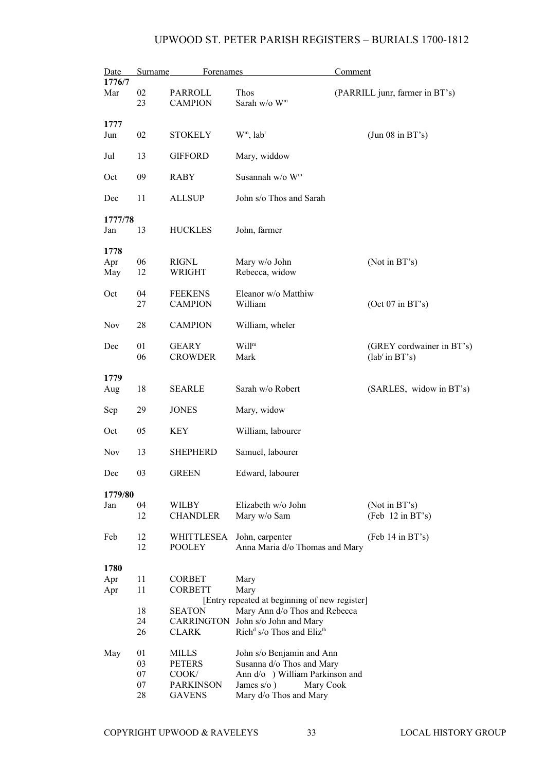| Date               | Surname  | Forenames                        |                                                                                | Comment                                       |
|--------------------|----------|----------------------------------|--------------------------------------------------------------------------------|-----------------------------------------------|
| 1776/7<br>Mar      | 02<br>23 | PARROLL<br><b>CAMPION</b>        | Thos<br>Sarah w/o W <sup>m</sup>                                               | (PARRILL junr, farmer in BT's)                |
| 1777               |          |                                  |                                                                                |                                               |
| Jun                | 02       | <b>STOKELY</b>                   | $Wm$ , lab <sup>r</sup>                                                        | (Jun 08 in BT's)                              |
| Jul                | 13       | <b>GIFFORD</b>                   | Mary, widdow                                                                   |                                               |
| Oct                | 09       | <b>RABY</b>                      | Susannah w/o Wm                                                                |                                               |
| Dec                | 11       | <b>ALLSUP</b>                    | John s/o Thos and Sarah                                                        |                                               |
| 1777/78            |          |                                  |                                                                                |                                               |
| Jan                | 13       | <b>HUCKLES</b>                   | John, farmer                                                                   |                                               |
| 1778<br>Apr<br>May | 06<br>12 | RIGNL<br>WRIGHT                  | Mary w/o John<br>Rebecca, widow                                                | (Not in BT's)                                 |
| Oct                | 04<br>27 | <b>FEEKENS</b><br><b>CAMPION</b> | Eleanor w/o Matthiw<br>William                                                 | (Oct 07 in BT's)                              |
| <b>Nov</b>         | 28       | <b>CAMPION</b>                   | William, wheler                                                                |                                               |
| Dec                | 01<br>06 | <b>GEARY</b><br><b>CROWDER</b>   | Will <sup>m</sup><br>Mark                                                      | (GREY cordwainer in BT's)<br>$(labr$ in BT's) |
| 1779               |          |                                  |                                                                                |                                               |
| Aug                | 18       | <b>SEARLE</b>                    | Sarah w/o Robert                                                               | (SARLES, widow in BT's)                       |
| Sep                | 29       | <b>JONES</b>                     | Mary, widow                                                                    |                                               |
| Oct                | 05       | KEY                              | William, labourer                                                              |                                               |
| Nov                | 13       | <b>SHEPHERD</b>                  | Samuel, labourer                                                               |                                               |
| Dec                | 03       | <b>GREEN</b>                     | Edward, labourer                                                               |                                               |
| 1779/80            |          |                                  |                                                                                |                                               |
| Jan                | 04<br>12 | WILBY<br><b>CHANDLER</b>         | Elizabeth w/o John<br>Mary w/o Sam                                             | (Not in BT's)<br>(Feb 12 in BT's)             |
| Feb                | 12<br>12 | WHITTLESEA<br><b>POOLEY</b>      | John, carpenter<br>Anna Maria d/o Thomas and Mary                              | $(Feb 14$ in BT's)                            |
| 1780               |          |                                  |                                                                                |                                               |
| Apr                | 11       | <b>CORBET</b>                    | Mary                                                                           |                                               |
| Apr                | 11       | <b>CORBETT</b>                   | Mary                                                                           |                                               |
|                    | 18       | <b>SEATON</b>                    | [Entry repeated at beginning of new register]<br>Mary Ann d/o Thos and Rebecca |                                               |
|                    | 24       |                                  | CARRINGTON John s/o John and Mary                                              |                                               |
|                    | 26       | <b>CLARK</b>                     | Rich <sup>d</sup> s/o Thos and Eliz <sup>th</sup>                              |                                               |
| May                | 01       | <b>MILLS</b>                     | John s/o Benjamin and Ann                                                      |                                               |
|                    | 03       | <b>PETERS</b>                    | Susanna d/o Thos and Mary                                                      |                                               |
|                    | 07       | COOK/                            | Ann d/o ) William Parkinson and                                                |                                               |
|                    | 07       | <b>PARKINSON</b>                 | James $s/o$ )<br>Mary Cook                                                     |                                               |
|                    | 28       | <b>GAVENS</b>                    | Mary d/o Thos and Mary                                                         |                                               |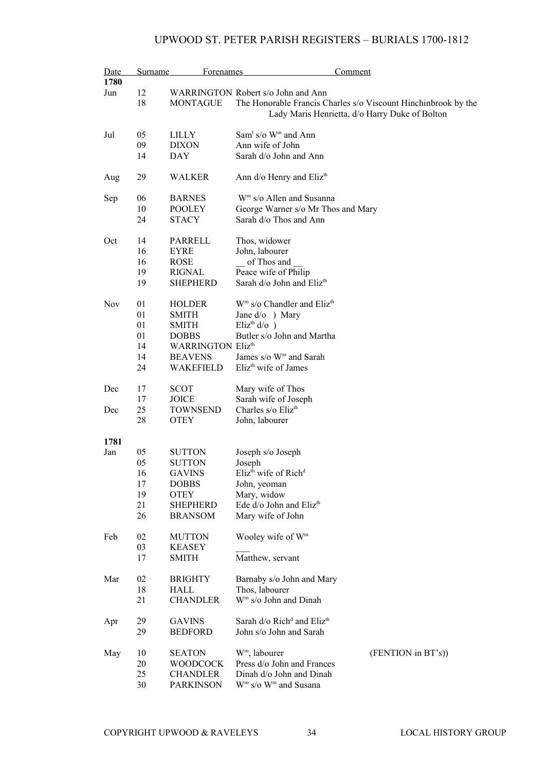| Date       | <b>Surname</b> | Forenames                | Comment                                                        |
|------------|----------------|--------------------------|----------------------------------------------------------------|
| 1780       |                |                          |                                                                |
| Jun        | 12             |                          | WARRINGTON Robert s/o John and Ann                             |
|            | 18             | <b>MONTAGUE</b>          | The Honorable Francis Charles s/o Viscount Hinchinbrook by the |
|            |                |                          | Lady Maris Henrietta, d/o Harry Duke of Bolton                 |
| Jul        | 05             | LILLY                    | Sam <sup>1</sup> s/o $Wm$ and Ann                              |
|            | 09             | <b>DIXON</b>             | Ann wife of John                                               |
|            | 14             | <b>DAY</b>               | Sarah d/o John and Ann                                         |
| Aug        | 29             | <b>WALKER</b>            | Ann d/o Henry and Eliz <sup>th</sup>                           |
| Sep        | 06             | <b>BARNES</b>            | W <sup>m</sup> s/o Allen and Susanna                           |
|            | 10             | <b>POOLEY</b>            | George Warner s/o Mr Thos and Mary                             |
|            | 24             | <b>STACY</b>             | Sarah d/o Thos and Ann                                         |
| Oct        | 14             | PARRELL                  | Thos, widower                                                  |
|            | 16             | <b>EYRE</b>              | John, labourer                                                 |
|            | 16             | <b>ROSE</b>              | of Thos and                                                    |
|            | 19             | <b>RIGNAL</b>            | Peace wife of Philip                                           |
|            | 19             | <b>SHEPHERD</b>          | Sarah d/o John and Eliz <sup>th</sup>                          |
| <b>Nov</b> | 01             | <b>HOLDER</b>            | $Wm$ s/o Chandler and Eliz <sup>th</sup>                       |
|            | 01             | <b>SMITH</b>             | Jane d/o ) Mary                                                |
|            | 01             | <b>SMITH</b>             | Eliz <sup>th</sup> $d$ /o $)$                                  |
|            | 01             | <b>DOBBS</b>             | Butler s/o John and Martha                                     |
|            | 14             | <b>WARRINGTON Elizth</b> |                                                                |
|            | 14             | <b>BEAVENS</b>           | James s/o W <sup>m</sup> and Sarah                             |
|            |                |                          | Eliz <sup>th</sup> wife of James                               |
|            | 24             | <b>WAKEFIELD</b>         |                                                                |
| Dec        | 17             | <b>SCOT</b>              | Mary wife of Thos                                              |
|            | 17             | <b>JOICE</b>             | Sarah wife of Joseph                                           |
| Dec        | 25             | <b>TOWNSEND</b>          | Charles s/o Eliz <sup>th</sup>                                 |
|            | 28             | <b>OTEY</b>              | John, labourer                                                 |
| 1781       |                |                          |                                                                |
| Jan        | 05             | <b>SUTTON</b>            | Joseph s/o Joseph                                              |
|            | 05             | <b>SUTTON</b>            | Joseph                                                         |
|            | 16             | <b>GAVINS</b>            | Eliz <sup>th</sup> wife of Rich <sup>d</sup>                   |
|            | 17             | <b>DOBBS</b>             | John, yeoman                                                   |
|            | 19             | <b>OTEY</b>              | Mary, widow                                                    |
|            | 21             | <b>SHEPHERD</b>          | Ede d/o John and Eliz <sup>th</sup>                            |
|            | 26             | <b>BRANSOM</b>           | Mary wife of John                                              |
| Feb        | 02             | <b>MUTTON</b>            | Wooley wife of W <sup>m</sup>                                  |
|            | 03             | <b>KEASEY</b>            |                                                                |
|            | 17             | <b>SMITH</b>             | Matthew, servant                                               |
| Mar        | 02             | <b>BRIGHTY</b>           | Barnaby s/o John and Mary                                      |
|            | 18             | HALL                     | Thos, labourer                                                 |
|            | 21             | <b>CHANDLER</b>          | W <sup>m</sup> s/o John and Dinah                              |
| Apr        | 29             | <b>GAVINS</b>            | Sarah d/o Rich <sup>d</sup> and Eliz <sup>th</sup>             |
|            | 29             | <b>BEDFORD</b>           | John s/o John and Sarah                                        |
| May        | 10             | <b>SEATON</b>            | W <sup>m</sup> , labourer<br>(FENTION in BT's))                |
|            | 20             | <b>WOODCOCK</b>          | Press d/o John and Frances                                     |
|            | 25             | CHANDLER                 | Dinah d/o John and Dinah                                       |
|            | 30             | <b>PARKINSON</b>         | W <sup>m</sup> s/o W <sup>m</sup> and Susana                   |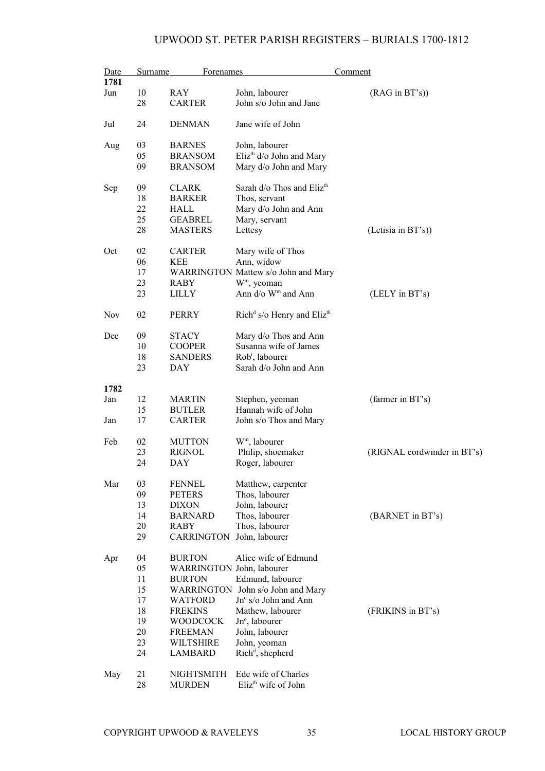| Date       | Surname | <b>Forenames</b>          |                                                    | Comment                     |
|------------|---------|---------------------------|----------------------------------------------------|-----------------------------|
| 1781       |         |                           |                                                    |                             |
| Jun        | 10      | <b>RAY</b>                | John, labourer                                     | (RAG in BT's)               |
|            | 28      | <b>CARTER</b>             | John s/o John and Jane                             |                             |
| Jul        | 24      | <b>DENMAN</b>             | Jane wife of John                                  |                             |
| Aug        | 03      | <b>BARNES</b>             | John, labourer                                     |                             |
|            | 05      | <b>BRANSOM</b>            | Eliz <sup>th</sup> d/o John and Mary               |                             |
|            | 09      | <b>BRANSOM</b>            | Mary d/o John and Mary                             |                             |
| Sep        | 09      | <b>CLARK</b>              | Sarah d/o Thos and Eliz <sup>th</sup>              |                             |
|            | 18      | <b>BARKER</b>             | Thos, servant                                      |                             |
|            | 22      | <b>HALL</b>               | Mary d/o John and Ann                              |                             |
|            | 25      | <b>GEABREL</b>            | Mary, servant                                      |                             |
|            | 28      | <b>MASTERS</b>            | Lettesy                                            | (Letisia in BT's))          |
| Oct        | 02      | <b>CARTER</b>             | Mary wife of Thos                                  |                             |
|            | 06      | <b>KEE</b>                | Ann, widow                                         |                             |
|            | 17      |                           | WARRINGTON Mattew s/o John and Mary                |                             |
|            | 23      | RABY                      | W <sup>m</sup> , yeoman                            |                             |
|            | 23      | <b>LILLY</b>              | Ann d/o W <sup>m</sup> and Ann                     | (LELY in BT's)              |
| <b>Nov</b> | 02      | <b>PERRY</b>              | Rich <sup>d</sup> s/o Henry and Eliz <sup>th</sup> |                             |
| Dec        | 09      | <b>STACY</b>              | Mary d/o Thos and Ann                              |                             |
|            | 10      | <b>COOPER</b>             | Susanna wife of James                              |                             |
|            | 18      | <b>SANDERS</b>            | Rob <sup>t</sup> , labourer                        |                             |
|            | 23      | <b>DAY</b>                | Sarah d/o John and Ann                             |                             |
| 1782       |         |                           |                                                    |                             |
| Jan        | 12      | <b>MARTIN</b>             | Stephen, yeoman                                    | (farmer in BT's)            |
|            | 15      | <b>BUTLER</b>             | Hannah wife of John                                |                             |
| Jan        | 17      | <b>CARTER</b>             | John s/o Thos and Mary                             |                             |
| Feb        | 02      | <b>MUTTON</b>             | W <sup>m</sup> , labourer                          |                             |
|            | 23      | <b>RIGNOL</b>             | Philip, shoemaker                                  | (RIGNAL cordwinder in BT's) |
|            | 24      | <b>DAY</b>                | Roger, labourer                                    |                             |
| Mar        | 03      | <b>FENNEL</b>             | Matthew, carpenter                                 |                             |
|            | 09      | <b>PETERS</b>             | Thos, labourer                                     |                             |
|            | 13      | <b>DIXON</b>              | John, labourer                                     |                             |
|            | 14      | <b>BARNARD</b>            | Thos, labourer                                     | (BARNET in BT's)            |
|            | 20      | <b>RABY</b>               | Thos, labourer                                     |                             |
|            | 29      | <b>CARRINGTON</b>         | John, labourer                                     |                             |
| Apr        | 04      | <b>BURTON</b>             | Alice wife of Edmund                               |                             |
|            | 05      | WARRINGTON John, labourer |                                                    |                             |
|            | 11      | <b>BURTON</b>             | Edmund, labourer                                   |                             |
|            | 15      | WARRINGTON                | John s/o John and Mary                             |                             |
|            | 17      | <b>WATFORD</b>            | Jn° s/o John and Ann                               |                             |
|            | 18      | <b>FREKINS</b>            | Mathew, labourer                                   | (FRIKINS in BT's)           |
|            | 19      | <b>WOODCOCK</b>           | Jn°, labourer                                      |                             |
|            | 20      | <b>FREEMAN</b>            | John, labourer                                     |                             |
|            | 23      | WILTSHIRE                 | John, yeoman                                       |                             |
|            | 24      | <b>LAMBARD</b>            | $Richd$ , shepherd                                 |                             |
| May        | 21      | NIGHTSMITH                | Ede wife of Charles                                |                             |
|            | 28      | <b>MURDEN</b>             | Eliz <sup>th</sup> wife of John                    |                             |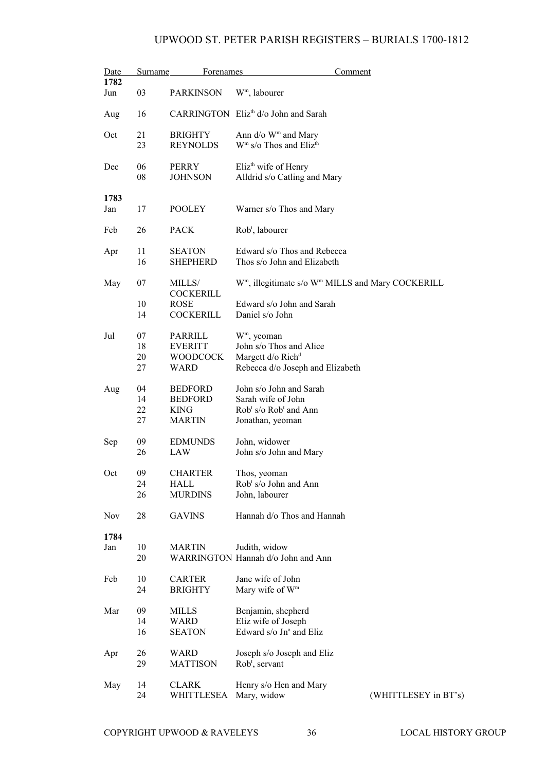| Date | Surname  | <b>Forenames</b>        | Comment                                                                   |                      |
|------|----------|-------------------------|---------------------------------------------------------------------------|----------------------|
| 1782 |          |                         |                                                                           |                      |
| Jun  | 03       | <b>PARKINSON</b>        | W <sup>m</sup> , labourer                                                 |                      |
| Aug  | 16       |                         | CARRINGTON Eliz <sup>th</sup> d/o John and Sarah                          |                      |
| Oct  | 21       | <b>BRIGHTY</b>          | Ann d/o W <sup>m</sup> and Mary                                           |                      |
|      | 23       | <b>REYNOLDS</b>         | $Wm$ s/o Thos and Eliz <sup>th</sup>                                      |                      |
|      |          |                         |                                                                           |                      |
| Dec  | 06       | <b>PERRY</b>            | Eliz <sup>th</sup> wife of Henry                                          |                      |
|      | 08       | <b>JOHNSON</b>          | Alldrid s/o Catling and Mary                                              |                      |
|      |          |                         |                                                                           |                      |
| 1783 |          |                         |                                                                           |                      |
| Jan  | 17       | <b>POOLEY</b>           | Warner s/o Thos and Mary                                                  |                      |
|      |          |                         |                                                                           |                      |
| Feb  | 26       | <b>PACK</b>             | Rob <sup>t</sup> , labourer                                               |                      |
|      |          |                         |                                                                           |                      |
| Apr  | 11       | <b>SEATON</b>           | Edward s/o Thos and Rebecca                                               |                      |
|      | 16       | <b>SHEPHERD</b>         | Thos s/o John and Elizabeth                                               |                      |
|      |          |                         |                                                                           |                      |
| May  | 07       | MILLS/                  | W <sup>m</sup> , illegitimate s/o W <sup>m</sup> MILLS and Mary COCKERILL |                      |
|      |          | <b>COCKERILL</b>        |                                                                           |                      |
|      | 10       | <b>ROSE</b>             | Edward s/o John and Sarah                                                 |                      |
|      | 14       | <b>COCKERILL</b>        | Daniel s/o John                                                           |                      |
|      |          |                         |                                                                           |                      |
| Jul  | 07       | PARRILL                 | W <sup>m</sup> , yeoman                                                   |                      |
|      | 18<br>20 | <b>EVERITT</b>          | John s/o Thos and Alice                                                   |                      |
|      | 27       | <b>WOODCOCK</b><br>WARD | Margett d/o Rich <sup>d</sup><br>Rebecca d/o Joseph and Elizabeth         |                      |
|      |          |                         |                                                                           |                      |
| Aug  | 04       | <b>BEDFORD</b>          | John s/o John and Sarah                                                   |                      |
|      | 14       | <b>BEDFORD</b>          | Sarah wife of John                                                        |                      |
|      | 22       | <b>KING</b>             | $Robt s/o Robt and Ann$                                                   |                      |
|      | 27       | <b>MARTIN</b>           | Jonathan, yeoman                                                          |                      |
|      |          |                         |                                                                           |                      |
| Sep  | 09       | <b>EDMUNDS</b>          | John, widower                                                             |                      |
|      | 26       | LAW                     | John s/o John and Mary                                                    |                      |
|      |          |                         |                                                                           |                      |
| Oct  | 09       | <b>CHARTER</b>          | Thos, yeoman                                                              |                      |
|      | 24       | HALL                    | Rob <sup>t</sup> s/o John and Ann                                         |                      |
|      | 26       | <b>MURDINS</b>          | John, labourer                                                            |                      |
| Nov  | 28       | <b>GAVINS</b>           | Hannah d/o Thos and Hannah                                                |                      |
|      |          |                         |                                                                           |                      |
| 1784 |          |                         |                                                                           |                      |
| Jan  | 10       | <b>MARTIN</b>           | Judith, widow                                                             |                      |
|      | 20       |                         | WARRINGTON Hannah d/o John and Ann                                        |                      |
|      |          |                         |                                                                           |                      |
| Feb  | 10       | <b>CARTER</b>           | Jane wife of John                                                         |                      |
|      | 24       | <b>BRIGHTY</b>          | Mary wife of W <sup>m</sup>                                               |                      |
|      |          |                         |                                                                           |                      |
| Mar  | 09       | MILLS                   | Benjamin, shepherd                                                        |                      |
|      | 14       | WARD                    | Eliz wife of Joseph                                                       |                      |
|      | 16       | <b>SEATON</b>           | Edward s/o Jn° and Eliz                                                   |                      |
| Apr  | 26       | WARD                    | Joseph s/o Joseph and Eliz                                                |                      |
|      | 29       | <b>MATTISON</b>         | Rob <sup>t</sup> , servant                                                |                      |
|      |          |                         |                                                                           |                      |
| May  | 14       | <b>CLARK</b>            | Henry s/o Hen and Mary                                                    |                      |
|      | 24       | WHITTLESEA              | Mary, widow                                                               | (WHITTLESEY in BT's) |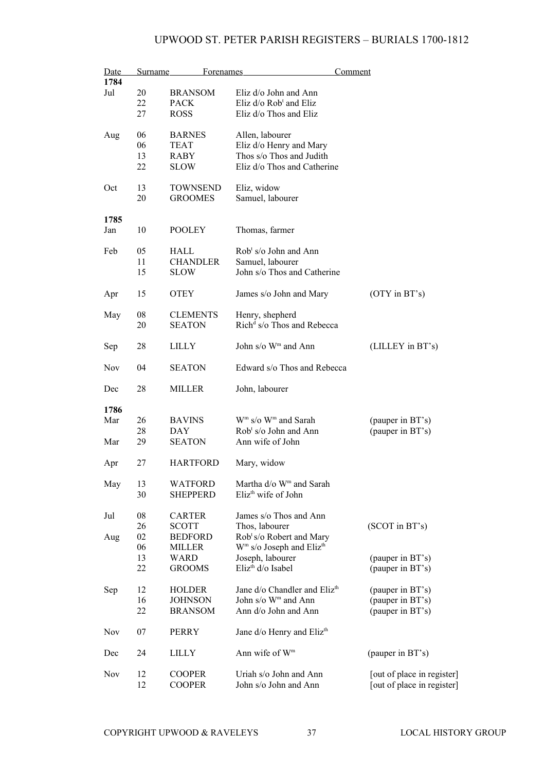| Date<br>1784 | Surname | <b>Forenames</b> |                                                                   | Comment                    |
|--------------|---------|------------------|-------------------------------------------------------------------|----------------------------|
|              |         |                  |                                                                   |                            |
| Jul          | 20      | <b>BRANSOM</b>   | Eliz d/o John and Ann                                             |                            |
|              | 22      | <b>PACK</b>      | Eliz d/o Rob <sup>t</sup> and Eliz                                |                            |
|              | 27      | <b>ROSS</b>      | Eliz d/o Thos and Eliz                                            |                            |
| Aug          | 06      | <b>BARNES</b>    | Allen, labourer                                                   |                            |
|              | 06      | <b>TEAT</b>      | Eliz d/o Henry and Mary                                           |                            |
|              | 13      | <b>RABY</b>      | Thos s/o Thos and Judith                                          |                            |
|              | 22      | <b>SLOW</b>      | Eliz d/o Thos and Catherine                                       |                            |
| Oct          | 13      | <b>TOWNSEND</b>  | Eliz, widow                                                       |                            |
|              | 20      | <b>GROOMES</b>   | Samuel, labourer                                                  |                            |
| 1785         |         |                  |                                                                   |                            |
| Jan          | 10      | <b>POOLEY</b>    | Thomas, farmer                                                    |                            |
| Feb          | 05      | HALL             | $Robt s/o$ John and Ann                                           |                            |
|              | 11      | <b>CHANDLER</b>  | Samuel, labourer                                                  |                            |
|              | 15      | <b>SLOW</b>      | John s/o Thos and Catherine                                       |                            |
| Apr          | 15      | <b>OTEY</b>      | James s/o John and Mary                                           | $(OTY$ in $BT's)$          |
| May          | 08      | <b>CLEMENTS</b>  | Henry, shepherd                                                   |                            |
|              | 20      | <b>SEATON</b>    | Rich <sup>d</sup> s/o Thos and Rebecca                            |                            |
|              |         |                  |                                                                   |                            |
| Sep          | 28      | LILLY            | John s/o W <sup>m</sup> and Ann                                   | (LILLEY in BT's)           |
| <b>Nov</b>   | 04      | <b>SEATON</b>    | Edward s/o Thos and Rebecca                                       |                            |
| Dec          | 28      | MILLER           | John, labourer                                                    |                            |
| 1786         |         |                  |                                                                   |                            |
| Mar          | 26      | <b>BAVINS</b>    | $\mathbf{W}^{\mathrm{m}}$ s/o $\mathbf{W}^{\mathrm{m}}$ and Sarah | (pauper in BT's)           |
|              | 28      | <b>DAY</b>       | Rob <sup>t</sup> s/o John and Ann                                 | (pauper in BT's)           |
| Mar          | 29      | <b>SEATON</b>    | Ann wife of John                                                  |                            |
|              |         |                  |                                                                   |                            |
| Apr          | 27      | <b>HARTFORD</b>  | Mary, widow                                                       |                            |
| May          | 13      | <b>WATFORD</b>   | Martha d/o W <sup>m</sup> and Sarah                               |                            |
|              | 30      | <b>SHEPPERD</b>  | Eliz <sup>th</sup> wife of John                                   |                            |
|              |         |                  |                                                                   |                            |
| Jul          | 08      | <b>CARTER</b>    | James s/o Thos and Ann                                            |                            |
|              | 26      | <b>SCOTT</b>     | Thos, labourer                                                    | $(SCOT$ in $BT$ 's)        |
|              | 02      | <b>BEDFORD</b>   |                                                                   |                            |
| Aug          |         |                  | Rob <sup>t</sup> s/o Robert and Mary                              |                            |
|              | 06      | MILLER           | W <sup>m</sup> s/o Joseph and Eliz <sup>th</sup>                  |                            |
|              | 13      | <b>WARD</b>      | Joseph, labourer                                                  | (pauper in BT's)           |
|              | 22      | <b>GROOMS</b>    | Eliz <sup>th</sup> d/o Isabel                                     | (pauper in BT's)           |
| Sep          | 12      | <b>HOLDER</b>    | Jane d/o Chandler and Eliz <sup>th</sup>                          | (pauper in BT's)           |
|              | 16      | <b>JOHNSON</b>   | John s/o W <sup>m</sup> and Ann                                   | (pauper in BT's)           |
|              | 22      | <b>BRANSOM</b>   | Ann d/o John and Ann                                              | (pauper in BT's)           |
| Nov          | 07      | PERRY            | Jane d/o Henry and Eliz <sup>th</sup>                             |                            |
| Dec          | 24      | <b>LILLY</b>     | Ann wife of W <sup>m</sup>                                        | (pauper in BT's)           |
| Nov          | 12      | <b>COOPER</b>    | Uriah s/o John and Ann                                            | [out of place in register] |
|              | 12      | <b>COOPER</b>    | John s/o John and Ann                                             | [out of place in register] |
|              |         |                  |                                                                   |                            |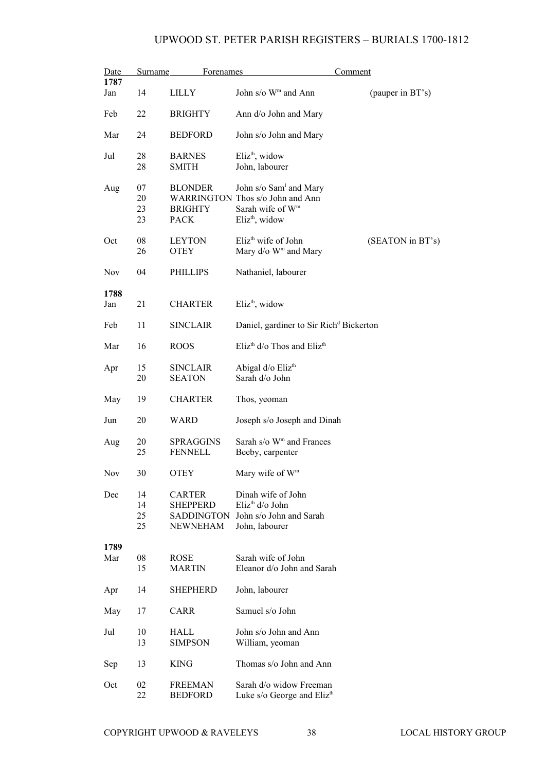| Date       | <b>Surname</b> | <b>Forenames</b>  |                                                     | Comment          |
|------------|----------------|-------------------|-----------------------------------------------------|------------------|
| 1787       |                |                   |                                                     |                  |
| Jan        | 14             | <b>LILLY</b>      | John s/o W <sup>m</sup> and Ann                     | (pauper in BT's) |
| Feb        | 22             | <b>BRIGHTY</b>    | Ann d/o John and Mary                               |                  |
| Mar        | 24             | <b>BEDFORD</b>    | John s/o John and Mary                              |                  |
| Jul        | 28             | <b>BARNES</b>     | $Elizth$ , widow                                    |                  |
|            | 28             | <b>SMITH</b>      | John, labourer                                      |                  |
|            |                |                   |                                                     |                  |
| Aug        | 07             | <b>BLONDER</b>    | John s/o Sam <sup>1</sup> and Mary                  |                  |
|            | 20             |                   | WARRINGTON Thos s/o John and Ann                    |                  |
|            | 23             | <b>BRIGHTY</b>    | Sarah wife of W <sup>m</sup>                        |                  |
|            | 23             | <b>PACK</b>       | Eliz <sup>th</sup> , widow                          |                  |
|            |                |                   |                                                     |                  |
| Oct        | 08             | <b>LEYTON</b>     | Eliz <sup>th</sup> wife of John                     | (SEATON in BT's) |
|            | 26             |                   | Mary d/o W <sup>m</sup> and Mary                    |                  |
|            |                | <b>OTEY</b>       |                                                     |                  |
| <b>Nov</b> | 04             | PHILLIPS          | Nathaniel, labourer                                 |                  |
|            |                |                   |                                                     |                  |
| 1788       |                |                   |                                                     |                  |
| Jan        | 21             | <b>CHARTER</b>    | Eliz <sup>th</sup> , widow                          |                  |
|            |                |                   |                                                     |                  |
|            |                |                   |                                                     |                  |
| Feb        | 11             | <b>SINCLAIR</b>   | Daniel, gardiner to Sir Rich <sup>d</sup> Bickerton |                  |
| Mar        | 16             | <b>ROOS</b>       | Eliz <sup>th</sup> d/o Thos and Eliz <sup>th</sup>  |                  |
|            |                |                   |                                                     |                  |
| Apr        | 15             | <b>SINCLAIR</b>   | Abigal d/o Eliz <sup>th</sup>                       |                  |
|            | 20             | <b>SEATON</b>     | Sarah d/o John                                      |                  |
|            |                |                   |                                                     |                  |
| May        | 19             | <b>CHARTER</b>    | Thos, yeoman                                        |                  |
|            |                |                   |                                                     |                  |
| Jun        | 20             | WARD              | Joseph s/o Joseph and Dinah                         |                  |
|            |                |                   |                                                     |                  |
| Aug        | 20             | <b>SPRAGGINS</b>  | Sarah s/o W <sup>m</sup> and Frances                |                  |
|            | 25             | <b>FENNELL</b>    | Beeby, carpenter                                    |                  |
|            |                |                   |                                                     |                  |
| Nov        | 30             | <b>OTEY</b>       | Mary wife of W <sup>m</sup>                         |                  |
|            |                |                   |                                                     |                  |
| Dec        | 14             | <b>CARTER</b>     | Dinah wife of John                                  |                  |
|            | 14             | <b>SHEPPERD</b>   | Eliz <sup>th</sup> d/o John                         |                  |
|            | 25             | <b>SADDINGTON</b> | John s/o John and Sarah                             |                  |
|            | 25             | <b>NEWNEHAM</b>   | John, labourer                                      |                  |
|            |                |                   |                                                     |                  |
| 1789       |                |                   |                                                     |                  |
| Mar        | 08             | <b>ROSE</b>       | Sarah wife of John                                  |                  |
|            | 15             | <b>MARTIN</b>     | Eleanor d/o John and Sarah                          |                  |
|            |                |                   |                                                     |                  |
| Apr        | 14             | <b>SHEPHERD</b>   | John, labourer                                      |                  |
|            |                |                   |                                                     |                  |
| May        | 17             | <b>CARR</b>       | Samuel s/o John                                     |                  |
|            |                |                   |                                                     |                  |
| Jul        | 10             | HALL              | John s/o John and Ann                               |                  |
|            | 13             | <b>SIMPSON</b>    | William, yeoman                                     |                  |
|            |                |                   |                                                     |                  |
| Sep        | 13             | <b>KING</b>       | Thomas s/o John and Ann                             |                  |
|            |                |                   |                                                     |                  |
| Oct        | 02             | <b>FREEMAN</b>    | Sarah d/o widow Freeman                             |                  |
|            | 22             | <b>BEDFORD</b>    | Luke s/o George and Eliz <sup>th</sup>              |                  |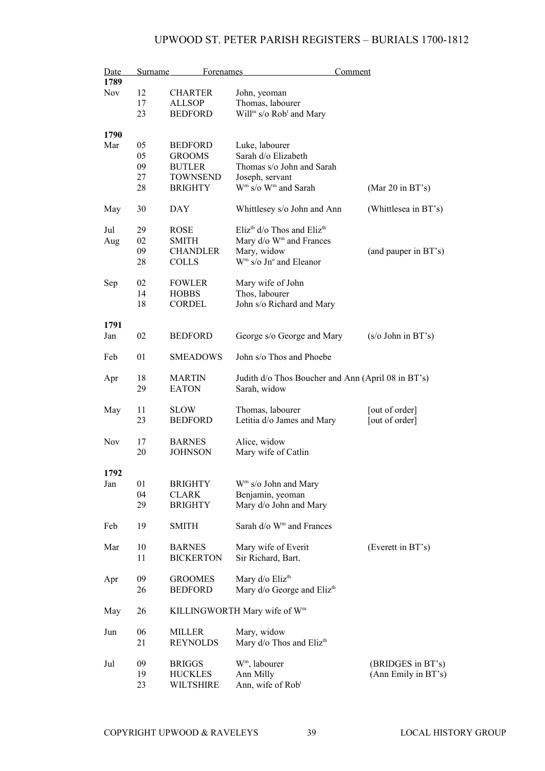| Date       | <b>Surname</b> | <b>Forenames</b> | Comment                                               |                            |
|------------|----------------|------------------|-------------------------------------------------------|----------------------------|
| 1789       |                |                  |                                                       |                            |
| Nov        | 12             | <b>CHARTER</b>   | John, yeoman                                          |                            |
|            | 17             | <b>ALLSOP</b>    | Thomas, labourer                                      |                            |
|            | 23             | <b>BEDFORD</b>   | Will <sup>m</sup> s/o Rob <sup>t</sup> and Mary       |                            |
| 1790       |                |                  |                                                       |                            |
| Mar        | 05             | <b>BEDFORD</b>   | Luke, labourer                                        |                            |
|            | 05             | <b>GROOMS</b>    | Sarah d/o Elizabeth                                   |                            |
|            | 09             | <b>BUTLER</b>    | Thomas s/o John and Sarah                             |                            |
|            | 27             | <b>TOWNSEND</b>  |                                                       |                            |
|            | 28             | <b>BRIGHTY</b>   | Joseph, servant<br>$Wm$ s/o $Wm$ and Sarah            | (Mar $20$ in BT's)         |
| May        | 30             | <b>DAY</b>       | Whittlesey s/o John and Ann                           | (Whittlesea in BT's)       |
|            |                |                  |                                                       |                            |
| Jul        | 29             | <b>ROSE</b>      | Eliz <sup>th</sup> $d$ /o Thos and Eliz <sup>th</sup> |                            |
| Aug        | 02             | <b>SMITH</b>     | Mary d/o W <sup>m</sup> and Frances                   |                            |
|            | 09             | <b>CHANDLER</b>  | Mary, widow                                           | (and pauper in BT's)       |
|            | 28             | <b>COLLS</b>     | $Wm$ s/o Jn° and Eleanor                              |                            |
|            |                |                  |                                                       |                            |
| Sep        | 02             | <b>FOWLER</b>    | Mary wife of John                                     |                            |
|            | 14             | <b>HOBBS</b>     | Thos, labourer                                        |                            |
|            | 18             | <b>CORDEL</b>    | John s/o Richard and Mary                             |                            |
| 1791       |                |                  |                                                       |                            |
| Jan        | 02             | <b>BEDFORD</b>   | George s/o George and Mary                            | $(s/\sigma)$ John in BT's) |
| Feb        | 01             | <b>SMEADOWS</b>  | John s/o Thos and Phoebe                              |                            |
| Apr        | 18             | <b>MARTIN</b>    | Judith d/o Thos Boucher and Ann (April 08 in BT's)    |                            |
|            | 29             | <b>EATON</b>     | Sarah, widow                                          |                            |
|            |                |                  |                                                       |                            |
| May        | 11             | <b>SLOW</b>      | Thomas, labourer                                      | [out of order]             |
|            | 23             | <b>BEDFORD</b>   | Letitia d/o James and Mary                            | [out of order]             |
| <b>Nov</b> | 17             | <b>BARNES</b>    | Alice, widow                                          |                            |
|            | 20             | <b>JOHNSON</b>   | Mary wife of Catlin                                   |                            |
|            |                |                  |                                                       |                            |
| 1792       |                |                  |                                                       |                            |
| Jan        | 01             | <b>BRIGHTY</b>   | $Wm$ s/o John and Mary                                |                            |
|            | 04             | <b>CLARK</b>     | Benjamin, yeoman                                      |                            |
|            | 29             | <b>BRIGHTY</b>   | Mary d/o John and Mary                                |                            |
|            |                |                  |                                                       |                            |
| Feb        | 19             | <b>SMITH</b>     | Sarah d/o W <sup>m</sup> and Frances                  |                            |
| Mar        | 10             | <b>BARNES</b>    | Mary wife of Everit                                   | (Everett in BT's)          |
|            | 11             | <b>BICKERTON</b> | Sir Richard, Bart.                                    |                            |
|            |                |                  |                                                       |                            |
| Apr        | 09             | <b>GROOMES</b>   | Mary d/o Eliz <sup>th</sup>                           |                            |
|            | 26             | <b>BEDFORD</b>   | Mary d/o George and Eliz <sup>th</sup>                |                            |
| May        | 26             |                  | KILLINGWORTH Mary wife of Wm                          |                            |
| Jun        | 06             | <b>MILLER</b>    | Mary, widow                                           |                            |
|            | 21             | <b>REYNOLDS</b>  | Mary d/o Thos and Eliz <sup>th</sup>                  |                            |
|            |                |                  |                                                       |                            |
| Jul        | 09             | <b>BRIGGS</b>    | W <sup>m</sup> , labourer                             | (BRIDGES in BT's)          |
|            | 19             | <b>HUCKLES</b>   | Ann Milly                                             | (Ann Emily in BT's)        |
|            | 23             | WILTSHIRE        | Ann, wife of Rob <sup>t</sup>                         |                            |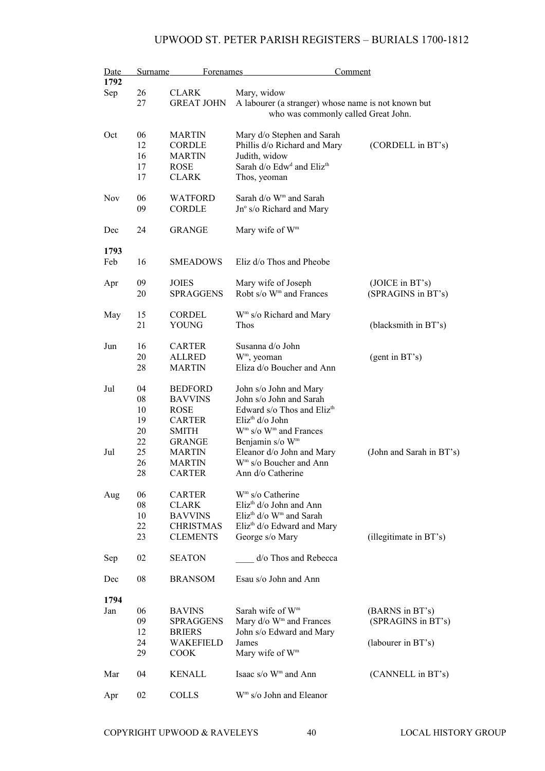| Date       | Surname | Forenames         | Comment                                             |                          |
|------------|---------|-------------------|-----------------------------------------------------|--------------------------|
| 1792       |         |                   |                                                     |                          |
| Sep        | 26      | <b>CLARK</b>      | Mary, widow                                         |                          |
|            | 27      | <b>GREAT JOHN</b> | A labourer (a stranger) whose name is not known but |                          |
|            |         |                   | who was commonly called Great John.                 |                          |
|            |         |                   |                                                     |                          |
| Oct        | 06      | <b>MARTIN</b>     | Mary d/o Stephen and Sarah                          |                          |
|            | 12      | <b>CORDLE</b>     | Phillis d/o Richard and Mary                        | (CORDELL in BT's)        |
|            | 16      | <b>MARTIN</b>     | Judith, widow                                       |                          |
|            | 17      | <b>ROSE</b>       | Sarah d/o Edw <sup>d</sup> and Eliz <sup>th</sup>   |                          |
|            | 17      | <b>CLARK</b>      | Thos, yeoman                                        |                          |
| <b>Nov</b> | 06      | <b>WATFORD</b>    | Sarah d/o W <sup>m</sup> and Sarah                  |                          |
|            | 09      | <b>CORDLE</b>     | Jn° s/o Richard and Mary                            |                          |
| Dec        | 24      | <b>GRANGE</b>     | Mary wife of W <sup>m</sup>                         |                          |
|            |         |                   |                                                     |                          |
| 1793       |         |                   |                                                     |                          |
| Feb        | 16      | <b>SMEADOWS</b>   | Eliz d/o Thos and Pheobe                            |                          |
| Apr        | 09      | <b>JOIES</b>      | Mary wife of Joseph                                 | (JOICE in BT's)          |
|            | 20      | <b>SPRAGGENS</b>  | Robt s/o W <sup>m</sup> and Frances                 | (SPRAGINS in BT's)       |
|            |         |                   |                                                     |                          |
| May        | 15      | <b>CORDEL</b>     | $Wm$ s/o Richard and Mary                           |                          |
|            | 21      | YOUNG             | Thos                                                | (blacksmith in BT's)     |
|            |         |                   |                                                     |                          |
| Jun        | 16      | <b>CARTER</b>     | Susanna d/o John                                    |                          |
|            | 20      | <b>ALLRED</b>     | $Wm$ , yeoman                                       | (gent in BT's)           |
|            | 28      | <b>MARTIN</b>     | Eliza d/o Boucher and Ann                           |                          |
| Jul        | 04      | <b>BEDFORD</b>    | John s/o John and Mary                              |                          |
|            | 08      | <b>BAVVINS</b>    | John s/o John and Sarah                             |                          |
|            | 10      | <b>ROSE</b>       | Edward s/o Thos and Eliz <sup>th</sup>              |                          |
|            | 19      | <b>CARTER</b>     | Eliz <sup>th</sup> d/o John                         |                          |
|            | 20      | <b>SMITH</b>      | W <sup>m</sup> s/o W <sup>m</sup> and Frances       |                          |
|            | 22      | <b>GRANGE</b>     | Benjamin s/o W <sup>m</sup>                         |                          |
| Jul        | 25      | <b>MARTIN</b>     | Eleanor d/o John and Mary                           | (John and Sarah in BT's) |
|            | 26      | <b>MARTIN</b>     | W <sup>m</sup> s/o Boucher and Ann                  |                          |
|            | 28      | <b>CARTER</b>     | Ann d/o Catherine                                   |                          |
|            |         |                   |                                                     |                          |
| Aug        | 06      | <b>CARTER</b>     | $Wm$ s/o Catherine                                  |                          |
|            | 08      | <b>CLARK</b>      | Eliz <sup>th</sup> $d$ /o John and Ann              |                          |
|            | 10      | <b>BAVVINS</b>    | Eliz <sup>th</sup> d/o W <sup>m</sup> and Sarah     |                          |
|            | 22      | <b>CHRISTMAS</b>  | $Elizth d/o$ Edward and Mary                        |                          |
|            | 23      | <b>CLEMENTS</b>   | George s/o Mary                                     | (illegitimate in BT's)   |
| Sep        | 02      | <b>SEATON</b>     | $d$ o Thos and Rebecca                              |                          |
| Dec        | 08      | <b>BRANSOM</b>    | Esau s/o John and Ann                               |                          |
| 1794       |         |                   |                                                     |                          |
| Jan        | 06      | <b>BAVINS</b>     | Sarah wife of $Wm$                                  | (BARNS in BT's)          |
|            | 09      | <b>SPRAGGENS</b>  | Mary d/o W <sup>m</sup> and Frances                 | (SPRAGINS in BT's)       |
|            | 12      | <b>BRIERS</b>     | John s/o Edward and Mary                            |                          |
|            | 24      | WAKEFIELD         | James                                               | (labourer in BT's)       |
|            | 29      | <b>COOK</b>       | Mary wife of W <sup>m</sup>                         |                          |
|            |         |                   |                                                     |                          |
| Mar        | 04      | KENALL            | Isaac s/o W <sup>m</sup> and Ann                    | (CANNELL in BT's)        |
| Apr        | 02      | <b>COLLS</b>      | W <sup>m</sup> s/o John and Eleanor                 |                          |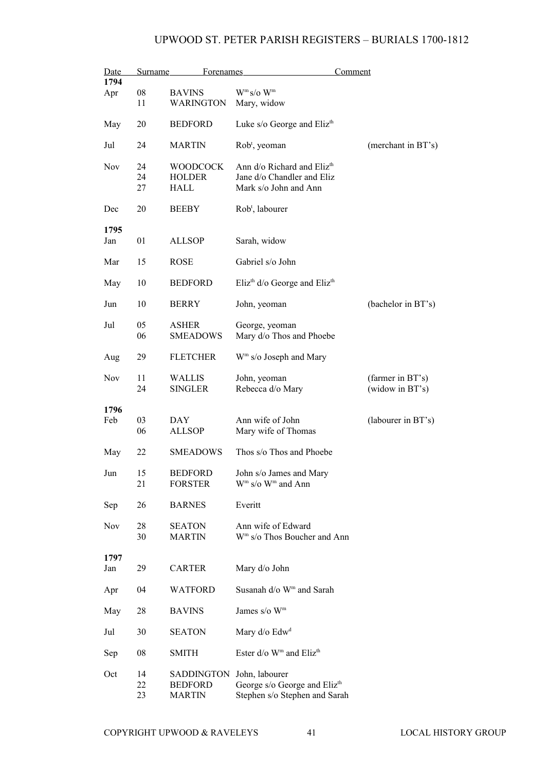| Date        | Surname          | Forenames                                            |                                                                                               | Comment                             |
|-------------|------------------|------------------------------------------------------|-----------------------------------------------------------------------------------------------|-------------------------------------|
| 1794<br>Apr | ${\bf 08}$<br>11 | <b>BAVINS</b><br><b>WARINGTON</b>                    | $W^m s/o W^m$<br>Mary, widow                                                                  |                                     |
| May         | 20               | <b>BEDFORD</b>                                       | Luke s/o George and Eliz <sup>th</sup>                                                        |                                     |
| Jul         | 24               | <b>MARTIN</b>                                        | Rob <sup>t</sup> , yeoman                                                                     | (merchant in BT's)                  |
| Nov         | 24<br>24<br>27   | <b>WOODCOCK</b><br><b>HOLDER</b><br>HALL             | Ann d/o Richard and Eliz <sup>th</sup><br>Jane d/o Chandler and Eliz<br>Mark s/o John and Ann |                                     |
| Dec         | 20               | <b>BEEBY</b>                                         | Rob <sup>t</sup> , labourer                                                                   |                                     |
| 1795<br>Jan | 01               | <b>ALLSOP</b>                                        | Sarah, widow                                                                                  |                                     |
| Mar         | 15               | <b>ROSE</b>                                          | Gabriel s/o John                                                                              |                                     |
| May         | 10               | <b>BEDFORD</b>                                       | Eliz <sup>th</sup> d/o George and Eliz <sup>th</sup>                                          |                                     |
| Jun         | 10               | <b>BERRY</b>                                         | John, yeoman                                                                                  | (bachelor in BT's)                  |
| Jul         | 05<br>06         | <b>ASHER</b><br><b>SMEADOWS</b>                      | George, yeoman<br>Mary d/o Thos and Phoebe                                                    |                                     |
| Aug         | 29               | <b>FLETCHER</b>                                      | W <sup>m</sup> s/o Joseph and Mary                                                            |                                     |
| Nov         | 11<br>24         | <b>WALLIS</b><br><b>SINGLER</b>                      | John, yeoman<br>Rebecca d/o Mary                                                              | (farmer in BT's)<br>(widow in BT's) |
| 1796<br>Feb | 03<br>06         | DAY<br><b>ALLSOP</b>                                 | Ann wife of John<br>Mary wife of Thomas                                                       | (labourer in BT's)                  |
| May         | 22               | <b>SMEADOWS</b>                                      | Thos s/o Thos and Phoebe                                                                      |                                     |
| Jun         | 15<br>21         | <b>BEDFORD</b><br><b>FORSTER</b>                     | John s/o James and Mary<br>$Wm$ s/o $Wm$ and Ann                                              |                                     |
| Sep         | 26               | <b>BARNES</b>                                        | Everitt                                                                                       |                                     |
| Nov         | 28<br>30         | <b>SEATON</b><br><b>MARTIN</b>                       | Ann wife of Edward<br>W <sup>m</sup> s/o Thos Boucher and Ann                                 |                                     |
| 1797<br>Jan | 29               | <b>CARTER</b>                                        | Mary d/o John                                                                                 |                                     |
| Apr         | 04               | <b>WATFORD</b>                                       | Susanah d/o W <sup>m</sup> and Sarah                                                          |                                     |
| May         | 28               | <b>BAVINS</b>                                        | James s/o W <sup>m</sup>                                                                      |                                     |
| Jul         | 30               | <b>SEATON</b>                                        | Mary $d$ /o $Edwd$                                                                            |                                     |
| Sep         | 08               | <b>SMITH</b>                                         | Ester d/o W <sup>m</sup> and Eliz <sup>th</sup>                                               |                                     |
| Oct         | 14<br>22<br>23   | <b>SADDINGTON</b><br><b>BEDFORD</b><br><b>MARTIN</b> | John, labourer<br>George s/o George and Eliz <sup>th</sup><br>Stephen s/o Stephen and Sarah   |                                     |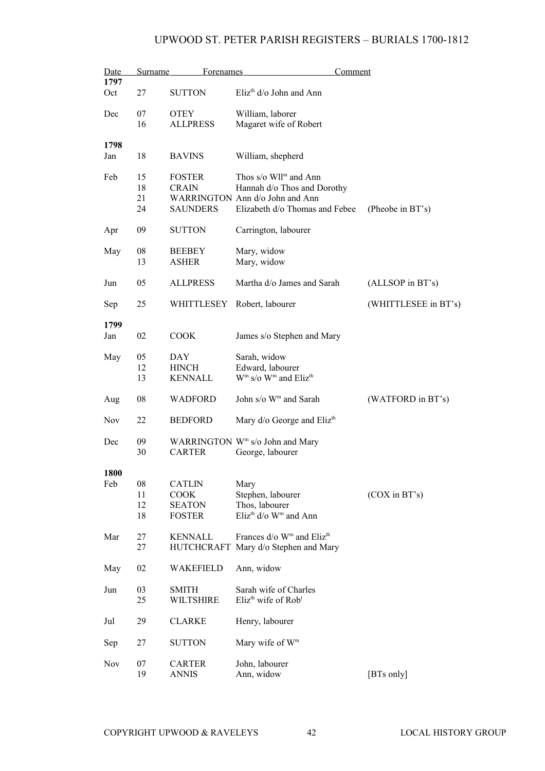| Date       | <b>Surname</b> | <b>Forenames</b> | Comment                                                  |                      |
|------------|----------------|------------------|----------------------------------------------------------|----------------------|
| 1797       |                |                  |                                                          |                      |
| Oct        | 27             | <b>SUTTON</b>    | Eliz <sup>th</sup> d/o John and Ann                      |                      |
| Dec        | 07             | <b>OTEY</b>      | William, laborer                                         |                      |
|            | 16             | <b>ALLPRESS</b>  | Magaret wife of Robert                                   |                      |
| 1798       |                |                  |                                                          |                      |
| Jan        | 18             | <b>BAVINS</b>    | William, shepherd                                        |                      |
| Feb        | 15             | <b>FOSTER</b>    | Thos $s$ /o Wll <sup>m</sup> and Ann                     |                      |
|            | 18             | <b>CRAIN</b>     | Hannah d/o Thos and Dorothy                              |                      |
|            | 21             |                  | WARRINGTON Ann d/o John and Ann                          |                      |
|            | 24             | <b>SAUNDERS</b>  | Elizabeth d/o Thomas and Febee                           | (Pheobe in BT's)     |
| Apr        | 09             | <b>SUTTON</b>    | Carrington, labourer                                     |                      |
| May        | 08             | <b>BEEBEY</b>    | Mary, widow                                              |                      |
|            | 13             | <b>ASHER</b>     | Mary, widow                                              |                      |
|            |                |                  |                                                          |                      |
| Jun        | 05             | <b>ALLPRESS</b>  | Martha d/o James and Sarah                               | (ALLSOP in BT's)     |
| Sep        | 25             | WHITTLESEY       | Robert, labourer                                         | (WHITTLESEE in BT's) |
| 1799       |                |                  |                                                          |                      |
| Jan        | 02             | <b>COOK</b>      | James s/o Stephen and Mary                               |                      |
|            |                |                  |                                                          |                      |
| May        | 05             | DAY              | Sarah, widow                                             |                      |
|            | 12             | <b>HINCH</b>     | Edward, labourer                                         |                      |
|            | 13             | <b>KENNALL</b>   | W <sup>m</sup> s/o W <sup>m</sup> and Eliz <sup>th</sup> |                      |
| Aug        | 08             | <b>WADFORD</b>   | John s/o W <sup>m</sup> and Sarah                        | (WATFORD in BT's)    |
| <b>Nov</b> | 22             | <b>BEDFORD</b>   | Mary d/o George and Eliz <sup>th</sup>                   |                      |
|            |                |                  |                                                          |                      |
| Dec        | 09             |                  | WARRINGTON W <sup>m</sup> s/o John and Mary              |                      |
|            | 30             | <b>CARTER</b>    | George, labourer                                         |                      |
|            |                |                  |                                                          |                      |
| 1800       |                |                  |                                                          |                      |
| Feb        | 08             | <b>CATLIN</b>    | Mary                                                     |                      |
|            | 11             | COOK             | Stephen, labourer                                        | $(COX$ in $BT's)$    |
|            | 12             | <b>SEATON</b>    | Thos, labourer                                           |                      |
|            | 18             | <b>FOSTER</b>    | Eliz <sup>th</sup> d/o W <sup>m</sup> and Ann            |                      |
|            |                |                  |                                                          |                      |
| Mar        | 27             | <b>KENNALL</b>   | Frances d/o W <sup>m</sup> and Eliz <sup>th</sup>        |                      |
|            | 27             |                  | HUTCHCRAFT Mary d/o Stephen and Mary                     |                      |
| May        | 02             | WAKEFIELD        | Ann, widow                                               |                      |
|            |                |                  |                                                          |                      |
| Jun        | 03             | <b>SMITH</b>     | Sarah wife of Charles                                    |                      |
|            | 25             | <b>WILTSHIRE</b> | Eliz <sup>th</sup> wife of Rob <sup>t</sup>              |                      |
|            |                |                  |                                                          |                      |
| Jul        | 29             | <b>CLARKE</b>    | Henry, labourer                                          |                      |
|            |                |                  |                                                          |                      |
| Sep        | 27             | <b>SUTTON</b>    | Mary wife of W <sup>m</sup>                              |                      |
|            |                |                  |                                                          |                      |
| Nov        | 07             | <b>CARTER</b>    | John, labourer                                           |                      |
|            | 19             | <b>ANNIS</b>     | Ann, widow                                               | [BTs only]           |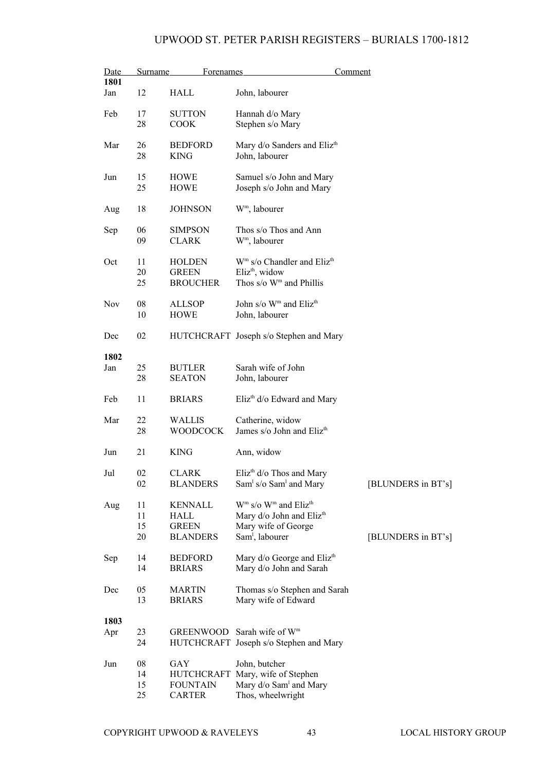| Date            | Surname | <b>Forenames</b> |                                                | Comment            |
|-----------------|---------|------------------|------------------------------------------------|--------------------|
| 1801            |         |                  |                                                |                    |
| Jan             | 12      | HALL             | John, labourer                                 |                    |
| Feb             | 17      | <b>SUTTON</b>    | Hannah d/o Mary                                |                    |
|                 | 28      | <b>COOK</b>      | Stephen s/o Mary                               |                    |
| Mar             | 26      | <b>BEDFORD</b>   | Mary d/o Sanders and Eliz <sup>th</sup>        |                    |
|                 | 28      | <b>KING</b>      | John, labourer                                 |                    |
|                 |         |                  |                                                |                    |
| Jun             | 15      | HOWE             | Samuel s/o John and Mary                       |                    |
|                 | 25      | <b>HOWE</b>      | Joseph s/o John and Mary                       |                    |
| Aug             | 18      | <b>JOHNSON</b>   | W <sup>m</sup> , labourer                      |                    |
| Sep             | 06      | <b>SIMPSON</b>   | Thos s/o Thos and Ann                          |                    |
|                 | 09      | <b>CLARK</b>     | W <sup>m</sup> , labourer                      |                    |
|                 |         |                  |                                                |                    |
| Oct             | 11      | <b>HOLDEN</b>    | $Wm$ s/o Chandler and Eliz <sup>th</sup>       |                    |
|                 | 20      | <b>GREEN</b>     | Eliz <sup>th</sup> , widow                     |                    |
|                 | 25      | <b>BROUCHER</b>  | Thos $s/\sigma$ W <sup>m</sup> and Phillis     |                    |
| Nov             | 08      | <b>ALLSOP</b>    | John s/o W <sup>m</sup> and Eliz <sup>th</sup> |                    |
|                 | 10      | <b>HOWE</b>      | John, labourer                                 |                    |
|                 |         |                  |                                                |                    |
| Dec             | 02      |                  | HUTCHCRAFT Joseph s/o Stephen and Mary         |                    |
| 1802            |         |                  |                                                |                    |
|                 | 25      |                  | Sarah wife of John                             |                    |
| Jan             | 28      | <b>BUTLER</b>    |                                                |                    |
|                 |         | <b>SEATON</b>    | John, labourer                                 |                    |
| Feb             | 11      | <b>BRIARS</b>    | Eliz <sup>th</sup> d/o Edward and Mary         |                    |
| Mar             | 22      | <b>WALLIS</b>    | Catherine, widow                               |                    |
|                 | 28      | <b>WOODCOCK</b>  | James s/o John and Eliz <sup>th</sup>          |                    |
|                 |         |                  |                                                |                    |
| $_{\text{Jun}}$ | 21      | <b>KING</b>      | Ann, widow                                     |                    |
| Jul             | 02      | CLARK            | Eliz <sup>th</sup> d/o Thos and Mary           |                    |
|                 | 02      | <b>BLANDERS</b>  | $Sam1 s/o Sam1 and Mary$                       | [BLUNDERS in BT's] |
|                 |         |                  |                                                |                    |
| Aug             | 11      | <b>KENNALL</b>   | $Wm$ s/o $Wm$ and Eliz <sup>th</sup>           |                    |
|                 | 11      | HALL             | Mary d/o John and Eliz <sup>th</sup>           |                    |
|                 | 15      | <b>GREEN</b>     | Mary wife of George                            |                    |
|                 | 20      | <b>BLANDERS</b>  | Sam <sup>1</sup> , labourer                    | [BLUNDERS in BT's] |
| Sep             | 14      | <b>BEDFORD</b>   | Mary d/o George and Eliz <sup>th</sup>         |                    |
|                 | 14      | <b>BRIARS</b>    | Mary d/o John and Sarah                        |                    |
|                 |         |                  |                                                |                    |
| Dec             | 05      | <b>MARTIN</b>    | Thomas s/o Stephen and Sarah                   |                    |
|                 | 13      | <b>BRIARS</b>    | Mary wife of Edward                            |                    |
|                 |         |                  |                                                |                    |
| 1803            |         |                  |                                                |                    |
| Apr             | 23      |                  | GREENWOOD Sarah wife of Wm                     |                    |
|                 | 24      |                  | HUTCHCRAFT Joseph s/o Stephen and Mary         |                    |
| Jun             | 08      | GAY              | John, butcher                                  |                    |
|                 | 14      | HUTCHCRAFT       | Mary, wife of Stephen                          |                    |
|                 | 15      | <b>FOUNTAIN</b>  | Mary d/o Sam <sup>1</sup> and Mary             |                    |
|                 | 25      | <b>CARTER</b>    | Thos, wheelwright                              |                    |
|                 |         |                  |                                                |                    |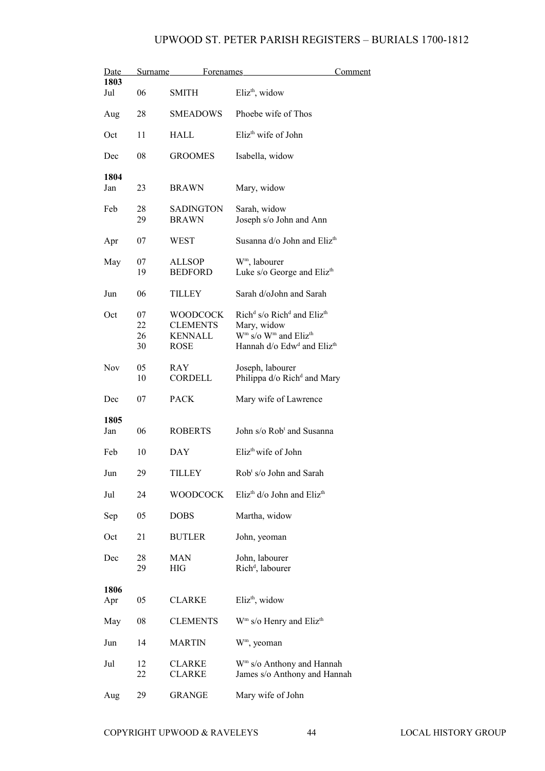| <u>Date</u> | Surname  | <b>Forenames</b>          |                                                                       | <u>Comment</u> |
|-------------|----------|---------------------------|-----------------------------------------------------------------------|----------------|
| 1803        |          |                           |                                                                       |                |
| Jul         | 06       | <b>SMITH</b>              | Eliz <sup>th</sup> , widow                                            |                |
| Aug         | 28       | <b>SMEADOWS</b>           | Phoebe wife of Thos                                                   |                |
| Oct         | 11       | <b>HALL</b>               | $E$ liz <sup>th</sup> wife of John                                    |                |
| Dec         | 08       | <b>GROOMES</b>            | Isabella, widow                                                       |                |
| 1804        |          |                           |                                                                       |                |
| Jan         | 23       | <b>BRAWN</b>              | Mary, widow                                                           |                |
| Feb         | 28<br>29 | SADINGTON<br><b>BRAWN</b> | Sarah, widow<br>Joseph s/o John and Ann                               |                |
|             |          |                           |                                                                       |                |
| Apr         | 07       | WEST                      | Susanna d/o John and Eliz <sup>th</sup>                               |                |
| May         | 07       | <b>ALLSOP</b>             | W <sup>m</sup> , labourer                                             |                |
|             | 19       | <b>BEDFORD</b>            | Luke s/o George and Eliz <sup>th</sup>                                |                |
| Jun         | 06       | TILLEY                    | Sarah d/oJohn and Sarah                                               |                |
| Oct         | 07       | <b>WOODCOCK</b>           | Rich <sup>d</sup> s/o Rich <sup>d</sup> and Eliz <sup>th</sup>        |                |
|             | 22       | <b>CLEMENTS</b>           | Mary, widow                                                           |                |
|             | 26       | <b>KENNALL</b>            | $Wm$ s/o $Wm$ and Eliz <sup>th</sup>                                  |                |
|             | 30       | <b>ROSE</b>               | Hannah d/o Edw <sup>d</sup> and Eliz <sup>th</sup>                    |                |
|             |          |                           |                                                                       |                |
| <b>Nov</b>  | 05<br>10 | RAY<br>CORDELL            | Joseph, labourer<br>Philippa d/o Rich <sup>d</sup> and Mary           |                |
|             |          |                           |                                                                       |                |
| Dec         | 07       | <b>PACK</b>               | Mary wife of Lawrence                                                 |                |
| 1805        |          |                           |                                                                       |                |
| Jan         | 06       | <b>ROBERTS</b>            | John s/o Rob <sup>t</sup> and Susanna                                 |                |
| Feb         | 10       | DAY                       | Eliz <sup>th</sup> wife of John                                       |                |
| Jun         | 29       | TILLEY                    | Rob <sup>t</sup> s/o John and Sarah                                   |                |
|             |          |                           |                                                                       |                |
| Jul         | 24       | <b>WOODCOCK</b>           | Eliz <sup>th</sup> d/o John and Eliz <sup>th</sup>                    |                |
| Sep         | 05       | <b>DOBS</b>               | Martha, widow                                                         |                |
| Oct         | 21       | <b>BUTLER</b>             | John, yeoman                                                          |                |
| Dec         | 28       | <b>MAN</b>                | John, labourer                                                        |                |
|             | 29       | <b>HIG</b>                | Rich <sup>d</sup> , labourer                                          |                |
| 1806        |          |                           |                                                                       |                |
| Apr         | 05       | <b>CLARKE</b>             | $Elizth$ , widow                                                      |                |
| May         | 08       | <b>CLEMENTS</b>           | W <sup>m</sup> s/o Henry and Eliz <sup>th</sup>                       |                |
| Jun         | 14       | MARTIN                    | $Wm$ , yeoman                                                         |                |
|             |          |                           |                                                                       |                |
| Jul         | 12<br>22 | CLARKE<br><b>CLARKE</b>   | W <sup>m</sup> s/o Anthony and Hannah<br>James s/o Anthony and Hannah |                |
|             |          |                           |                                                                       |                |
| Aug         | 29       | <b>GRANGE</b>             | Mary wife of John                                                     |                |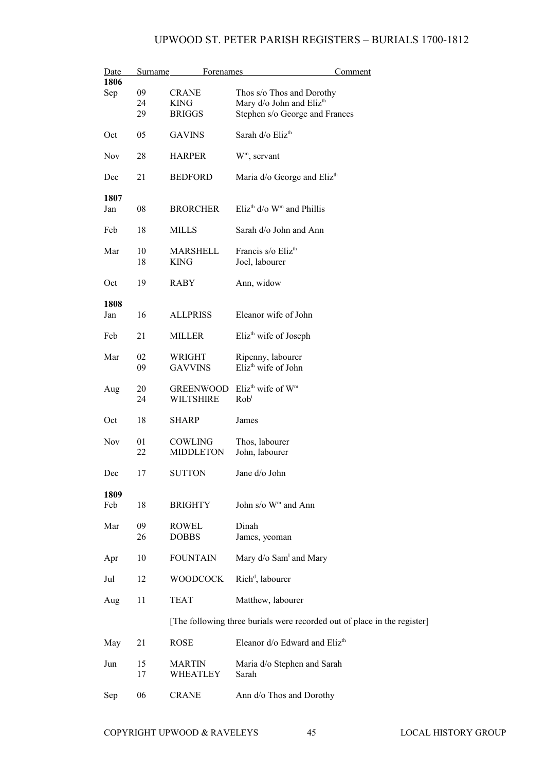| Date        | Surname | Forenames        | Comment                                                                  |
|-------------|---------|------------------|--------------------------------------------------------------------------|
| 1806<br>Sep | 09      | <b>CRANE</b>     | Thos s/o Thos and Dorothy                                                |
|             | 24      | <b>KING</b>      | Mary d/o John and Eliz <sup>th</sup>                                     |
|             | 29      | <b>BRIGGS</b>    | Stephen s/o George and Frances                                           |
| Oct         | 05      | <b>GAVINS</b>    | Sarah d/o Eliz <sup>th</sup>                                             |
| <b>Nov</b>  | 28      | <b>HARPER</b>    | $Wm$ , servant                                                           |
| Dec         | 21      | <b>BEDFORD</b>   | Maria d/o George and Eliz <sup>th</sup>                                  |
| 1807        |         |                  |                                                                          |
| Jan         | 08      | <b>BRORCHER</b>  | Eliz <sup>th</sup> $d$ /o W <sup>m</sup> and Phillis                     |
| Feb         | 18      | MILLS            | Sarah d/o John and Ann                                                   |
| Mar         | 10      | <b>MARSHELL</b>  | Francis s/o Eliz <sup>th</sup>                                           |
|             | 18      | <b>KING</b>      | Joel, labourer                                                           |
| Oct         | 19      | RABY             | Ann, widow                                                               |
| 1808        |         |                  |                                                                          |
| Jan         | 16      | <b>ALLPRISS</b>  | Eleanor wife of John                                                     |
| Feb         | 21      | <b>MILLER</b>    | Eliz <sup>th</sup> wife of Joseph                                        |
| Mar         | 02      | WRIGHT           | Ripenny, labourer                                                        |
|             | 09      | <b>GAVVINS</b>   | Eliz <sup>th</sup> wife of John                                          |
|             |         |                  |                                                                          |
| Aug         | 20      | <b>GREENWOOD</b> | Eliz <sup>th</sup> wife of W <sup>m</sup>                                |
|             | 24      | <b>WILTSHIRE</b> | Rob <sup>t</sup>                                                         |
| Oct         | 18      | SHARP            | James                                                                    |
| Nov         | 01      | COWLING          | Thos, labourer                                                           |
|             | 22      | <b>MIDDLETON</b> | John, labourer                                                           |
|             |         |                  |                                                                          |
| Dec         | 17      | SUTTON           | Jane d/o John                                                            |
| 1809        |         |                  |                                                                          |
| Feb         | 18      | <b>BRIGHTY</b>   | John s/o $\mathrm{W}^{\mathrm{m}}$ and Ann                               |
| Mar         | 09      | ROWEL            | Dinah                                                                    |
|             | 26      | <b>DOBBS</b>     | James, yeoman                                                            |
| Apr         | 10      | <b>FOUNTAIN</b>  | Mary d/o Sam <sup>1</sup> and Mary                                       |
| Jul         | 12      | <b>WOODCOCK</b>  | Rich <sup>d</sup> , labourer                                             |
| Aug         | 11      | <b>TEAT</b>      | Matthew, labourer                                                        |
|             |         |                  | [The following three burials were recorded out of place in the register] |
|             |         |                  |                                                                          |
| May         | 21      | <b>ROSE</b>      | Eleanor d/o Edward and Eliz <sup>th</sup>                                |
| Jun         | 15      | <b>MARTIN</b>    | Maria d/o Stephen and Sarah                                              |
|             | 17      | WHEATLEY         | Sarah                                                                    |
| Sep         | 06      | <b>CRANE</b>     | Ann d/o Thos and Dorothy                                                 |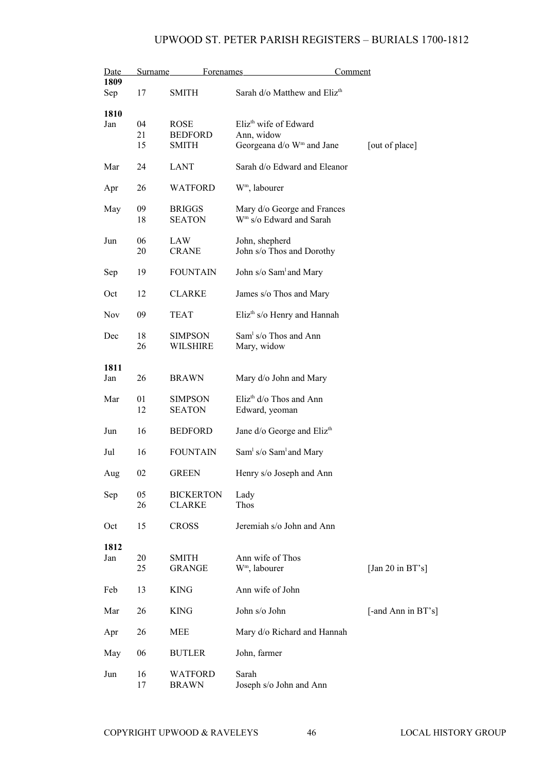| Date<br>1809 | Surname        | <b>Forenames</b>                              |                                                                                          | Comment             |
|--------------|----------------|-----------------------------------------------|------------------------------------------------------------------------------------------|---------------------|
| Sep          | 17             | <b>SMITH</b>                                  | Sarah d/o Matthew and Eliz <sup>th</sup>                                                 |                     |
| 1810<br>Jan  | 04<br>21<br>15 | <b>ROSE</b><br><b>BEDFORD</b><br><b>SMITH</b> | Eliz <sup>th</sup> wife of Edward<br>Ann, widow<br>Georgeana d/o W <sup>m</sup> and Jane | [out of place]      |
| Mar          | 24             | <b>LANT</b>                                   | Sarah d/o Edward and Eleanor                                                             |                     |
| Apr          | 26             | <b>WATFORD</b>                                | W <sup>m</sup> , labourer                                                                |                     |
| May          | 09<br>18       | <b>BRIGGS</b><br><b>SEATON</b>                | Mary d/o George and Frances<br>W <sup>m</sup> s/o Edward and Sarah                       |                     |
| Jun          | 06<br>20       | LAW<br><b>CRANE</b>                           | John, shepherd<br>John s/o Thos and Dorothy                                              |                     |
| Sep          | 19             | <b>FOUNTAIN</b>                               | John s/o Sam and Mary                                                                    |                     |
| Oct          | 12             | <b>CLARKE</b>                                 | James s/o Thos and Mary                                                                  |                     |
| Nov          | 09             | <b>TEAT</b>                                   | $Elizth s/o$ Henry and Hannah                                                            |                     |
| Dec          | 18<br>26       | <b>SIMPSON</b><br><b>WILSHIRE</b>             | Sam <sup>1</sup> s/o Thos and Ann<br>Mary, widow                                         |                     |
| 1811<br>Jan  | 26             | <b>BRAWN</b>                                  | Mary d/o John and Mary                                                                   |                     |
| Mar          | 01<br>12       | <b>SIMPSON</b><br><b>SEATON</b>               | Eliz <sup>th</sup> d/o Thos and Ann<br>Edward, yeoman                                    |                     |
| Jun          | 16             | <b>BEDFORD</b>                                | Jane d/o George and Eliz <sup>th</sup>                                                   |                     |
| Jul          | 16             | <b>FOUNTAIN</b>                               | Sam <sup>1</sup> s/o Sam <sup>1</sup> and Mary                                           |                     |
| Aug          | 02             | <b>GREEN</b>                                  | Henry s/o Joseph and Ann                                                                 |                     |
| Sep          | 05<br>26       | <b>BICKERTON</b><br><b>CLARKE</b>             | Lady<br>Thos                                                                             |                     |
| Oct          | 15             | <b>CROSS</b>                                  | Jeremiah s/o John and Ann                                                                |                     |
| 1812<br>Jan  | 20<br>25       | <b>SMITH</b><br><b>GRANGE</b>                 | Ann wife of Thos<br>W <sup>m</sup> , labourer                                            | [Jan 20 in $BT's$ ] |
| Feb          | 13             | <b>KING</b>                                   | Ann wife of John                                                                         |                     |
| Mar          | 26             | <b>KING</b>                                   | John s/o John                                                                            | [-and Ann in BT's]  |
| Apr          | 26             | MEE                                           | Mary d/o Richard and Hannah                                                              |                     |
| May          | 06             | <b>BUTLER</b>                                 | John, farmer                                                                             |                     |
| Jun          | 16<br>17       | <b>WATFORD</b><br><b>BRAWN</b>                | Sarah<br>Joseph s/o John and Ann                                                         |                     |